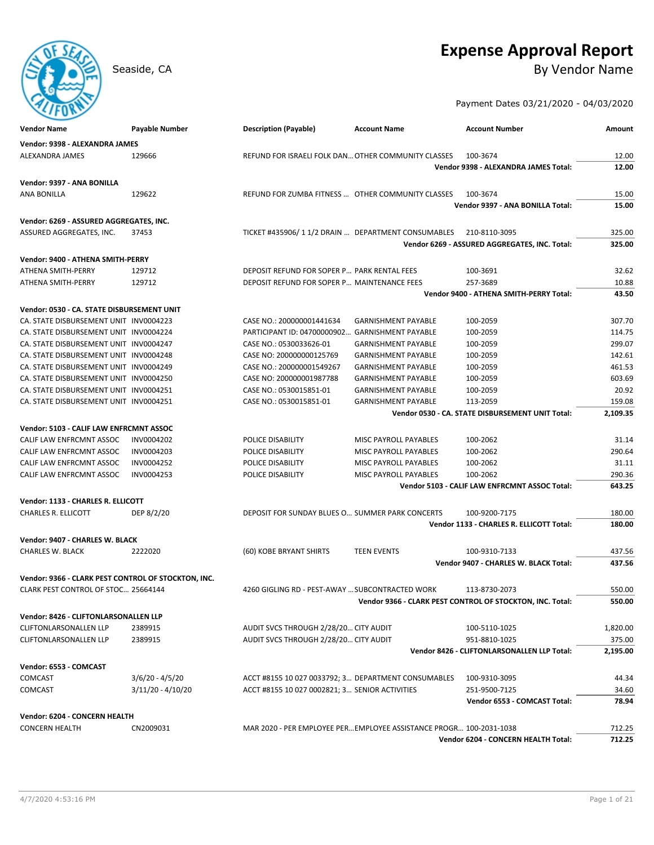# **Expense Approval Report**

Seaside, CA By Vendor Name

Payment Dates 03/21/2020 - 04/03/2020

| <b>Vendor Name</b>                                  | Payable Number    | <b>Description (Payable)</b>                        | <b>Account Name</b>                                                 | <b>Account Number</b>                                     | Amount   |
|-----------------------------------------------------|-------------------|-----------------------------------------------------|---------------------------------------------------------------------|-----------------------------------------------------------|----------|
| Vendor: 9398 - ALEXANDRA JAMES                      |                   |                                                     |                                                                     |                                                           |          |
| ALEXANDRA JAMES                                     | 129666            | REFUND FOR ISRAELI FOLK DAN OTHER COMMUNITY CLASSES |                                                                     | 100-3674                                                  | 12.00    |
|                                                     |                   |                                                     |                                                                     | Vendor 9398 - ALEXANDRA JAMES Total:                      | 12.00    |
| Vendor: 9397 - ANA BONILLA                          |                   |                                                     |                                                                     |                                                           |          |
| ANA BONILLA                                         | 129622            | REFUND FOR ZUMBA FITNESS  OTHER COMMUNITY CLASSES   |                                                                     | 100-3674                                                  | 15.00    |
|                                                     |                   |                                                     |                                                                     | Vendor 9397 - ANA BONILLA Total:                          | 15.00    |
|                                                     |                   |                                                     |                                                                     |                                                           |          |
| Vendor: 6269 - ASSURED AGGREGATES, INC.             |                   |                                                     |                                                                     |                                                           |          |
| ASSURED AGGREGATES, INC.                            | 37453             | TICKET #435906/11/2 DRAIN  DEPARTMENT CONSUMABLES   |                                                                     | 210-8110-3095                                             | 325.00   |
|                                                     |                   |                                                     |                                                                     | Vendor 6269 - ASSURED AGGREGATES, INC. Total:             | 325.00   |
| Vendor: 9400 - ATHENA SMITH-PERRY                   |                   |                                                     |                                                                     |                                                           |          |
| ATHENA SMITH-PERRY                                  | 129712            | DEPOSIT REFUND FOR SOPER P PARK RENTAL FEES         |                                                                     | 100-3691                                                  | 32.62    |
| ATHENA SMITH-PERRY                                  | 129712            | DEPOSIT REFUND FOR SOPER P MAINTENANCE FEES         |                                                                     | 257-3689                                                  | 10.88    |
|                                                     |                   |                                                     |                                                                     | Vendor 9400 - ATHENA SMITH-PERRY Total:                   | 43.50    |
| Vendor: 0530 - CA. STATE DISBURSEMENT UNIT          |                   |                                                     |                                                                     |                                                           |          |
| CA. STATE DISBURSEMENT UNIT INV0004223              |                   | CASE NO.: 200000001441634                           | <b>GARNISHMENT PAYABLE</b>                                          | 100-2059                                                  | 307.70   |
| CA. STATE DISBURSEMENT UNIT INV0004224              |                   | PARTICIPANT ID: 04700000902                         | <b>GARNISHMENT PAYABLE</b>                                          | 100-2059                                                  | 114.75   |
| CA. STATE DISBURSEMENT UNIT INV0004247              |                   | CASE NO.: 0530033626-01                             | <b>GARNISHMENT PAYABLE</b>                                          | 100-2059                                                  | 299.07   |
| CA. STATE DISBURSEMENT UNIT INV0004248              |                   | CASE NO: 200000000125769                            | <b>GARNISHMENT PAYABLE</b>                                          | 100-2059                                                  | 142.61   |
| CA. STATE DISBURSEMENT UNIT INV0004249              |                   | CASE NO.: 200000001549267                           | <b>GARNISHMENT PAYABLE</b>                                          | 100-2059                                                  | 461.53   |
| CA. STATE DISBURSEMENT UNIT INV0004250              |                   | CASE NO: 200000001987788                            | <b>GARNISHMENT PAYABLE</b>                                          | 100-2059                                                  | 603.69   |
| CA. STATE DISBURSEMENT UNIT INV0004251              |                   | CASE NO.: 0530015851-01                             | <b>GARNISHMENT PAYABLE</b>                                          | 100-2059                                                  | 20.92    |
| CA. STATE DISBURSEMENT UNIT INV0004251              |                   | CASE NO.: 0530015851-01                             | <b>GARNISHMENT PAYABLE</b>                                          | 113-2059                                                  | 159.08   |
|                                                     |                   |                                                     |                                                                     | Vendor 0530 - CA. STATE DISBURSEMENT UNIT Total:          | 2,109.35 |
| Vendor: 5103 - CALIF LAW ENFRCMNT ASSOC             |                   |                                                     |                                                                     |                                                           |          |
| CALIF LAW ENFRCMNT ASSOC                            | INV0004202        | POLICE DISABILITY                                   | MISC PAYROLL PAYABLES                                               | 100-2062                                                  | 31.14    |
| CALIF LAW ENFRCMNT ASSOC                            | INV0004203        | POLICE DISABILITY                                   | MISC PAYROLL PAYABLES                                               | 100-2062                                                  | 290.64   |
| CALIF LAW ENFRCMNT ASSOC                            | INV0004252        | POLICE DISABILITY                                   | MISC PAYROLL PAYABLES                                               | 100-2062                                                  | 31.11    |
| CALIF LAW ENFRCMNT ASSOC                            | INV0004253        | POLICE DISABILITY                                   | MISC PAYROLL PAYABLES                                               | 100-2062                                                  | 290.36   |
|                                                     |                   |                                                     |                                                                     | Vendor 5103 - CALIF LAW ENFRCMNT ASSOC Total:             | 643.25   |
| Vendor: 1133 - CHARLES R. ELLICOTT                  |                   |                                                     |                                                                     |                                                           |          |
| <b>CHARLES R. ELLICOTT</b>                          | DEP 8/2/20        | DEPOSIT FOR SUNDAY BLUES O SUMMER PARK CONCERTS     |                                                                     | 100-9200-7175                                             | 180.00   |
|                                                     |                   |                                                     |                                                                     | Vendor 1133 - CHARLES R. ELLICOTT Total:                  | 180.00   |
|                                                     |                   |                                                     |                                                                     |                                                           |          |
| Vendor: 9407 - CHARLES W. BLACK                     |                   |                                                     |                                                                     |                                                           |          |
| <b>CHARLES W. BLACK</b>                             | 2222020           | (60) KOBE BRYANT SHIRTS                             | <b>TEEN EVENTS</b>                                                  | 100-9310-7133                                             | 437.56   |
|                                                     |                   |                                                     |                                                                     | Vendor 9407 - CHARLES W. BLACK Total:                     | 437.56   |
| Vendor: 9366 - CLARK PEST CONTROL OF STOCKTON, INC. |                   |                                                     |                                                                     |                                                           |          |
| CLARK PEST CONTROL OF STOC 25664144                 |                   | 4260 GIGLING RD - PEST-AWAY  SUBCONTRACTED WORK     |                                                                     | 113-8730-2073                                             | 550.00   |
|                                                     |                   |                                                     |                                                                     | Vendor 9366 - CLARK PEST CONTROL OF STOCKTON, INC. Total: | 550.00   |
| Vendor: 8426 - CLIFTONLARSONALLEN LLP               |                   |                                                     |                                                                     |                                                           |          |
| <b>CLIFTONLARSONALLEN LLP</b>                       | 2389915           | AUDIT SVCS THROUGH 2/28/20 CITY AUDIT               |                                                                     | 100-5110-1025                                             | 1,820.00 |
| <b>CLIFTONLARSONALLEN LLP</b>                       | 2389915           | AUDIT SVCS THROUGH 2/28/20 CITY AUDIT               |                                                                     | 951-8810-1025                                             | 375.00   |
|                                                     |                   |                                                     |                                                                     | Vendor 8426 - CLIFTONLARSONALLEN LLP Total:               | 2,195.00 |
| Vendor: 6553 - COMCAST                              |                   |                                                     |                                                                     |                                                           |          |
| <b>COMCAST</b>                                      | 3/6/20 - 4/5/20   | ACCT #8155 10 027 0033792; 3 DEPARTMENT CONSUMABLES |                                                                     | 100-9310-3095                                             | 44.34    |
| COMCAST                                             | 3/11/20 - 4/10/20 | ACCT #8155 10 027 0002821; 3 SENIOR ACTIVITIES      |                                                                     | 251-9500-7125                                             | 34.60    |
|                                                     |                   |                                                     |                                                                     | Vendor 6553 - COMCAST Total:                              | 78.94    |
|                                                     |                   |                                                     |                                                                     |                                                           |          |
| Vendor: 6204 - CONCERN HEALTH                       |                   |                                                     |                                                                     |                                                           |          |
| <b>CONCERN HEALTH</b>                               | CN2009031         |                                                     | MAR 2020 - PER EMPLOYEE PER EMPLOYEE ASSISTANCE PROGR 100-2031-1038 |                                                           | 712.25   |
|                                                     |                   |                                                     |                                                                     | <b>Vendor 6204 - CONCERN HEALTH Total:</b>                | 712.25   |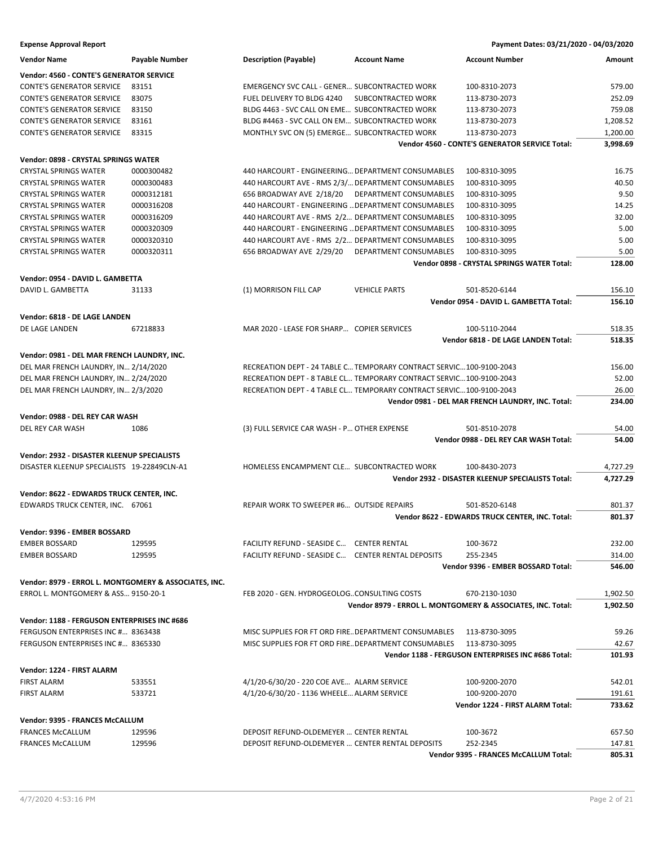| <b>Expense Approval Report</b>                        |                |                                                                      |                                                                      | Payment Dates: 03/21/2020 - 04/03/2020                      |                  |
|-------------------------------------------------------|----------------|----------------------------------------------------------------------|----------------------------------------------------------------------|-------------------------------------------------------------|------------------|
| <b>Vendor Name</b>                                    | Payable Number | <b>Description (Payable)</b>                                         | <b>Account Name</b>                                                  | <b>Account Number</b>                                       | Amount           |
| Vendor: 4560 - CONTE'S GENERATOR SERVICE              |                |                                                                      |                                                                      |                                                             |                  |
| <b>CONTE'S GENERATOR SERVICE</b>                      | 83151          | <b>EMERGENCY SVC CALL - GENER SUBCONTRACTED WORK</b>                 |                                                                      | 100-8310-2073                                               | 579.00           |
| <b>CONTE'S GENERATOR SERVICE</b>                      | 83075          | FUEL DELIVERY TO BLDG 4240                                           | SUBCONTRACTED WORK                                                   | 113-8730-2073                                               | 252.09           |
| <b>CONTE'S GENERATOR SERVICE</b>                      | 83150          | BLDG 4463 - SVC CALL ON EME SUBCONTRACTED WORK                       |                                                                      | 113-8730-2073                                               | 759.08           |
| <b>CONTE'S GENERATOR SERVICE</b>                      | 83161          | BLDG #4463 - SVC CALL ON EM SUBCONTRACTED WORK                       |                                                                      | 113-8730-2073                                               | 1,208.52         |
| <b>CONTE'S GENERATOR SERVICE</b>                      | 83315          | MONTHLY SVC ON (5) EMERGE SUBCONTRACTED WORK                         |                                                                      | 113-8730-2073                                               | 1,200.00         |
|                                                       |                |                                                                      |                                                                      | Vendor 4560 - CONTE'S GENERATOR SERVICE Total:              | 3,998.69         |
| <b>Vendor: 0898 - CRYSTAL SPRINGS WATER</b>           |                |                                                                      |                                                                      |                                                             |                  |
| <b>CRYSTAL SPRINGS WATER</b>                          | 0000300482     | 440 HARCOURT - ENGINEERING DEPARTMENT CONSUMABLES                    |                                                                      | 100-8310-3095                                               | 16.75            |
| <b>CRYSTAL SPRINGS WATER</b>                          | 0000300483     | 440 HARCOURT AVE - RMS 2/3/ DEPARTMENT CONSUMABLES                   |                                                                      | 100-8310-3095                                               | 40.50            |
| <b>CRYSTAL SPRINGS WATER</b>                          | 0000312181     | 656 BROADWAY AVE 2/18/20                                             | DEPARTMENT CONSUMABLES                                               | 100-8310-3095                                               | 9.50             |
| <b>CRYSTAL SPRINGS WATER</b>                          | 0000316208     | 440 HARCOURT - ENGINEERING  DEPARTMENT CONSUMABLES                   |                                                                      | 100-8310-3095                                               | 14.25            |
| <b>CRYSTAL SPRINGS WATER</b>                          | 0000316209     | 440 HARCOURT AVE - RMS 2/2 DEPARTMENT CONSUMABLES                    |                                                                      | 100-8310-3095                                               | 32.00            |
| <b>CRYSTAL SPRINGS WATER</b>                          | 0000320309     | 440 HARCOURT - ENGINEERING  DEPARTMENT CONSUMABLES                   |                                                                      | 100-8310-3095                                               | 5.00             |
| <b>CRYSTAL SPRINGS WATER</b>                          | 0000320310     | 440 HARCOURT AVE - RMS 2/2 DEPARTMENT CONSUMABLES                    |                                                                      | 100-8310-3095                                               | 5.00             |
| <b>CRYSTAL SPRINGS WATER</b>                          | 0000320311     | 656 BROADWAY AVE 2/29/20 DEPARTMENT CONSUMABLES                      |                                                                      | 100-8310-3095                                               | 5.00             |
|                                                       |                |                                                                      |                                                                      | <b>Vendor 0898 - CRYSTAL SPRINGS WATER Total:</b>           | 128.00           |
| Vendor: 0954 - DAVID L. GAMBETTA                      |                |                                                                      |                                                                      |                                                             |                  |
| DAVID L. GAMBETTA                                     | 31133          | (1) MORRISON FILL CAP                                                | <b>VEHICLE PARTS</b>                                                 | 501-8520-6144                                               | 156.10           |
|                                                       |                |                                                                      |                                                                      | Vendor 0954 - DAVID L. GAMBETTA Total:                      | 156.10           |
|                                                       |                |                                                                      |                                                                      |                                                             |                  |
| Vendor: 6818 - DE LAGE LANDEN<br>DE LAGE LANDEN       |                | MAR 2020 - LEASE FOR SHARP COPIER SERVICES                           |                                                                      | 100-5110-2044                                               |                  |
|                                                       | 67218833       |                                                                      |                                                                      | Vendor 6818 - DE LAGE LANDEN Total:                         | 518.35<br>518.35 |
|                                                       |                |                                                                      |                                                                      |                                                             |                  |
| Vendor: 0981 - DEL MAR FRENCH LAUNDRY, INC.           |                |                                                                      |                                                                      |                                                             |                  |
| DEL MAR FRENCH LAUNDRY, IN 2/14/2020                  |                | RECREATION DEPT - 24 TABLE C TEMPORARY CONTRACT SERVIC 100-9100-2043 |                                                                      |                                                             | 156.00           |
| DEL MAR FRENCH LAUNDRY, IN 2/24/2020                  |                | RECREATION DEPT - 8 TABLE CL TEMPORARY CONTRACT SERVIC100-9100-2043  |                                                                      |                                                             | 52.00            |
| DEL MAR FRENCH LAUNDRY, IN 2/3/2020                   |                |                                                                      | RECREATION DEPT - 4 TABLE CL TEMPORARY CONTRACT SERVIC 100-9100-2043 |                                                             | 26.00            |
|                                                       |                |                                                                      |                                                                      | Vendor 0981 - DEL MAR FRENCH LAUNDRY, INC. Total:           | 234.00           |
| Vendor: 0988 - DEL REY CAR WASH                       |                |                                                                      |                                                                      |                                                             |                  |
| DEL REY CAR WASH                                      | 1086           | (3) FULL SERVICE CAR WASH - P OTHER EXPENSE                          |                                                                      | 501-8510-2078                                               | 54.00            |
|                                                       |                |                                                                      |                                                                      | Vendor 0988 - DEL REY CAR WASH Total:                       | 54.00            |
| Vendor: 2932 - DISASTER KLEENUP SPECIALISTS           |                |                                                                      |                                                                      |                                                             |                  |
| DISASTER KLEENUP SPECIALISTS 19-22849CLN-A1           |                | HOMELESS ENCAMPMENT CLE SUBCONTRACTED WORK                           |                                                                      | 100-8430-2073                                               | 4,727.29         |
|                                                       |                |                                                                      |                                                                      | Vendor 2932 - DISASTER KLEENUP SPECIALISTS Total:           | 4,727.29         |
| Vendor: 8622 - EDWARDS TRUCK CENTER, INC.             |                |                                                                      |                                                                      |                                                             |                  |
| EDWARDS TRUCK CENTER, INC. 67061                      |                | REPAIR WORK TO SWEEPER #6 OUTSIDE REPAIRS                            |                                                                      | 501-8520-6148                                               | 801.37           |
|                                                       |                |                                                                      |                                                                      | Vendor 8622 - EDWARDS TRUCK CENTER, INC. Total:             | 801.37           |
| Vendor: 9396 - EMBER BOSSARD                          |                |                                                                      |                                                                      |                                                             |                  |
| <b>EMBER BOSSARD</b>                                  | 129595         | FACILITY REFUND - SEASIDE C CENTER RENTAL                            |                                                                      | 100-3672                                                    | 232.00           |
| <b>EMBER BOSSARD</b>                                  | 129595         | FACILITY REFUND - SEASIDE C CENTER RENTAL DEPOSITS                   |                                                                      | 255-2345                                                    | 314.00           |
|                                                       |                |                                                                      |                                                                      | Vendor 9396 - EMBER BOSSARD Total:                          | 546.00           |
| Vendor: 8979 - ERROL L. MONTGOMERY & ASSOCIATES, INC. |                |                                                                      |                                                                      |                                                             |                  |
| ERROL L. MONTGOMERY & ASS 9150-20-1                   |                | FEB 2020 - GEN. HYDROGEOLOGCONSULTING COSTS                          |                                                                      | 670-2130-1030                                               | 1,902.50         |
|                                                       |                |                                                                      |                                                                      | Vendor 8979 - ERROL L. MONTGOMERY & ASSOCIATES, INC. Total: | 1,902.50         |
|                                                       |                |                                                                      |                                                                      |                                                             |                  |
| Vendor: 1188 - FERGUSON ENTERPRISES INC #686          |                |                                                                      |                                                                      |                                                             |                  |
| FERGUSON ENTERPRISES INC # 8363438                    |                | MISC SUPPLIES FOR FT ORD FIRE. DEPARTMENT CONSUMABLES                |                                                                      | 113-8730-3095                                               | 59.26            |
| FERGUSON ENTERPRISES INC # 8365330                    |                | MISC SUPPLIES FOR FT ORD FIRE. DEPARTMENT CONSUMABLES                |                                                                      | 113-8730-3095                                               | 42.67            |
|                                                       |                |                                                                      |                                                                      | Vendor 1188 - FERGUSON ENTERPRISES INC #686 Total:          | 101.93           |
| Vendor: 1224 - FIRST ALARM                            |                |                                                                      |                                                                      |                                                             |                  |
| FIRST ALARM                                           | 533551         | 4/1/20-6/30/20 - 220 COE AVE ALARM SERVICE                           |                                                                      | 100-9200-2070                                               | 542.01           |
| <b>FIRST ALARM</b>                                    | 533721         | 4/1/20-6/30/20 - 1136 WHEELE ALARM SERVICE                           |                                                                      | 100-9200-2070                                               | 191.61           |
|                                                       |                |                                                                      |                                                                      | Vendor 1224 - FIRST ALARM Total:                            | 733.62           |
| Vendor: 9395 - FRANCES McCALLUM                       |                |                                                                      |                                                                      |                                                             |                  |
| <b>FRANCES McCALLUM</b>                               | 129596         | DEPOSIT REFUND-OLDEMEYER  CENTER RENTAL                              |                                                                      | 100-3672                                                    | 657.50           |
| <b>FRANCES McCALLUM</b>                               | 129596         | DEPOSIT REFUND-OLDEMEYER  CENTER RENTAL DEPOSITS                     |                                                                      | 252-2345                                                    | 147.81           |

Vendor 9395 - FRANCES McCALLUM Total: 805.31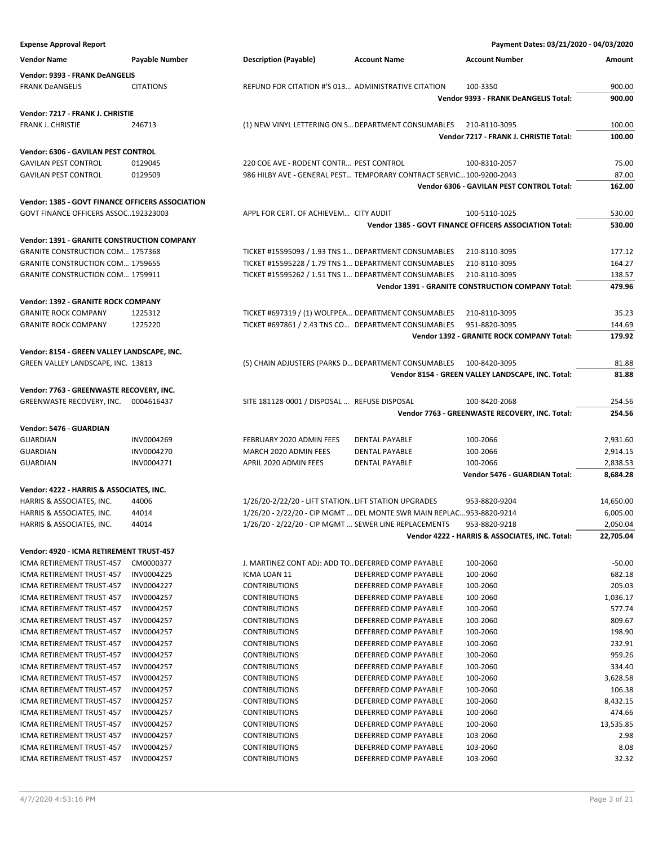| <b>Expense Approval Report</b>                     |                       |                                                       |                                                                       | Payment Dates: 03/21/2020 - 04/03/2020                   |                      |
|----------------------------------------------------|-----------------------|-------------------------------------------------------|-----------------------------------------------------------------------|----------------------------------------------------------|----------------------|
| <b>Vendor Name</b>                                 | <b>Payable Number</b> | <b>Description (Payable)</b>                          | <b>Account Name</b>                                                   | <b>Account Number</b>                                    | Amount               |
| Vendor: 9393 - FRANK DeANGELIS                     |                       |                                                       |                                                                       |                                                          |                      |
|                                                    | <b>CITATIONS</b>      | REFUND FOR CITATION #'S 013 ADMINISTRATIVE CITATION   |                                                                       |                                                          |                      |
| <b>FRANK DeANGELIS</b>                             |                       |                                                       |                                                                       | 100-3350<br><b>Vendor 9393 - FRANK DeANGELIS Total:</b>  | 900.00<br>900.00     |
|                                                    |                       |                                                       |                                                                       |                                                          |                      |
| Vendor: 7217 - FRANK J. CHRISTIE                   |                       |                                                       |                                                                       |                                                          |                      |
| FRANK J. CHRISTIE                                  | 246713                |                                                       | (1) NEW VINYL LETTERING ON S DEPARTMENT CONSUMABLES                   | 210-8110-3095                                            | 100.00               |
|                                                    |                       |                                                       |                                                                       | Vendor 7217 - FRANK J. CHRISTIE Total:                   | 100.00               |
| Vendor: 6306 - GAVILAN PEST CONTROL                |                       |                                                       |                                                                       |                                                          |                      |
| <b>GAVILAN PEST CONTROL</b>                        | 0129045               | 220 COE AVE - RODENT CONTR PEST CONTROL               |                                                                       | 100-8310-2057                                            | 75.00                |
| <b>GAVILAN PEST CONTROL</b>                        | 0129509               |                                                       | 986 HILBY AVE - GENERAL PEST TEMPORARY CONTRACT SERVIC100-9200-2043   |                                                          | 87.00                |
|                                                    |                       |                                                       |                                                                       | Vendor 6306 - GAVILAN PEST CONTROL Total:                | 162.00               |
|                                                    |                       |                                                       |                                                                       |                                                          |                      |
| Vendor: 1385 - GOVT FINANCE OFFICERS ASSOCIATION   |                       |                                                       |                                                                       |                                                          |                      |
| GOVT FINANCE OFFICERS ASSOC192323003               |                       | APPL FOR CERT. OF ACHIEVEM CITY AUDIT                 |                                                                       | 100-5110-1025                                            | 530.00               |
|                                                    |                       |                                                       |                                                                       | Vendor 1385 - GOVT FINANCE OFFICERS ASSOCIATION Total:   | 530.00               |
| <b>Vendor: 1391 - GRANITE CONSTRUCTION COMPANY</b> |                       |                                                       |                                                                       |                                                          |                      |
| <b>GRANITE CONSTRUCTION COM 1757368</b>            |                       |                                                       | TICKET #15595093 / 1.93 TNS 1 DEPARTMENT CONSUMABLES                  | 210-8110-3095                                            | 177.12               |
| <b>GRANITE CONSTRUCTION COM 1759655</b>            |                       |                                                       | TICKET #15595228 / 1.79 TNS 1 DEPARTMENT CONSUMABLES                  | 210-8110-3095                                            | 164.27               |
| <b>GRANITE CONSTRUCTION COM 1759911</b>            |                       |                                                       | TICKET #15595262 / 1.51 TNS 1 DEPARTMENT CONSUMABLES                  | 210-8110-3095                                            | 138.57               |
|                                                    |                       |                                                       |                                                                       | <b>Vendor 1391 - GRANITE CONSTRUCTION COMPANY Total:</b> | 479.96               |
| Vendor: 1392 - GRANITE ROCK COMPANY                |                       |                                                       |                                                                       |                                                          |                      |
| <b>GRANITE ROCK COMPANY</b>                        | 1225312               |                                                       | TICKET #697319 / (1) WOLFPEA DEPARTMENT CONSUMABLES                   | 210-8110-3095                                            | 35.23                |
| <b>GRANITE ROCK COMPANY</b>                        | 1225220               |                                                       | TICKET #697861 / 2.43 TNS CO DEPARTMENT CONSUMABLES                   | 951-8820-3095                                            | 144.69               |
|                                                    |                       |                                                       |                                                                       | <b>Vendor 1392 - GRANITE ROCK COMPANY Total:</b>         | 179.92               |
|                                                    |                       |                                                       |                                                                       |                                                          |                      |
| Vendor: 8154 - GREEN VALLEY LANDSCAPE, INC.        |                       |                                                       |                                                                       |                                                          |                      |
| GREEN VALLEY LANDSCAPE, INC. 13813                 |                       |                                                       | (5) CHAIN ADJUSTERS (PARKS D DEPARTMENT CONSUMABLES                   | 100-8420-3095                                            | 81.88                |
|                                                    |                       |                                                       |                                                                       | Vendor 8154 - GREEN VALLEY LANDSCAPE, INC. Total:        | 81.88                |
| Vendor: 7763 - GREENWASTE RECOVERY, INC.           |                       |                                                       |                                                                       |                                                          |                      |
| GREENWASTE RECOVERY, INC.                          | 0004616437            | SITE 181128-0001 / DISPOSAL  REFUSE DISPOSAL          |                                                                       | 100-8420-2068                                            | 254.56               |
|                                                    |                       |                                                       |                                                                       | Vendor 7763 - GREENWASTE RECOVERY, INC. Total:           | 254.56               |
| Vendor: 5476 - GUARDIAN                            |                       |                                                       |                                                                       |                                                          |                      |
| <b>GUARDIAN</b>                                    | INV0004269            | FEBRUARY 2020 ADMIN FEES                              | DENTAL PAYABLE                                                        | 100-2066                                                 | 2,931.60             |
| <b>GUARDIAN</b>                                    | INV0004270            | MARCH 2020 ADMIN FEES                                 | <b>DENTAL PAYABLE</b>                                                 | 100-2066                                                 |                      |
| <b>GUARDIAN</b>                                    |                       | APRIL 2020 ADMIN FEES                                 | <b>DENTAL PAYABLE</b>                                                 |                                                          | 2,914.15<br>2,838.53 |
|                                                    | INV0004271            |                                                       |                                                                       | 100-2066                                                 |                      |
|                                                    |                       |                                                       |                                                                       | Vendor 5476 - GUARDIAN Total:                            | 8,684.28             |
| Vendor: 4222 - HARRIS & ASSOCIATES, INC.           |                       |                                                       |                                                                       |                                                          |                      |
| HARRIS & ASSOCIATES, INC.                          | 44006                 | 1/26/20-2/22/20 - LIFT STATION LIFT STATION UPGRADES  |                                                                       | 953-8820-9204                                            | 14,650.00            |
| HARRIS & ASSOCIATES, INC.                          | 44014                 |                                                       | 1/26/20 - 2/22/20 - CIP MGMT  DEL MONTE SWR MAIN REPLAC 953-8820-9214 |                                                          | 6,005.00             |
| HARRIS & ASSOCIATES, INC.                          | 44014                 | 1/26/20 - 2/22/20 - CIP MGMT  SEWER LINE REPLACEMENTS |                                                                       | 953-8820-9218                                            | 2,050.04             |
|                                                    |                       |                                                       |                                                                       | Vendor 4222 - HARRIS & ASSOCIATES, INC. Total:           | 22,705.04            |
| Vendor: 4920 - ICMA RETIREMENT TRUST-457           |                       |                                                       |                                                                       |                                                          |                      |
| ICMA RETIREMENT TRUST-457                          | CM0000377             | J. MARTINEZ CONT ADJ: ADD TO DEFERRED COMP PAYABLE    |                                                                       | 100-2060                                                 | $-50.00$             |
| ICMA RETIREMENT TRUST-457                          | INV0004225            | ICMA LOAN 11                                          | DEFERRED COMP PAYABLE                                                 | 100-2060                                                 | 682.18               |
| ICMA RETIREMENT TRUST-457                          | INV0004227            | <b>CONTRIBUTIONS</b>                                  | DEFERRED COMP PAYABLE                                                 | 100-2060                                                 | 205.03               |
| ICMA RETIREMENT TRUST-457                          | INV0004257            | <b>CONTRIBUTIONS</b>                                  | DEFERRED COMP PAYABLE                                                 | 100-2060                                                 | 1,036.17             |
| ICMA RETIREMENT TRUST-457                          | INV0004257            | <b>CONTRIBUTIONS</b>                                  | DEFERRED COMP PAYABLE                                                 | 100-2060                                                 | 577.74               |
| ICMA RETIREMENT TRUST-457                          | INV0004257            | <b>CONTRIBUTIONS</b>                                  | DEFERRED COMP PAYABLE                                                 | 100-2060                                                 | 809.67               |
| ICMA RETIREMENT TRUST-457                          | INV0004257            | <b>CONTRIBUTIONS</b>                                  | DEFERRED COMP PAYABLE                                                 | 100-2060                                                 | 198.90               |
| ICMA RETIREMENT TRUST-457                          | INV0004257            | <b>CONTRIBUTIONS</b>                                  | DEFERRED COMP PAYABLE                                                 | 100-2060                                                 | 232.91               |
| ICMA RETIREMENT TRUST-457                          | INV0004257            | <b>CONTRIBUTIONS</b>                                  | DEFERRED COMP PAYABLE                                                 | 100-2060                                                 | 959.26               |
|                                                    |                       |                                                       |                                                                       |                                                          |                      |
| ICMA RETIREMENT TRUST-457                          | INV0004257            | <b>CONTRIBUTIONS</b>                                  | DEFERRED COMP PAYABLE                                                 | 100-2060                                                 | 334.40               |
| ICMA RETIREMENT TRUST-457                          | INV0004257            | <b>CONTRIBUTIONS</b>                                  | DEFERRED COMP PAYABLE                                                 | 100-2060                                                 | 3,628.58             |
| ICMA RETIREMENT TRUST-457                          | INV0004257            | <b>CONTRIBUTIONS</b>                                  | DEFERRED COMP PAYABLE                                                 | 100-2060                                                 | 106.38               |
| ICMA RETIREMENT TRUST-457                          | INV0004257            | <b>CONTRIBUTIONS</b>                                  | DEFERRED COMP PAYABLE                                                 | 100-2060                                                 | 8,432.15             |
| ICMA RETIREMENT TRUST-457                          | INV0004257            | <b>CONTRIBUTIONS</b>                                  | DEFERRED COMP PAYABLE                                                 | 100-2060                                                 | 474.66               |
| ICMA RETIREMENT TRUST-457                          | INV0004257            | <b>CONTRIBUTIONS</b>                                  | DEFERRED COMP PAYABLE                                                 | 100-2060                                                 | 13,535.85            |
| ICMA RETIREMENT TRUST-457                          | INV0004257            | <b>CONTRIBUTIONS</b>                                  | DEFERRED COMP PAYABLE                                                 | 103-2060                                                 | 2.98                 |
| ICMA RETIREMENT TRUST-457                          | INV0004257            | <b>CONTRIBUTIONS</b>                                  | DEFERRED COMP PAYABLE                                                 | 103-2060                                                 | 8.08                 |
| ICMA RETIREMENT TRUST-457                          | INV0004257            | <b>CONTRIBUTIONS</b>                                  | DEFERRED COMP PAYABLE                                                 | 103-2060                                                 | 32.32                |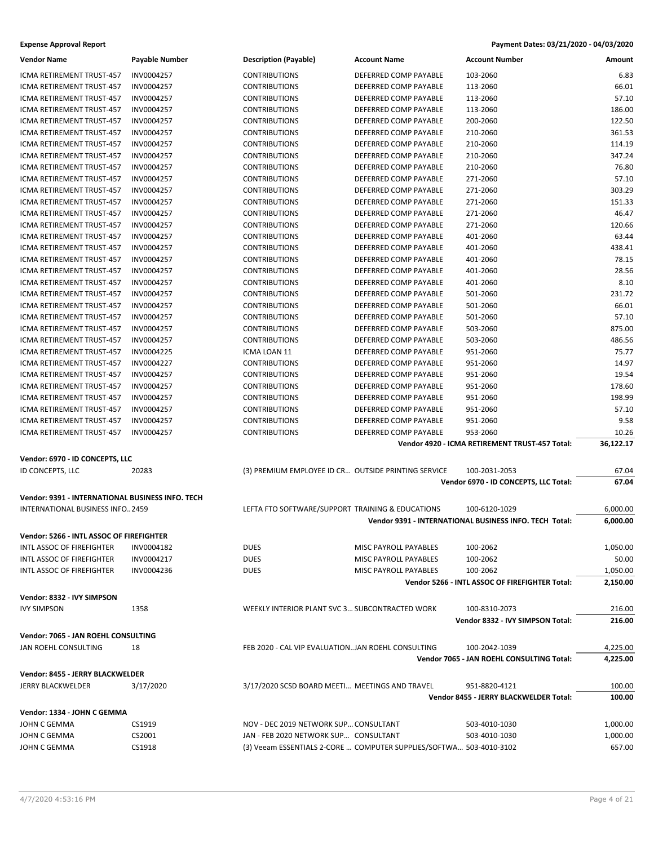| <b>Vendor Name</b>                                            | <b>Payable Number</b> | <b>Description (Payable)</b>                        | <b>Account Name</b>                                                 | <b>Account Number</b>                                  | Amount         |
|---------------------------------------------------------------|-----------------------|-----------------------------------------------------|---------------------------------------------------------------------|--------------------------------------------------------|----------------|
| ICMA RETIREMENT TRUST-457                                     | INV0004257            | <b>CONTRIBUTIONS</b>                                | DEFERRED COMP PAYABLE                                               | 103-2060                                               | 6.83           |
| ICMA RETIREMENT TRUST-457                                     | INV0004257            | <b>CONTRIBUTIONS</b>                                | DEFERRED COMP PAYABLE                                               | 113-2060                                               | 66.01          |
| ICMA RETIREMENT TRUST-457                                     | INV0004257            | <b>CONTRIBUTIONS</b>                                | DEFERRED COMP PAYABLE                                               | 113-2060                                               | 57.10          |
| ICMA RETIREMENT TRUST-457                                     | INV0004257            | <b>CONTRIBUTIONS</b>                                | DEFERRED COMP PAYABLE                                               | 113-2060                                               | 186.00         |
| ICMA RETIREMENT TRUST-457                                     | INV0004257            | <b>CONTRIBUTIONS</b>                                | DEFERRED COMP PAYABLE                                               | 200-2060                                               | 122.50         |
| ICMA RETIREMENT TRUST-457                                     | INV0004257            | <b>CONTRIBUTIONS</b>                                | DEFERRED COMP PAYABLE                                               | 210-2060                                               | 361.53         |
| ICMA RETIREMENT TRUST-457                                     | INV0004257            | <b>CONTRIBUTIONS</b>                                | DEFERRED COMP PAYABLE                                               | 210-2060                                               | 114.19         |
| ICMA RETIREMENT TRUST-457                                     | INV0004257            | <b>CONTRIBUTIONS</b>                                | DEFERRED COMP PAYABLE                                               | 210-2060                                               | 347.24         |
| ICMA RETIREMENT TRUST-457                                     | INV0004257            | <b>CONTRIBUTIONS</b>                                | DEFERRED COMP PAYABLE                                               | 210-2060                                               | 76.80          |
| ICMA RETIREMENT TRUST-457                                     | INV0004257            | <b>CONTRIBUTIONS</b>                                | DEFERRED COMP PAYABLE                                               | 271-2060                                               | 57.10          |
| ICMA RETIREMENT TRUST-457                                     | INV0004257            | <b>CONTRIBUTIONS</b>                                | DEFERRED COMP PAYABLE                                               | 271-2060                                               | 303.29         |
| ICMA RETIREMENT TRUST-457                                     | INV0004257            | <b>CONTRIBUTIONS</b>                                | DEFERRED COMP PAYABLE                                               | 271-2060                                               | 151.33         |
| ICMA RETIREMENT TRUST-457                                     | INV0004257            | <b>CONTRIBUTIONS</b>                                | DEFERRED COMP PAYABLE                                               | 271-2060                                               | 46.47          |
| ICMA RETIREMENT TRUST-457                                     | INV0004257            | <b>CONTRIBUTIONS</b>                                | DEFERRED COMP PAYABLE                                               | 271-2060                                               | 120.66         |
| ICMA RETIREMENT TRUST-457                                     | INV0004257            | <b>CONTRIBUTIONS</b>                                | DEFERRED COMP PAYABLE                                               | 401-2060                                               | 63.44          |
| ICMA RETIREMENT TRUST-457                                     | INV0004257            | <b>CONTRIBUTIONS</b>                                | DEFERRED COMP PAYABLE                                               | 401-2060                                               | 438.41         |
| ICMA RETIREMENT TRUST-457                                     | INV0004257            | <b>CONTRIBUTIONS</b>                                | DEFERRED COMP PAYABLE                                               | 401-2060                                               | 78.15          |
| ICMA RETIREMENT TRUST-457                                     | INV0004257            | <b>CONTRIBUTIONS</b>                                | DEFERRED COMP PAYABLE                                               | 401-2060                                               | 28.56          |
| ICMA RETIREMENT TRUST-457                                     | INV0004257            | <b>CONTRIBUTIONS</b>                                | DEFERRED COMP PAYABLE                                               | 401-2060                                               | 8.10           |
| ICMA RETIREMENT TRUST-457                                     | INV0004257            | <b>CONTRIBUTIONS</b>                                | DEFERRED COMP PAYABLE                                               | 501-2060                                               | 231.72         |
| ICMA RETIREMENT TRUST-457                                     | INV0004257            | <b>CONTRIBUTIONS</b>                                | DEFERRED COMP PAYABLE                                               | 501-2060                                               | 66.01          |
| ICMA RETIREMENT TRUST-457                                     | INV0004257            | <b>CONTRIBUTIONS</b>                                | DEFERRED COMP PAYABLE                                               | 501-2060                                               | 57.10          |
| ICMA RETIREMENT TRUST-457                                     | INV0004257            | <b>CONTRIBUTIONS</b>                                | DEFERRED COMP PAYABLE                                               | 503-2060                                               | 875.00         |
| <b>ICMA RETIREMENT TRUST-457</b>                              | INV0004257            | <b>CONTRIBUTIONS</b>                                | DEFERRED COMP PAYABLE                                               |                                                        | 486.56         |
| ICMA RETIREMENT TRUST-457                                     |                       |                                                     | DEFERRED COMP PAYABLE                                               | 503-2060                                               |                |
|                                                               | INV0004225            | ICMA LOAN 11<br><b>CONTRIBUTIONS</b>                | DEFERRED COMP PAYABLE                                               | 951-2060                                               | 75.77<br>14.97 |
| ICMA RETIREMENT TRUST-457                                     | INV0004227            |                                                     |                                                                     | 951-2060                                               |                |
| ICMA RETIREMENT TRUST-457                                     | INV0004257            | <b>CONTRIBUTIONS</b>                                | DEFERRED COMP PAYABLE                                               | 951-2060                                               | 19.54          |
| ICMA RETIREMENT TRUST-457                                     | INV0004257            | <b>CONTRIBUTIONS</b>                                | DEFERRED COMP PAYABLE                                               | 951-2060                                               | 178.60         |
| ICMA RETIREMENT TRUST-457                                     | INV0004257            | <b>CONTRIBUTIONS</b>                                | DEFERRED COMP PAYABLE                                               | 951-2060                                               | 198.99         |
| ICMA RETIREMENT TRUST-457                                     | INV0004257            | <b>CONTRIBUTIONS</b>                                | DEFERRED COMP PAYABLE                                               | 951-2060                                               | 57.10          |
| ICMA RETIREMENT TRUST-457                                     | INV0004257            | <b>CONTRIBUTIONS</b>                                | DEFERRED COMP PAYABLE                                               | 951-2060                                               | 9.58           |
| ICMA RETIREMENT TRUST-457                                     | INV0004257            | <b>CONTRIBUTIONS</b>                                | DEFERRED COMP PAYABLE                                               | 953-2060                                               | 10.26          |
|                                                               |                       |                                                     |                                                                     | Vendor 4920 - ICMA RETIREMENT TRUST-457 Total:         | 36,122.17      |
| Vendor: 6970 - ID CONCEPTS, LLC                               |                       |                                                     |                                                                     |                                                        |                |
| ID CONCEPTS, LLC                                              | 20283                 | (3) PREMIUM EMPLOYEE ID CR OUTSIDE PRINTING SERVICE |                                                                     | 100-2031-2053                                          | 67.04          |
|                                                               |                       |                                                     |                                                                     | Vendor 6970 - ID CONCEPTS, LLC Total:                  | 67.04          |
| Vendor: 9391 - INTERNATIONAL BUSINESS INFO. TECH              |                       |                                                     |                                                                     |                                                        |                |
| INTERNATIONAL BUSINESS INFO 2459                              |                       | LEFTA FTO SOFTWARE/SUPPORT TRAINING & EDUCATIONS    |                                                                     | 100-6120-1029                                          | 6,000.00       |
|                                                               |                       |                                                     |                                                                     | Vendor 9391 - INTERNATIONAL BUSINESS INFO. TECH Total: | 6,000.00       |
| Vendor: 5266 - INTL ASSOC OF FIREFIGHTER                      |                       |                                                     |                                                                     |                                                        |                |
|                                                               | INV0004182            | <b>DUES</b>                                         |                                                                     | 100-2062                                               |                |
| INTL ASSOC OF FIREFIGHTER<br><b>INTL ASSOC OF FIREFIGHTER</b> | INV0004217            |                                                     | MISC PAYROLL PAYABLES                                               |                                                        | 1,050.00       |
| <b>INTL ASSOC OF FIREFIGHTER</b>                              |                       | <b>DUES</b>                                         | MISC PAYROLL PAYABLES                                               | 100-2062<br>100-2062                                   | 50.00          |
|                                                               | INV0004236            | <b>DUES</b>                                         | MISC PAYROLL PAYABLES                                               | Vendor 5266 - INTL ASSOC OF FIREFIGHTER Total:         | 1,050.00       |
|                                                               |                       |                                                     |                                                                     |                                                        | 2,150.00       |
| Vendor: 8332 - IVY SIMPSON                                    |                       |                                                     |                                                                     |                                                        |                |
| <b>IVY SIMPSON</b>                                            | 1358                  | WEEKLY INTERIOR PLANT SVC 3 SUBCONTRACTED WORK      |                                                                     | 100-8310-2073                                          | 216.00         |
|                                                               |                       |                                                     |                                                                     | Vendor 8332 - IVY SIMPSON Total:                       | 216.00         |
| Vendor: 7065 - JAN ROEHL CONSULTING                           |                       |                                                     |                                                                     |                                                        |                |
| JAN ROEHL CONSULTING                                          | 18                    | FEB 2020 - CAL VIP EVALUATIONJAN ROEHL CONSULTING   |                                                                     | 100-2042-1039                                          | 4,225.00       |
|                                                               |                       |                                                     |                                                                     | Vendor 7065 - JAN ROEHL CONSULTING Total:              | 4,225.00       |
|                                                               |                       |                                                     |                                                                     |                                                        |                |
| Vendor: 8455 - JERRY BLACKWELDER                              |                       |                                                     |                                                                     |                                                        |                |
| JERRY BLACKWELDER                                             | 3/17/2020             | 3/17/2020 SCSD BOARD MEETI MEETINGS AND TRAVEL      |                                                                     | 951-8820-4121                                          | 100.00         |
|                                                               |                       |                                                     |                                                                     | Vendor 8455 - JERRY BLACKWELDER Total:                 | 100.00         |
| Vendor: 1334 - JOHN C GEMMA                                   |                       |                                                     |                                                                     |                                                        |                |
| JOHN C GEMMA                                                  | CS1919                | NOV - DEC 2019 NETWORK SUP CONSULTANT               |                                                                     | 503-4010-1030                                          | 1,000.00       |
| JOHN C GEMMA                                                  | CS2001                | JAN - FEB 2020 NETWORK SUP CONSULTANT               |                                                                     | 503-4010-1030                                          | 1,000.00       |
| JOHN C GEMMA                                                  | CS1918                |                                                     | (3) Veeam ESSENTIALS 2-CORE  COMPUTER SUPPLIES/SOFTWA 503-4010-3102 |                                                        | 657.00         |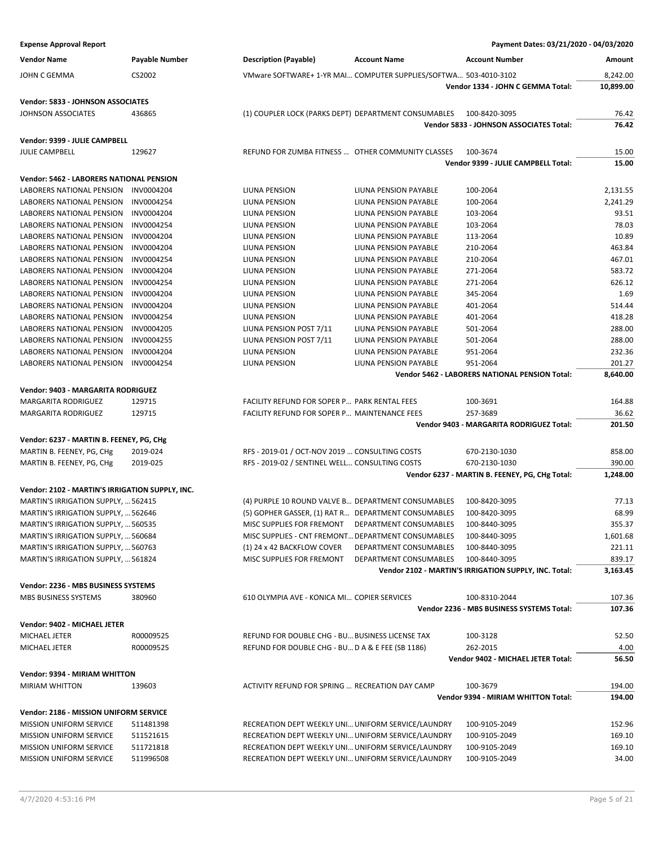| <b>Expense Approval Report</b>                  |                       |                                                      |                                                                  | Payment Dates: 03/21/2020 - 04/03/2020                |           |
|-------------------------------------------------|-----------------------|------------------------------------------------------|------------------------------------------------------------------|-------------------------------------------------------|-----------|
| <b>Vendor Name</b>                              | <b>Payable Number</b> | <b>Description (Payable)</b>                         | <b>Account Name</b>                                              | <b>Account Number</b>                                 | Amount    |
| <b>JOHN C GEMMA</b>                             | CS2002                |                                                      | VMware SOFTWARE+ 1-YR MAI COMPUTER SUPPLIES/SOFTWA 503-4010-3102 |                                                       | 8,242.00  |
|                                                 |                       |                                                      |                                                                  | Vendor 1334 - JOHN C GEMMA Total:                     | 10,899.00 |
| Vendor: 5833 - JOHNSON ASSOCIATES               |                       |                                                      |                                                                  |                                                       |           |
| JOHNSON ASSOCIATES                              | 436865                | (1) COUPLER LOCK (PARKS DEPT) DEPARTMENT CONSUMABLES |                                                                  | 100-8420-3095                                         | 76.42     |
|                                                 |                       |                                                      |                                                                  | Vendor 5833 - JOHNSON ASSOCIATES Total:               | 76.42     |
| Vendor: 9399 - JULIE CAMPBELL                   |                       |                                                      |                                                                  |                                                       |           |
| <b>JULIE CAMPBELL</b>                           | 129627                | REFUND FOR ZUMBA FITNESS  OTHER COMMUNITY CLASSES    |                                                                  | 100-3674                                              | 15.00     |
|                                                 |                       |                                                      |                                                                  | Vendor 9399 - JULIE CAMPBELL Total:                   | 15.00     |
| Vendor: 5462 - LABORERS NATIONAL PENSION        |                       |                                                      |                                                                  |                                                       |           |
| LABORERS NATIONAL PENSION                       | INV0004204            | LIUNA PENSION                                        | LIUNA PENSION PAYABLE                                            | 100-2064                                              | 2,131.55  |
| LABORERS NATIONAL PENSION                       | INV0004254            | LIUNA PENSION                                        | LIUNA PENSION PAYABLE                                            | 100-2064                                              | 2,241.29  |
| LABORERS NATIONAL PENSION                       | INV0004204            | LIUNA PENSION                                        | LIUNA PENSION PAYABLE                                            | 103-2064                                              | 93.51     |
| LABORERS NATIONAL PENSION                       | INV0004254            | LIUNA PENSION                                        | LIUNA PENSION PAYABLE                                            | 103-2064                                              | 78.03     |
| LABORERS NATIONAL PENSION                       | INV0004204            | LIUNA PENSION                                        | LIUNA PENSION PAYABLE                                            | 113-2064                                              | 10.89     |
| <b>LABORERS NATIONAL PENSION</b>                | INV0004204            | LIUNA PENSION                                        | LIUNA PENSION PAYABLE                                            | 210-2064                                              | 463.84    |
| LABORERS NATIONAL PENSION                       | INV0004254            | LIUNA PENSION                                        | LIUNA PENSION PAYABLE                                            | 210-2064                                              | 467.01    |
| LABORERS NATIONAL PENSION                       | INV0004204            | LIUNA PENSION                                        | LIUNA PENSION PAYABLE                                            | 271-2064                                              | 583.72    |
| LABORERS NATIONAL PENSION                       | INV0004254            | LIUNA PENSION                                        | LIUNA PENSION PAYABLE                                            | 271-2064                                              | 626.12    |
| <b>LABORERS NATIONAL PENSION</b>                | INV0004204            | LIUNA PENSION                                        | <b>LIUNA PENSION PAYABLE</b>                                     | 345-2064                                              | 1.69      |
| LABORERS NATIONAL PENSION                       | INV0004204            | LIUNA PENSION                                        | LIUNA PENSION PAYABLE                                            | 401-2064                                              | 514.44    |
| LABORERS NATIONAL PENSION                       | INV0004254            | LIUNA PENSION                                        | LIUNA PENSION PAYABLE                                            | 401-2064                                              | 418.28    |
| LABORERS NATIONAL PENSION                       | INV0004205            | LIUNA PENSION POST 7/11                              | LIUNA PENSION PAYABLE                                            | 501-2064                                              | 288.00    |
| LABORERS NATIONAL PENSION                       | INV0004255            | LIUNA PENSION POST 7/11                              | <b>LIUNA PENSION PAYABLE</b>                                     | 501-2064                                              | 288.00    |
| LABORERS NATIONAL PENSION                       | INV0004204            | LIUNA PENSION                                        | LIUNA PENSION PAYABLE                                            | 951-2064                                              | 232.36    |
| LABORERS NATIONAL PENSION                       | INV0004254            | LIUNA PENSION                                        | LIUNA PENSION PAYABLE                                            | 951-2064                                              | 201.27    |
|                                                 |                       |                                                      |                                                                  | Vendor 5462 - LABORERS NATIONAL PENSION Total:        | 8,640.00  |
| Vendor: 9403 - MARGARITA RODRIGUEZ              |                       |                                                      |                                                                  |                                                       |           |
| <b>MARGARITA RODRIGUEZ</b>                      | 129715                | FACILITY REFUND FOR SOPER P PARK RENTAL FEES         |                                                                  | 100-3691                                              | 164.88    |
| MARGARITA RODRIGUEZ                             | 129715                | FACILITY REFUND FOR SOPER P MAINTENANCE FEES         |                                                                  | 257-3689                                              | 36.62     |
|                                                 |                       |                                                      |                                                                  | Vendor 9403 - MARGARITA RODRIGUEZ Total:              | 201.50    |
| Vendor: 6237 - MARTIN B. FEENEY, PG, CHg        |                       |                                                      |                                                                  |                                                       |           |
| MARTIN B. FEENEY, PG, CHg                       | 2019-024              | RFS - 2019-01 / OCT-NOV 2019  CONSULTING COSTS       |                                                                  | 670-2130-1030                                         | 858.00    |
| MARTIN B. FEENEY, PG, CHg                       | 2019-025              | RFS - 2019-02 / SENTINEL WELL CONSULTING COSTS       |                                                                  | 670-2130-1030                                         | 390.00    |
|                                                 |                       |                                                      |                                                                  | Vendor 6237 - MARTIN B. FEENEY, PG, CHg Total:        | 1,248.00  |
| Vendor: 2102 - MARTIN'S IRRIGATION SUPPLY, INC. |                       |                                                      |                                                                  |                                                       |           |
| MARTIN'S IRRIGATION SUPPLY,  562415             |                       | (4) PURPLE 10 ROUND VALVE B DEPARTMENT CONSUMABLES   |                                                                  | 100-8420-3095                                         | 77.13     |
| MARTIN'S IRRIGATION SUPPLY,  562646             |                       |                                                      | (5) GOPHER GASSER, (1) RAT R DEPARTMENT CONSUMABLES              | 100-8420-3095                                         | 68.99     |
| MARTIN'S IRRIGATION SUPPLY,  560535             |                       | MISC SUPPLIES FOR FREMONT                            | DEPARTMENT CONSUMABLES                                           | 100-8440-3095                                         | 355.37    |
| MARTIN'S IRRIGATION SUPPLY,  560684             |                       | MISC SUPPLIES - CNT FREMONT DEPARTMENT CONSUMABLES   |                                                                  | 100-8440-3095                                         | 1,601.68  |
| MARTIN'S IRRIGATION SUPPLY,  560763             |                       | (1) 24 x 42 BACKFLOW COVER                           | DEPARTMENT CONSUMABLES                                           | 100-8440-3095                                         | 221.11    |
| MARTIN'S IRRIGATION SUPPLY,  561824             |                       | MISC SUPPLIES FOR FREMONT                            | DEPARTMENT CONSUMABLES                                           | 100-8440-3095                                         | 839.17    |
|                                                 |                       |                                                      |                                                                  | Vendor 2102 - MARTIN'S IRRIGATION SUPPLY, INC. Total: | 3,163.45  |
| Vendor: 2236 - MBS BUSINESS SYSTEMS             |                       |                                                      |                                                                  |                                                       |           |
| MBS BUSINESS SYSTEMS                            | 380960                | 610 OLYMPIA AVE - KONICA MI COPIER SERVICES          |                                                                  | 100-8310-2044                                         | 107.36    |
|                                                 |                       |                                                      |                                                                  | Vendor 2236 - MBS BUSINESS SYSTEMS Total:             | 107.36    |
|                                                 |                       |                                                      |                                                                  |                                                       |           |
| Vendor: 9402 - MICHAEL JETER                    |                       |                                                      |                                                                  |                                                       |           |
| MICHAEL JETER                                   | R00009525             | REFUND FOR DOUBLE CHG - BU BUSINESS LICENSE TAX      |                                                                  | 100-3128                                              | 52.50     |
| MICHAEL JETER                                   | R00009525             | REFUND FOR DOUBLE CHG - BU D A & E FEE (SB 1186)     |                                                                  | 262-2015                                              | 4.00      |
|                                                 |                       |                                                      |                                                                  | Vendor 9402 - MICHAEL JETER Total:                    | 56.50     |
| Vendor: 9394 - MIRIAM WHITTON                   |                       |                                                      |                                                                  |                                                       |           |
| <b>MIRIAM WHITTON</b>                           | 139603                | ACTIVITY REFUND FOR SPRING  RECREATION DAY CAMP      |                                                                  | 100-3679                                              | 194.00    |
|                                                 |                       |                                                      |                                                                  | Vendor 9394 - MIRIAM WHITTON Total:                   | 194.00    |
| Vendor: 2186 - MISSION UNIFORM SERVICE          |                       |                                                      |                                                                  |                                                       |           |
| <b>MISSION UNIFORM SERVICE</b>                  | 511481398             | RECREATION DEPT WEEKLY UNI UNIFORM SERVICE/LAUNDRY   |                                                                  | 100-9105-2049                                         | 152.96    |
| <b>MISSION UNIFORM SERVICE</b>                  | 511521615             | RECREATION DEPT WEEKLY UNI UNIFORM SERVICE/LAUNDRY   |                                                                  | 100-9105-2049                                         | 169.10    |
| <b>MISSION UNIFORM SERVICE</b>                  | 511721818             | RECREATION DEPT WEEKLY UNI UNIFORM SERVICE/LAUNDRY   |                                                                  | 100-9105-2049                                         | 169.10    |
| <b>MISSION UNIFORM SERVICE</b>                  | 511996508             | RECREATION DEPT WEEKLY UNI UNIFORM SERVICE/LAUNDRY   |                                                                  | 100-9105-2049                                         | 34.00     |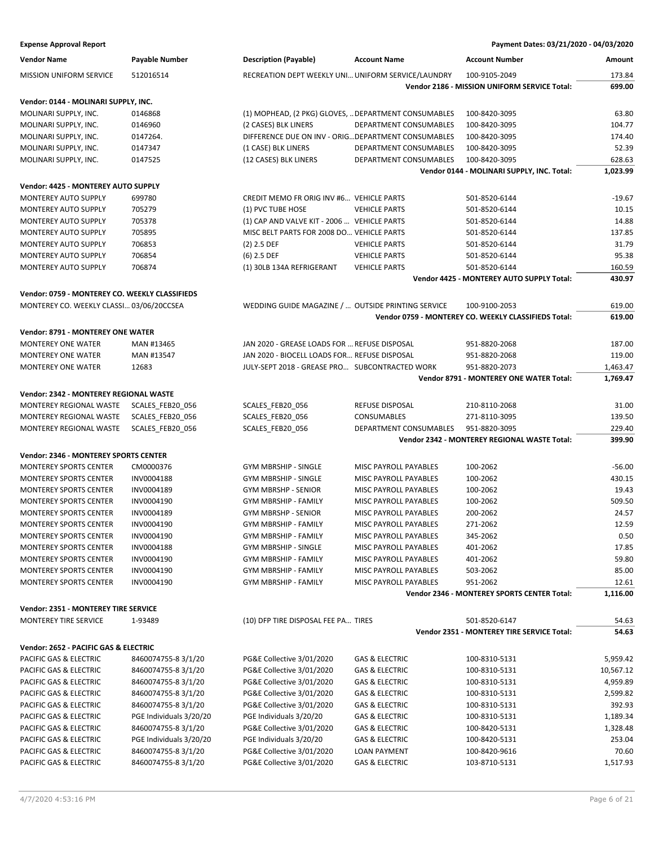| <b>Expense Approval Report</b> | Payment Dates: 03/21/2020 - 04/03/2020 |
|--------------------------------|----------------------------------------|
|--------------------------------|----------------------------------------|

| <b>Vendor Name</b>                             | Payable Number          | <b>Description (Payable)</b>                         | <b>Account Name</b>          | <b>Account Number</b>                                | Amount    |
|------------------------------------------------|-------------------------|------------------------------------------------------|------------------------------|------------------------------------------------------|-----------|
| MISSION UNIFORM SERVICE                        | 512016514               | RECREATION DEPT WEEKLY UNI UNIFORM SERVICE/LAUNDRY   |                              | 100-9105-2049                                        | 173.84    |
|                                                |                         |                                                      |                              | Vendor 2186 - MISSION UNIFORM SERVICE Total:         | 699.00    |
| Vendor: 0144 - MOLINARI SUPPLY, INC.           |                         |                                                      |                              |                                                      |           |
| MOLINARI SUPPLY, INC.                          | 0146868                 | (1) MOPHEAD, (2 PKG) GLOVES,  DEPARTMENT CONSUMABLES |                              | 100-8420-3095                                        | 63.80     |
| MOLINARI SUPPLY, INC.                          | 0146960                 | (2 CASES) BLK LINERS                                 | DEPARTMENT CONSUMABLES       | 100-8420-3095                                        | 104.77    |
| MOLINARI SUPPLY, INC.                          | 0147264.                | DIFFERENCE DUE ON INV - ORIG DEPARTMENT CONSUMABLES  |                              | 100-8420-3095                                        | 174.40    |
| MOLINARI SUPPLY, INC.                          | 0147347                 | (1 CASE) BLK LINERS                                  | DEPARTMENT CONSUMABLES       | 100-8420-3095                                        | 52.39     |
| MOLINARI SUPPLY, INC.                          | 0147525                 | (12 CASES) BLK LINERS                                | DEPARTMENT CONSUMABLES       | 100-8420-3095                                        | 628.63    |
|                                                |                         |                                                      |                              | Vendor 0144 - MOLINARI SUPPLY, INC. Total:           | 1,023.99  |
| Vendor: 4425 - MONTEREY AUTO SUPPLY            |                         |                                                      |                              |                                                      |           |
| MONTEREY AUTO SUPPLY                           | 699780                  | CREDIT MEMO FR ORIG INV #6 VEHICLE PARTS             |                              | 501-8520-6144                                        | $-19.67$  |
| MONTEREY AUTO SUPPLY                           | 705279                  | (1) PVC TUBE HOSE                                    | <b>VEHICLE PARTS</b>         | 501-8520-6144                                        | 10.15     |
| <b>MONTEREY AUTO SUPPLY</b>                    | 705378                  | (1) CAP AND VALVE KIT - 2006  VEHICLE PARTS          |                              | 501-8520-6144                                        | 14.88     |
| <b>MONTEREY AUTO SUPPLY</b>                    | 705895                  | MISC BELT PARTS FOR 2008 DO VEHICLE PARTS            |                              | 501-8520-6144                                        | 137.85    |
| MONTEREY AUTO SUPPLY                           | 706853                  | $(2)$ 2.5 DEF                                        | <b>VEHICLE PARTS</b>         | 501-8520-6144                                        | 31.79     |
| MONTEREY AUTO SUPPLY                           | 706854                  | $(6)$ 2.5 DEF                                        | <b>VEHICLE PARTS</b>         | 501-8520-6144                                        | 95.38     |
| MONTEREY AUTO SUPPLY                           | 706874                  | (1) 30LB 134A REFRIGERANT                            | <b>VEHICLE PARTS</b>         | 501-8520-6144                                        | 160.59    |
|                                                |                         |                                                      |                              | Vendor 4425 - MONTEREY AUTO SUPPLY Total:            | 430.97    |
|                                                |                         |                                                      |                              |                                                      |           |
| Vendor: 0759 - MONTEREY CO. WEEKLY CLASSIFIEDS |                         |                                                      |                              |                                                      |           |
| MONTEREY CO. WEEKLY CLASSI 03/06/20CCSEA       |                         | WEDDING GUIDE MAGAZINE /  OUTSIDE PRINTING SERVICE   |                              | 100-9100-2053                                        | 619.00    |
|                                                |                         |                                                      |                              | Vendor 0759 - MONTEREY CO. WEEKLY CLASSIFIEDS Total: | 619.00    |
| Vendor: 8791 - MONTEREY ONE WATER              |                         |                                                      |                              |                                                      |           |
| MONTEREY ONE WATER                             | MAN #13465              | JAN 2020 - GREASE LOADS FOR  REFUSE DISPOSAL         |                              | 951-8820-2068                                        | 187.00    |
| <b>MONTEREY ONE WATER</b>                      | MAN #13547              | JAN 2020 - BIOCELL LOADS FOR REFUSE DISPOSAL         |                              | 951-8820-2068                                        | 119.00    |
| <b>MONTEREY ONE WATER</b>                      | 12683                   | JULY-SEPT 2018 - GREASE PRO SUBCONTRACTED WORK       |                              | 951-8820-2073                                        | 1,463.47  |
|                                                |                         |                                                      |                              | Vendor 8791 - MONTEREY ONE WATER Total:              | 1,769.47  |
| Vendor: 2342 - MONTEREY REGIONAL WASTE         |                         |                                                      |                              |                                                      |           |
| MONTEREY REGIONAL WASTE                        | SCALES_FEB20_056        | SCALES_FEB20_056                                     | REFUSE DISPOSAL              | 210-8110-2068                                        | 31.00     |
| MONTEREY REGIONAL WASTE                        | SCALES_FEB20_056        | SCALES_FEB20_056                                     | CONSUMABLES                  | 271-8110-3095                                        | 139.50    |
| MONTEREY REGIONAL WASTE                        | SCALES_FEB20_056        | SCALES_FEB20_056                                     | DEPARTMENT CONSUMABLES       | 951-8820-3095                                        | 229.40    |
|                                                |                         |                                                      |                              | Vendor 2342 - MONTEREY REGIONAL WASTE Total:         | 399.90    |
| <b>Vendor: 2346 - MONTEREY SPORTS CENTER</b>   |                         |                                                      |                              |                                                      |           |
| <b>MONTEREY SPORTS CENTER</b>                  | CM0000376               | <b>GYM MBRSHIP - SINGLE</b>                          | MISC PAYROLL PAYABLES        | 100-2062                                             | $-56.00$  |
| <b>MONTEREY SPORTS CENTER</b>                  | INV0004188              | GYM MBRSHIP - SINGLE                                 | MISC PAYROLL PAYABLES        | 100-2062                                             | 430.15    |
| <b>MONTEREY SPORTS CENTER</b>                  | INV0004189              | <b>GYM MBRSHP - SENIOR</b>                           | MISC PAYROLL PAYABLES        | 100-2062                                             | 19.43     |
| <b>MONTEREY SPORTS CENTER</b>                  | INV0004190              | <b>GYM MBRSHIP - FAMILY</b>                          | <b>MISC PAYROLL PAYABLES</b> | 100-2062                                             | 509.50    |
|                                                |                         | <b>GYM MBRSHP - SENIOR</b>                           |                              | 200-2062                                             | 24.57     |
| <b>MONTEREY SPORTS CENTER</b>                  | INV0004189              |                                                      | MISC PAYROLL PAYABLES        |                                                      |           |
| MONTEREY SPORTS CENTER                         | INV0004190              | <b>GYM MBRSHIP - FAMILY</b>                          | MISC PAYROLL PAYABLES        | 271-2062                                             | 12.59     |
| <b>MONTEREY SPORTS CENTER</b>                  | INV0004190              | <b>GYM MBRSHIP - FAMILY</b>                          | MISC PAYROLL PAYABLES        | 345-2062                                             | 0.50      |
| <b>MONTEREY SPORTS CENTER</b>                  | INV0004188              | <b>GYM MBRSHIP - SINGLE</b>                          | MISC PAYROLL PAYABLES        | 401-2062                                             | 17.85     |
| <b>MONTEREY SPORTS CENTER</b>                  | INV0004190              | GYM MBRSHIP - FAMILY                                 | MISC PAYROLL PAYABLES        | 401-2062                                             | 59.80     |
| <b>MONTEREY SPORTS CENTER</b>                  | INV0004190              | GYM MBRSHIP - FAMILY                                 | MISC PAYROLL PAYABLES        | 503-2062                                             | 85.00     |
| <b>MONTEREY SPORTS CENTER</b>                  | INV0004190              | <b>GYM MBRSHIP - FAMILY</b>                          | MISC PAYROLL PAYABLES        | 951-2062                                             | 12.61     |
|                                                |                         |                                                      |                              | Vendor 2346 - MONTEREY SPORTS CENTER Total:          | 1,116.00  |
| Vendor: 2351 - MONTEREY TIRE SERVICE           |                         |                                                      |                              |                                                      |           |
| MONTEREY TIRE SERVICE                          | 1-93489                 | (10) DFP TIRE DISPOSAL FEE PA TIRES                  |                              | 501-8520-6147                                        | 54.63     |
|                                                |                         |                                                      |                              | Vendor 2351 - MONTEREY TIRE SERVICE Total:           | 54.63     |
| Vendor: 2652 - PACIFIC GAS & ELECTRIC          |                         |                                                      |                              |                                                      |           |
| PACIFIC GAS & ELECTRIC                         | 8460074755-8 3/1/20     | PG&E Collective 3/01/2020                            | <b>GAS &amp; ELECTRIC</b>    | 100-8310-5131                                        | 5,959.42  |
| PACIFIC GAS & ELECTRIC                         | 8460074755-8 3/1/20     | PG&E Collective 3/01/2020                            | GAS & ELECTRIC               | 100-8310-5131                                        | 10,567.12 |
| PACIFIC GAS & ELECTRIC                         | 8460074755-8 3/1/20     | PG&E Collective 3/01/2020                            | GAS & ELECTRIC               | 100-8310-5131                                        | 4,959.89  |
| PACIFIC GAS & ELECTRIC                         | 8460074755-8 3/1/20     | PG&E Collective 3/01/2020                            | GAS & ELECTRIC               | 100-8310-5131                                        | 2,599.82  |
| PACIFIC GAS & ELECTRIC                         | 8460074755-8 3/1/20     | PG&E Collective 3/01/2020                            | GAS & ELECTRIC               | 100-8310-5131                                        | 392.93    |
| PACIFIC GAS & ELECTRIC                         | PGE Individuals 3/20/20 | PGE Individuals 3/20/20                              | <b>GAS &amp; ELECTRIC</b>    | 100-8310-5131                                        | 1,189.34  |
| PACIFIC GAS & ELECTRIC                         | 8460074755-8 3/1/20     | PG&E Collective 3/01/2020                            | GAS & ELECTRIC               | 100-8420-5131                                        | 1,328.48  |
| PACIFIC GAS & ELECTRIC                         | PGE Individuals 3/20/20 | PGE Individuals 3/20/20                              | GAS & ELECTRIC               | 100-8420-5131                                        | 253.04    |
| PACIFIC GAS & ELECTRIC                         | 8460074755-8 3/1/20     | PG&E Collective 3/01/2020                            | <b>LOAN PAYMENT</b>          | 100-8420-9616                                        | 70.60     |
| PACIFIC GAS & ELECTRIC                         | 8460074755-83/1/20      | PG&E Collective 3/01/2020                            | <b>GAS &amp; ELECTRIC</b>    | 103-8710-5131                                        | 1,517.93  |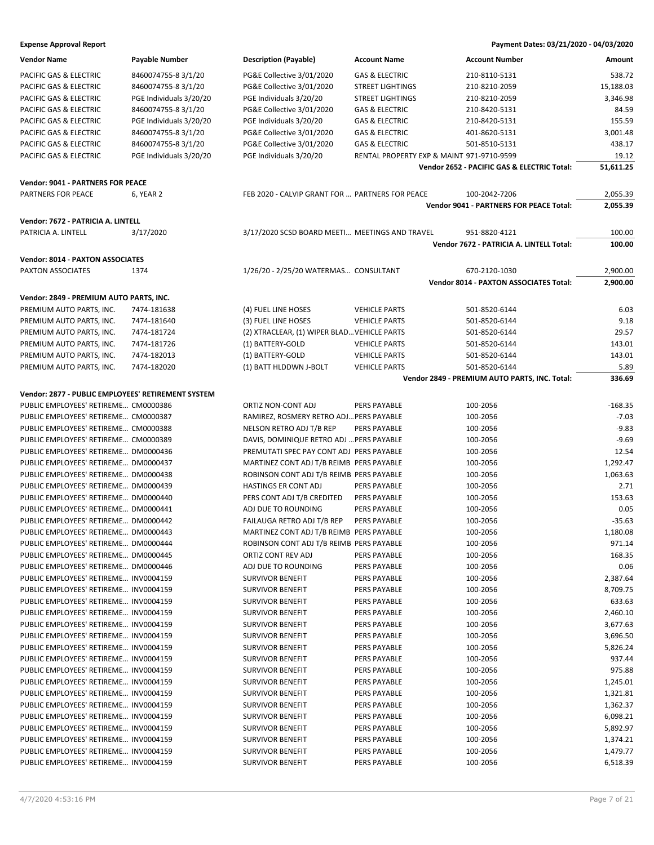| <b>Vendor Name</b>                                 | Payable Number          | <b>Description (Payable)</b>                    | <b>Account Name</b>                       | <b>Account Number</b>                         | Amount    |
|----------------------------------------------------|-------------------------|-------------------------------------------------|-------------------------------------------|-----------------------------------------------|-----------|
| PACIFIC GAS & ELECTRIC                             | 8460074755-8 3/1/20     | PG&E Collective 3/01/2020                       | <b>GAS &amp; ELECTRIC</b>                 | 210-8110-5131                                 | 538.72    |
| PACIFIC GAS & ELECTRIC                             | 8460074755-8 3/1/20     | PG&E Collective 3/01/2020                       | <b>STREET LIGHTINGS</b>                   | 210-8210-2059                                 | 15,188.03 |
| PACIFIC GAS & ELECTRIC                             | PGE Individuals 3/20/20 | PGE Individuals 3/20/20                         | <b>STREET LIGHTINGS</b>                   | 210-8210-2059                                 | 3,346.98  |
| PACIFIC GAS & ELECTRIC                             | 8460074755-8 3/1/20     | PG&E Collective 3/01/2020                       | <b>GAS &amp; ELECTRIC</b>                 | 210-8420-5131                                 | 84.59     |
| PACIFIC GAS & ELECTRIC                             | PGE Individuals 3/20/20 | PGE Individuals 3/20/20                         | <b>GAS &amp; ELECTRIC</b>                 | 210-8420-5131                                 | 155.59    |
| PACIFIC GAS & ELECTRIC                             | 8460074755-8 3/1/20     | PG&E Collective 3/01/2020                       | <b>GAS &amp; ELECTRIC</b>                 | 401-8620-5131                                 | 3,001.48  |
| PACIFIC GAS & ELECTRIC                             | 8460074755-8 3/1/20     | PG&E Collective 3/01/2020                       | <b>GAS &amp; ELECTRIC</b>                 | 501-8510-5131                                 | 438.17    |
| PACIFIC GAS & ELECTRIC                             | PGE Individuals 3/20/20 | PGE Individuals 3/20/20                         | RENTAL PROPERTY EXP & MAINT 971-9710-9599 |                                               | 19.12     |
|                                                    |                         |                                                 |                                           | Vendor 2652 - PACIFIC GAS & ELECTRIC Total:   | 51,611.25 |
| <b>Vendor: 9041 - PARTNERS FOR PEACE</b>           |                         |                                                 |                                           |                                               |           |
| <b>PARTNERS FOR PEACE</b>                          | 6, YEAR 2               | FEB 2020 - CALVIP GRANT FOR  PARTNERS FOR PEACE |                                           | 100-2042-7206                                 | 2,055.39  |
|                                                    |                         |                                                 |                                           | Vendor 9041 - PARTNERS FOR PEACE Total:       | 2,055.39  |
|                                                    |                         |                                                 |                                           |                                               |           |
| Vendor: 7672 - PATRICIA A. LINTELL                 |                         |                                                 |                                           |                                               |           |
| PATRICIA A. LINTELL                                | 3/17/2020               | 3/17/2020 SCSD BOARD MEETI MEETINGS AND TRAVEL  |                                           | 951-8820-4121                                 | 100.00    |
|                                                    |                         |                                                 |                                           | Vendor 7672 - PATRICIA A. LINTELL Total:      | 100.00    |
| <b>Vendor: 8014 - PAXTON ASSOCIATES</b>            |                         |                                                 |                                           |                                               |           |
| PAXTON ASSOCIATES                                  | 1374                    | 1/26/20 - 2/25/20 WATERMAS CONSULTANT           |                                           | 670-2120-1030                                 | 2,900.00  |
|                                                    |                         |                                                 |                                           | <b>Vendor 8014 - PAXTON ASSOCIATES Total:</b> | 2,900.00  |
| Vendor: 2849 - PREMIUM AUTO PARTS, INC.            |                         |                                                 |                                           |                                               |           |
| PREMIUM AUTO PARTS, INC.                           | 7474-181638             | (4) FUEL LINE HOSES                             | <b>VEHICLE PARTS</b>                      | 501-8520-6144                                 | 6.03      |
| PREMIUM AUTO PARTS, INC.                           | 7474-181640             | (3) FUEL LINE HOSES                             | <b>VEHICLE PARTS</b>                      | 501-8520-6144                                 | 9.18      |
| PREMIUM AUTO PARTS, INC.                           | 7474-181724             | (2) XTRACLEAR, (1) WIPER BLAD VEHICLE PARTS     |                                           | 501-8520-6144                                 | 29.57     |
| PREMIUM AUTO PARTS, INC.                           | 7474-181726             | (1) BATTERY-GOLD                                | <b>VEHICLE PARTS</b>                      | 501-8520-6144                                 | 143.01    |
| PREMIUM AUTO PARTS, INC.                           | 7474-182013             | (1) BATTERY-GOLD                                | <b>VEHICLE PARTS</b>                      | 501-8520-6144                                 | 143.01    |
| PREMIUM AUTO PARTS, INC.                           | 7474-182020             | (1) BATT HLDDWN J-BOLT                          | <b>VEHICLE PARTS</b>                      | 501-8520-6144                                 | 5.89      |
|                                                    |                         |                                                 |                                           | Vendor 2849 - PREMIUM AUTO PARTS, INC. Total: | 336.69    |
|                                                    |                         |                                                 |                                           |                                               |           |
| Vendor: 2877 - PUBLIC EMPLOYEES' RETIREMENT SYSTEM |                         |                                                 |                                           |                                               |           |
| PUBLIC EMPLOYEES' RETIREME CM0000386               |                         | ORTIZ NON-CONT ADJ                              | PERS PAYABLE                              | 100-2056                                      | $-168.35$ |
| PUBLIC EMPLOYEES' RETIREME CM0000387               |                         | RAMIREZ, ROSMERY RETRO ADJ PERS PAYABLE         |                                           | 100-2056                                      | $-7.03$   |
| PUBLIC EMPLOYEES' RETIREME CM0000388               |                         | NELSON RETRO ADJ T/B REP                        | PERS PAYABLE                              | 100-2056                                      | $-9.83$   |
| PUBLIC EMPLOYEES' RETIREME CM0000389               |                         | DAVIS, DOMINIQUE RETRO ADJ  PERS PAYABLE        |                                           | 100-2056                                      | $-9.69$   |
| PUBLIC EMPLOYEES' RETIREME DM0000436               |                         | PREMUTATI SPEC PAY CONT ADJ PERS PAYABLE        |                                           | 100-2056                                      | 12.54     |
| PUBLIC EMPLOYEES' RETIREME DM0000437               |                         | MARTINEZ CONT ADJ T/B REIMB PERS PAYABLE        |                                           | 100-2056                                      | 1,292.47  |
| PUBLIC EMPLOYEES' RETIREME DM0000438               |                         | ROBINSON CONT ADJ T/B REIMB PERS PAYABLE        |                                           | 100-2056                                      | 1,063.63  |
| PUBLIC EMPLOYEES' RETIREME DM0000439               |                         | HASTINGS ER CONT ADJ                            | PERS PAYABLE                              | 100-2056                                      | 2.71      |
| PUBLIC EMPLOYEES' RETIREME DM0000440               |                         | PERS CONT ADJ T/B CREDITED                      | PERS PAYABLE                              | 100-2056                                      | 153.63    |
| PUBLIC EMPLOYEES' RETIREME DM0000441               |                         | ADJ DUE TO ROUNDING                             | PERS PAYABLE                              | 100-2056                                      | 0.05      |
| PUBLIC EMPLOYEES' RETIREME DM0000442               |                         | FAILAUGA RETRO ADJ T/B REP                      | PERS PAYABLE                              | 100-2056                                      | $-35.63$  |
| PUBLIC EMPLOYEES' RETIREME DM0000443               |                         | MARTINEZ CONT ADJ T/B REIMB PERS PAYABLE        |                                           | 100-2056                                      | 1,180.08  |
| PUBLIC EMPLOYEES' RETIREME DM0000444               |                         | ROBINSON CONT ADJ T/B REIMB PERS PAYABLE        |                                           | 100-2056                                      | 971.14    |
| PUBLIC EMPLOYEES' RETIREME DM0000445               |                         | ORTIZ CONT REV ADJ                              | PERS PAYABLE                              | 100-2056                                      | 168.35    |
| PUBLIC EMPLOYEES' RETIREME DM0000446               |                         | ADJ DUE TO ROUNDING                             | PERS PAYABLE                              | 100-2056                                      | 0.06      |
| PUBLIC EMPLOYEES' RETIREME INV0004159              |                         | <b>SURVIVOR BENEFIT</b>                         | PERS PAYABLE                              | 100-2056                                      | 2,387.64  |
| PUBLIC EMPLOYEES' RETIREME INV0004159              |                         | <b>SURVIVOR BENEFIT</b>                         | PERS PAYABLE                              | 100-2056                                      | 8,709.75  |
| PUBLIC EMPLOYEES' RETIREME INV0004159              |                         | <b>SURVIVOR BENEFIT</b>                         | PERS PAYABLE                              | 100-2056                                      | 633.63    |
| PUBLIC EMPLOYEES' RETIREME INV0004159              |                         | <b>SURVIVOR BENEFIT</b>                         | PERS PAYABLE                              | 100-2056                                      | 2,460.10  |
| PUBLIC EMPLOYEES' RETIREME INV0004159              |                         | <b>SURVIVOR BENEFIT</b>                         | PERS PAYABLE                              | 100-2056                                      | 3,677.63  |
| PUBLIC EMPLOYEES' RETIREME INV0004159              |                         | <b>SURVIVOR BENEFIT</b>                         | PERS PAYABLE                              | 100-2056                                      | 3,696.50  |
| PUBLIC EMPLOYEES' RETIREME INV0004159              |                         | <b>SURVIVOR BENEFIT</b>                         | PERS PAYABLE                              | 100-2056                                      | 5,826.24  |
| PUBLIC EMPLOYEES' RETIREME INV0004159              |                         | <b>SURVIVOR BENEFIT</b>                         | PERS PAYABLE                              | 100-2056                                      | 937.44    |
| PUBLIC EMPLOYEES' RETIREME INV0004159              |                         | <b>SURVIVOR BENEFIT</b>                         | PERS PAYABLE                              | 100-2056                                      | 975.88    |
| PUBLIC EMPLOYEES' RETIREME INV0004159              |                         | <b>SURVIVOR BENEFIT</b>                         | PERS PAYABLE                              | 100-2056                                      | 1,245.01  |
| PUBLIC EMPLOYEES' RETIREME INV0004159              |                         | <b>SURVIVOR BENEFIT</b>                         | PERS PAYABLE                              | 100-2056                                      | 1,321.81  |
| PUBLIC EMPLOYEES' RETIREME INV0004159              |                         | <b>SURVIVOR BENEFIT</b>                         | PERS PAYABLE                              | 100-2056                                      | 1,362.37  |
| PUBLIC EMPLOYEES' RETIREME INV0004159              |                         | <b>SURVIVOR BENEFIT</b>                         | PERS PAYABLE                              | 100-2056                                      | 6,098.21  |
| PUBLIC EMPLOYEES' RETIREME INV0004159              |                         | <b>SURVIVOR BENEFIT</b>                         | PERS PAYABLE                              | 100-2056                                      | 5,892.97  |
| PUBLIC EMPLOYEES' RETIREME INV0004159              |                         | <b>SURVIVOR BENEFIT</b>                         | PERS PAYABLE                              | 100-2056                                      | 1,374.21  |
| PUBLIC EMPLOYEES' RETIREME INV0004159              |                         | <b>SURVIVOR BENEFIT</b>                         | PERS PAYABLE                              | 100-2056                                      | 1,479.77  |
| PUBLIC EMPLOYEES' RETIREME INV0004159              |                         | <b>SURVIVOR BENEFIT</b>                         | PERS PAYABLE                              | 100-2056                                      | 6,518.39  |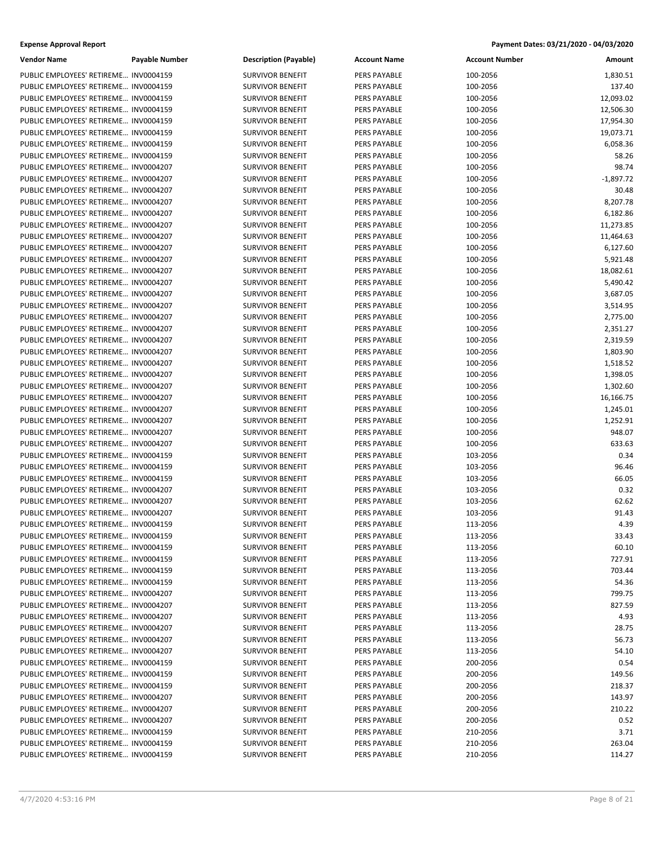| <b>Vendor Name</b>                                                             | <b>Payable Number</b> | <b>Description (Payable)</b> | <b>Account Name</b>                 | <b>Account Number</b> | Amount         |
|--------------------------------------------------------------------------------|-----------------------|------------------------------|-------------------------------------|-----------------------|----------------|
| PUBLIC EMPLOYEES' RETIREME INV0004159                                          |                       | <b>SURVIVOR BENEFIT</b>      | PERS PAYABLE                        | 100-2056              | 1,830.51       |
| PUBLIC EMPLOYEES' RETIREME INV0004159                                          |                       | <b>SURVIVOR BENEFIT</b>      | PERS PAYABLE                        | 100-2056              | 137.40         |
| PUBLIC EMPLOYEES' RETIREME INV0004159                                          |                       | <b>SURVIVOR BENEFIT</b>      | PERS PAYABLE                        | 100-2056              | 12,093.02      |
| PUBLIC EMPLOYEES' RETIREME INV0004159                                          |                       | <b>SURVIVOR BENEFIT</b>      | PERS PAYABLE                        | 100-2056              | 12,506.30      |
| PUBLIC EMPLOYEES' RETIREME INV0004159                                          |                       | <b>SURVIVOR BENEFIT</b>      | PERS PAYABLE                        | 100-2056              | 17,954.30      |
| PUBLIC EMPLOYEES' RETIREME INV0004159                                          |                       | <b>SURVIVOR BENEFIT</b>      | PERS PAYABLE                        | 100-2056              | 19,073.71      |
| PUBLIC EMPLOYEES' RETIREME INV0004159                                          |                       | <b>SURVIVOR BENEFIT</b>      | PERS PAYABLE                        | 100-2056              | 6,058.36       |
| PUBLIC EMPLOYEES' RETIREME INV0004159                                          |                       | <b>SURVIVOR BENEFIT</b>      | PERS PAYABLE                        | 100-2056              | 58.26          |
| PUBLIC EMPLOYEES' RETIREME INV0004207                                          |                       | <b>SURVIVOR BENEFIT</b>      | PERS PAYABLE                        | 100-2056              | 98.74          |
| PUBLIC EMPLOYEES' RETIREME INV0004207                                          |                       | <b>SURVIVOR BENEFIT</b>      | PERS PAYABLE                        | 100-2056              | $-1,897.72$    |
| PUBLIC EMPLOYEES' RETIREME INV0004207                                          |                       | <b>SURVIVOR BENEFIT</b>      | PERS PAYABLE                        | 100-2056              | 30.48          |
| PUBLIC EMPLOYEES' RETIREME INV0004207                                          |                       | <b>SURVIVOR BENEFIT</b>      | PERS PAYABLE                        | 100-2056              | 8,207.78       |
| PUBLIC EMPLOYEES' RETIREME INV0004207                                          |                       | <b>SURVIVOR BENEFIT</b>      | PERS PAYABLE                        | 100-2056              | 6,182.86       |
| PUBLIC EMPLOYEES' RETIREME INV0004207                                          |                       | <b>SURVIVOR BENEFIT</b>      | PERS PAYABLE                        | 100-2056              | 11,273.85      |
| PUBLIC EMPLOYEES' RETIREME INV0004207                                          |                       | <b>SURVIVOR BENEFIT</b>      | PERS PAYABLE                        | 100-2056              | 11,464.63      |
| PUBLIC EMPLOYEES' RETIREME INV0004207                                          |                       | <b>SURVIVOR BENEFIT</b>      | PERS PAYABLE                        | 100-2056              | 6,127.60       |
| PUBLIC EMPLOYEES' RETIREME INV0004207                                          |                       | <b>SURVIVOR BENEFIT</b>      | PERS PAYABLE                        | 100-2056              | 5,921.48       |
| PUBLIC EMPLOYEES' RETIREME INV0004207                                          |                       | <b>SURVIVOR BENEFIT</b>      | PERS PAYABLE                        | 100-2056              | 18,082.61      |
| PUBLIC EMPLOYEES' RETIREME INV0004207                                          |                       | <b>SURVIVOR BENEFIT</b>      | PERS PAYABLE                        | 100-2056              | 5,490.42       |
| PUBLIC EMPLOYEES' RETIREME INV0004207                                          |                       | <b>SURVIVOR BENEFIT</b>      | PERS PAYABLE                        | 100-2056              | 3,687.05       |
| PUBLIC EMPLOYEES' RETIREME INV0004207                                          |                       | <b>SURVIVOR BENEFIT</b>      | PERS PAYABLE                        | 100-2056              | 3,514.95       |
| PUBLIC EMPLOYEES' RETIREME INV0004207                                          |                       | <b>SURVIVOR BENEFIT</b>      | PERS PAYABLE                        | 100-2056              | 2,775.00       |
| PUBLIC EMPLOYEES' RETIREME INV0004207                                          |                       | <b>SURVIVOR BENEFIT</b>      | PERS PAYABLE                        | 100-2056              | 2,351.27       |
| PUBLIC EMPLOYEES' RETIREME INV0004207                                          |                       | <b>SURVIVOR BENEFIT</b>      | PERS PAYABLE                        | 100-2056              | 2,319.59       |
| PUBLIC EMPLOYEES' RETIREME INV0004207                                          |                       | <b>SURVIVOR BENEFIT</b>      | PERS PAYABLE                        | 100-2056              | 1,803.90       |
| PUBLIC EMPLOYEES' RETIREME INV0004207                                          |                       | <b>SURVIVOR BENEFIT</b>      | PERS PAYABLE                        | 100-2056              | 1,518.52       |
| PUBLIC EMPLOYEES' RETIREME INV0004207                                          |                       | <b>SURVIVOR BENEFIT</b>      | PERS PAYABLE                        | 100-2056              | 1,398.05       |
| PUBLIC EMPLOYEES' RETIREME INV0004207                                          |                       | <b>SURVIVOR BENEFIT</b>      | <b>PERS PAYABLE</b>                 | 100-2056              | 1,302.60       |
| PUBLIC EMPLOYEES' RETIREME INV0004207                                          |                       | <b>SURVIVOR BENEFIT</b>      | PERS PAYABLE                        | 100-2056              | 16,166.75      |
| PUBLIC EMPLOYEES' RETIREME INV0004207                                          |                       | <b>SURVIVOR BENEFIT</b>      | <b>PERS PAYABLE</b>                 | 100-2056              | 1,245.01       |
| PUBLIC EMPLOYEES' RETIREME INV0004207                                          |                       | <b>SURVIVOR BENEFIT</b>      | PERS PAYABLE                        | 100-2056              | 1,252.91       |
| PUBLIC EMPLOYEES' RETIREME INV0004207                                          |                       | <b>SURVIVOR BENEFIT</b>      | PERS PAYABLE                        | 100-2056              | 948.07         |
| PUBLIC EMPLOYEES' RETIREME INV0004207                                          |                       | <b>SURVIVOR BENEFIT</b>      | <b>PERS PAYABLE</b>                 | 100-2056              | 633.63         |
| PUBLIC EMPLOYEES' RETIREME INV0004159                                          |                       | <b>SURVIVOR BENEFIT</b>      | PERS PAYABLE                        |                       | 0.34           |
| PUBLIC EMPLOYEES' RETIREME INV0004159                                          |                       | <b>SURVIVOR BENEFIT</b>      | <b>PERS PAYABLE</b>                 | 103-2056<br>103-2056  | 96.46          |
| PUBLIC EMPLOYEES' RETIREME INV0004159                                          |                       | <b>SURVIVOR BENEFIT</b>      | PERS PAYABLE                        | 103-2056              | 66.05          |
| PUBLIC EMPLOYEES' RETIREME INV0004207                                          |                       | <b>SURVIVOR BENEFIT</b>      | PERS PAYABLE                        | 103-2056              | 0.32           |
| PUBLIC EMPLOYEES' RETIREME INV0004207                                          |                       | <b>SURVIVOR BENEFIT</b>      | PERS PAYABLE                        | 103-2056              | 62.62          |
| PUBLIC EMPLOYEES' RETIREME INV0004207                                          |                       | <b>SURVIVOR BENEFIT</b>      |                                     |                       | 91.43          |
| PUBLIC EMPLOYEES' RETIREME INV0004159                                          |                       | <b>SURVIVOR BENEFIT</b>      | PERS PAYABLE<br><b>PERS PAYABLE</b> | 103-2056              | 4.39           |
|                                                                                |                       |                              |                                     | 113-2056<br>113-2056  |                |
| PUBLIC EMPLOYEES' RETIREME INV0004159                                          |                       | <b>SURVIVOR BENEFIT</b>      | PERS PAYABLE                        |                       | 33.43<br>60.10 |
| PUBLIC EMPLOYEES' RETIREME INV0004159<br>PUBLIC EMPLOYEES' RETIREME INV0004159 |                       | <b>SURVIVOR BENEFIT</b>      | PERS PAYABLE<br><b>PERS PAYABLE</b> | 113-2056              |                |
|                                                                                |                       | <b>SURVIVOR BENEFIT</b>      |                                     | 113-2056              | 727.91         |
| PUBLIC EMPLOYEES' RETIREME INV0004159<br>PUBLIC EMPLOYEES' RETIREME INV0004159 |                       | <b>SURVIVOR BENEFIT</b>      | PERS PAYABLE                        | 113-2056              | 703.44         |
|                                                                                |                       | <b>SURVIVOR BENEFIT</b>      | PERS PAYABLE                        | 113-2056              | 54.36          |
| PUBLIC EMPLOYEES' RETIREME INV0004207                                          |                       | <b>SURVIVOR BENEFIT</b>      | PERS PAYABLE                        | 113-2056              | 799.75         |
| PUBLIC EMPLOYEES' RETIREME INV0004207                                          |                       | <b>SURVIVOR BENEFIT</b>      | PERS PAYABLE                        | 113-2056              | 827.59         |
| PUBLIC EMPLOYEES' RETIREME INV0004207                                          |                       | <b>SURVIVOR BENEFIT</b>      | PERS PAYABLE                        | 113-2056              | 4.93           |
| PUBLIC EMPLOYEES' RETIREME INV0004207                                          |                       | <b>SURVIVOR BENEFIT</b>      | <b>PERS PAYABLE</b>                 | 113-2056              | 28.75          |
| PUBLIC EMPLOYEES' RETIREME INV0004207                                          |                       | <b>SURVIVOR BENEFIT</b>      | PERS PAYABLE                        | 113-2056              | 56.73          |
| PUBLIC EMPLOYEES' RETIREME INV0004207                                          |                       | <b>SURVIVOR BENEFIT</b>      | PERS PAYABLE                        | 113-2056              | 54.10          |
| PUBLIC EMPLOYEES' RETIREME INV0004159                                          |                       | <b>SURVIVOR BENEFIT</b>      | <b>PERS PAYABLE</b>                 | 200-2056              | 0.54           |
| PUBLIC EMPLOYEES' RETIREME INV0004159                                          |                       | <b>SURVIVOR BENEFIT</b>      | PERS PAYABLE                        | 200-2056              | 149.56         |
| PUBLIC EMPLOYEES' RETIREME INV0004159                                          |                       | <b>SURVIVOR BENEFIT</b>      | PERS PAYABLE                        | 200-2056              | 218.37         |
| PUBLIC EMPLOYEES' RETIREME INV0004207                                          |                       | <b>SURVIVOR BENEFIT</b>      | PERS PAYABLE                        | 200-2056              | 143.97         |
| PUBLIC EMPLOYEES' RETIREME INV0004207                                          |                       | <b>SURVIVOR BENEFIT</b>      | PERS PAYABLE                        | 200-2056              | 210.22         |
| PUBLIC EMPLOYEES' RETIREME INV0004207                                          |                       | <b>SURVIVOR BENEFIT</b>      | PERS PAYABLE                        | 200-2056              | 0.52           |
| PUBLIC EMPLOYEES' RETIREME INV0004159                                          |                       | <b>SURVIVOR BENEFIT</b>      | PERS PAYABLE                        | 210-2056              | 3.71           |
| PUBLIC EMPLOYEES' RETIREME INV0004159                                          |                       | <b>SURVIVOR BENEFIT</b>      | PERS PAYABLE                        | 210-2056              | 263.04         |
| PUBLIC EMPLOYEES' RETIREME INV0004159                                          |                       | <b>SURVIVOR BENEFIT</b>      | <b>PERS PAYABLE</b>                 | 210-2056              | 114.27         |

| Description (Payable)   |
|-------------------------|
| SURVIVOR BENEFIT        |
| SURVIVOR BENEFIT        |
| SURVIVOR BENEFIT        |
| SURVIVOR BENEFIT        |
| <b>SURVIVOR BENEFIT</b> |
| SURVIVOR BENEFIT        |
| SURVIVOR BENEFIT        |
| SURVIVOR BENEFIT        |
| SURVIVOR BENEFIT        |
| SURVIVOR BENEFIT        |
| SURVIVOR BENEFIT        |
| SURVIVOR BENEFIT        |
| SURVIVOR BENEFIT        |
| SURVIVOR BENEFIT        |
|                         |
| SURVIVOR BENEFIT        |
| SURVIVOR BENEFIT        |
| SURVIVOR BENEFIT        |
| SURVIVOR BENEFIT        |
| SURVIVOR BENEFIT        |
| SURVIVOR BENEFIT        |
| <b>SURVIVOR BENEFIT</b> |
| SURVIVOR BENEFIT        |
| SURVIVOR BENEFIT        |
| SURVIVOR BENEFIT        |
| SURVIVOR BENEFIT        |
| SURVIVOR BENEFIT        |
| SURVIVOR BENEFIT        |
| SURVIVOR BENEFIT        |
| SURVIVOR BENEFIT        |
| SURVIVOR BENEFIT        |
| SURVIVOR BENEFIT        |
| SURVIVOR BENEFIT        |
| SURVIVOR BENEFIT        |
| SURVIVOR BENEFIT        |
| SURVIVOR BENEFIT        |
| SURVIVOR BENEFIT        |
| SURVIVOR BENEFIT        |
| SURVIVOR BENEFIT        |
| <b>SURVIVOR BENEFIT</b> |
| <b>SURVIVOR BENEFIT</b> |
| SURVIVOR BENEFIT        |
|                         |
| SURVIVOR BENEFIT        |
| SURVIVOR BENEFIT        |
| SURVIVOR BENEFIT        |
| SURVIVOR BENEFIT        |
| <b>SURVIVOR BENEFIT</b> |
| SURVIVOR BENEFIT        |
| SURVIVOR BENEFIT        |
| <b>SURVIVOR BENEFIT</b> |
| SURVIVOR BENEFIT        |
| SURVIVOR BENEFIT        |
| SURVIVOR BENEFIT        |
| <b>SURVIVOR BENEFIT</b> |
| SURVIVOR BENEFIT        |
| SURVIVOR BENEFIT        |
| SURVIVOR BENEFIT        |
| SURVIVOR BENEFIT        |
| SURVIVOR BENEFIT        |
| <b>SURVIVOR BENEFIT</b> |
| SURVIVOR RENEEIT        |

| Vendor Name                           | <b>Payable Number</b> | <b>Description (Payable)</b> | <b>Account Name</b> | <b>Account Number</b> | Amount      |
|---------------------------------------|-----------------------|------------------------------|---------------------|-----------------------|-------------|
| PUBLIC EMPLOYEES' RETIREME INV0004159 |                       | <b>SURVIVOR BENEFIT</b>      | PERS PAYABLE        | 100-2056              | 1,830.51    |
| PUBLIC EMPLOYEES' RETIREME INV0004159 |                       | <b>SURVIVOR BENEFIT</b>      | PERS PAYABLE        | 100-2056              | 137.40      |
| PUBLIC EMPLOYEES' RETIREME INV0004159 |                       | <b>SURVIVOR BENEFIT</b>      | PERS PAYABLE        | 100-2056              | 12,093.02   |
| PUBLIC EMPLOYEES' RETIREME INV0004159 |                       | <b>SURVIVOR BENEFIT</b>      | PERS PAYABLE        | 100-2056              | 12,506.30   |
| PUBLIC EMPLOYEES' RETIREME INV0004159 |                       | <b>SURVIVOR BENEFIT</b>      | PERS PAYABLE        | 100-2056              | 17,954.30   |
| PUBLIC EMPLOYEES' RETIREME INV0004159 |                       | <b>SURVIVOR BENEFIT</b>      | PERS PAYABLE        | 100-2056              | 19,073.71   |
| PUBLIC EMPLOYEES' RETIREME INV0004159 |                       | <b>SURVIVOR BENEFIT</b>      | PERS PAYABLE        | 100-2056              | 6,058.36    |
| PUBLIC EMPLOYEES' RETIREME INV0004159 |                       | <b>SURVIVOR BENEFIT</b>      | PERS PAYABLE        | 100-2056              | 58.26       |
| PUBLIC EMPLOYEES' RETIREME INV0004207 |                       | <b>SURVIVOR BENEFIT</b>      | PERS PAYABLE        | 100-2056              | 98.74       |
| PUBLIC EMPLOYEES' RETIREME INV0004207 |                       | <b>SURVIVOR BENEFIT</b>      | PERS PAYABLE        | 100-2056              | $-1,897.72$ |
| PUBLIC EMPLOYEES' RETIREME INV0004207 |                       | <b>SURVIVOR BENEFIT</b>      | PERS PAYABLE        | 100-2056              | 30.48       |
| PUBLIC EMPLOYEES' RETIREME INV0004207 |                       | <b>SURVIVOR BENEFIT</b>      | PERS PAYABLE        | 100-2056              | 8,207.78    |
| PUBLIC EMPLOYEES' RETIREME INV0004207 |                       | <b>SURVIVOR BENEFIT</b>      | PERS PAYABLE        | 100-2056              | 6,182.86    |
| PUBLIC EMPLOYEES' RETIREME INV0004207 |                       | <b>SURVIVOR BENEFIT</b>      | PERS PAYABLE        | 100-2056              | 11,273.85   |
| PUBLIC EMPLOYEES' RETIREME INV0004207 |                       | <b>SURVIVOR BENEFIT</b>      | PERS PAYABLE        | 100-2056              | 11,464.63   |
| PUBLIC EMPLOYEES' RETIREME INV0004207 |                       | <b>SURVIVOR BENEFIT</b>      | PERS PAYABLE        | 100-2056              | 6,127.60    |
| PUBLIC EMPLOYEES' RETIREME INV0004207 |                       | <b>SURVIVOR BENEFIT</b>      | PERS PAYABLE        | 100-2056              | 5,921.48    |
| PUBLIC EMPLOYEES' RETIREME INV0004207 |                       | <b>SURVIVOR BENEFIT</b>      | PERS PAYABLE        | 100-2056              | 18,082.61   |
| PUBLIC EMPLOYEES' RETIREME INV0004207 |                       | <b>SURVIVOR BENEFIT</b>      | PERS PAYABLE        | 100-2056              | 5,490.42    |
| PUBLIC EMPLOYEES' RETIREME INV0004207 |                       | <b>SURVIVOR BENEFIT</b>      | PERS PAYABLE        | 100-2056              | 3,687.05    |
| PUBLIC EMPLOYEES' RETIREME INV0004207 |                       | <b>SURVIVOR BENEFIT</b>      | PERS PAYABLE        | 100-2056              | 3,514.95    |
| PUBLIC EMPLOYEES' RETIREME INV0004207 |                       | <b>SURVIVOR BENEFIT</b>      | PERS PAYABLE        | 100-2056              | 2,775.00    |
| PUBLIC EMPLOYEES' RETIREME INV0004207 |                       | <b>SURVIVOR BENEFIT</b>      | PERS PAYABLE        | 100-2056              | 2,351.27    |
| PUBLIC EMPLOYEES' RETIREME INV0004207 |                       | <b>SURVIVOR BENEFIT</b>      | PERS PAYABLE        | 100-2056              | 2,319.59    |
| PUBLIC EMPLOYEES' RETIREME INV0004207 |                       | <b>SURVIVOR BENEFIT</b>      | PERS PAYABLE        | 100-2056              | 1,803.90    |
| PUBLIC EMPLOYEES' RETIREME INV0004207 |                       | <b>SURVIVOR BENEFIT</b>      | PERS PAYABLE        | 100-2056              | 1,518.52    |
| PUBLIC EMPLOYEES' RETIREME INV0004207 |                       | <b>SURVIVOR BENEFIT</b>      | PERS PAYABLE        | 100-2056              | 1,398.05    |
| PUBLIC EMPLOYEES' RETIREME INV0004207 |                       | <b>SURVIVOR BENEFIT</b>      | PERS PAYABLE        | 100-2056              | 1,302.60    |
| PUBLIC EMPLOYEES' RETIREME INV0004207 |                       | <b>SURVIVOR BENEFIT</b>      | PERS PAYABLE        | 100-2056              | 16,166.75   |
| PUBLIC EMPLOYEES' RETIREME INV0004207 |                       | <b>SURVIVOR BENEFIT</b>      | PERS PAYABLE        | 100-2056              | 1,245.01    |
| PUBLIC EMPLOYEES' RETIREME INV0004207 |                       | <b>SURVIVOR BENEFIT</b>      | PERS PAYABLE        | 100-2056              | 1,252.91    |
| PUBLIC EMPLOYEES' RETIREME INV0004207 |                       | <b>SURVIVOR BENEFIT</b>      | PERS PAYABLE        | 100-2056              | 948.07      |
| PUBLIC EMPLOYEES' RETIREME INV0004207 |                       | <b>SURVIVOR BENEFIT</b>      | PERS PAYABLE        | 100-2056              | 633.63      |
| PUBLIC EMPLOYEES' RETIREME INV0004159 |                       | <b>SURVIVOR BENEFIT</b>      | PERS PAYABLE        | 103-2056              | 0.34        |
| PUBLIC EMPLOYEES' RETIREME INV0004159 |                       | <b>SURVIVOR BENEFIT</b>      | PERS PAYABLE        | 103-2056              | 96.46       |
| PUBLIC EMPLOYEES' RETIREME INV0004159 |                       | <b>SURVIVOR BENEFIT</b>      | PERS PAYABLE        | 103-2056              | 66.05       |
| PUBLIC EMPLOYEES' RETIREME INV0004207 |                       | <b>SURVIVOR BENEFIT</b>      | PERS PAYABLE        | 103-2056              | 0.32        |
| PUBLIC EMPLOYEES' RETIREME INV0004207 |                       | <b>SURVIVOR BENEFIT</b>      | PERS PAYABLE        | 103-2056              | 62.62       |
| PUBLIC EMPLOYEES' RETIREME INV0004207 |                       | <b>SURVIVOR BENEFIT</b>      | PERS PAYABLE        | 103-2056              | 91.43       |
| PUBLIC EMPLOYEES' RETIREME INV0004159 |                       | <b>SURVIVOR BENEFIT</b>      | PERS PAYABLE        | 113-2056              | 4.39        |
| PUBLIC EMPLOYEES' RETIREME INV0004159 |                       | <b>SURVIVOR BENEFIT</b>      | PERS PAYABLE        | 113-2056              | 33.43       |
| PUBLIC EMPLOYEES' RETIREME INV0004159 |                       | <b>SURVIVOR BENEFIT</b>      | PERS PAYABLE        | 113-2056              | 60.10       |
| PUBLIC EMPLOYEES' RETIREME INV0004159 |                       | <b>SURVIVOR BENEFIT</b>      | PERS PAYABLE        | 113-2056              | 727.91      |
| PUBLIC EMPLOYEES' RETIREME INV0004159 |                       | <b>SURVIVOR BENEFIT</b>      | PERS PAYABLE        | 113-2056              | 703.44      |
| PUBLIC EMPLOYEES' RETIREME INV0004159 |                       | <b>SURVIVOR BENEFIT</b>      | PERS PAYABLE        | 113-2056              | 54.36       |
| PUBLIC EMPLOYEES' RETIREME INV0004207 |                       | <b>SURVIVOR BENEFIT</b>      | PERS PAYABLE        | 113-2056              | 799.75      |
| PUBLIC EMPLOYEES' RETIREME INV0004207 |                       | <b>SURVIVOR BENEFIT</b>      | PERS PAYABLE        | 113-2056              | 827.59      |
| PUBLIC EMPLOYEES' RETIREME INV0004207 |                       | <b>SURVIVOR BENEFIT</b>      | PERS PAYABLE        | 113-2056              | 4.93        |
| PUBLIC EMPLOYEES' RETIREME INV0004207 |                       | <b>SURVIVOR BENEFIT</b>      | PERS PAYABLE        | 113-2056              | 28.75       |
| PUBLIC EMPLOYEES' RETIREME INV0004207 |                       | <b>SURVIVOR BENEFIT</b>      | PERS PAYABLE        | 113-2056              | 56.73       |
| PUBLIC EMPLOYEES' RETIREME INV0004207 |                       | <b>SURVIVOR BENEFIT</b>      | PERS PAYABLE        | 113-2056              | 54.10       |
| PUBLIC EMPLOYEES' RETIREME INV0004159 |                       | <b>SURVIVOR BENEFIT</b>      | PERS PAYABLE        | 200-2056              | 0.54        |
| PUBLIC EMPLOYEES' RETIREME INV0004159 |                       | <b>SURVIVOR BENEFIT</b>      | PERS PAYABLE        | 200-2056              | 149.56      |
| PUBLIC EMPLOYEES' RETIREME INV0004159 |                       | <b>SURVIVOR BENEFIT</b>      | PERS PAYABLE        | 200-2056              | 218.37      |
| PUBLIC EMPLOYEES' RETIREME INV0004207 |                       | <b>SURVIVOR BENEFIT</b>      | PERS PAYABLE        | 200-2056              | 143.97      |
| PUBLIC EMPLOYEES' RETIREME INV0004207 |                       | <b>SURVIVOR BENEFIT</b>      | PERS PAYABLE        | 200-2056              | 210.22      |
| PUBLIC EMPLOYEES' RETIREME INV0004207 |                       | <b>SURVIVOR BENEFIT</b>      | PERS PAYABLE        | 200-2056              | 0.52        |
| PUBLIC EMPLOYEES' RETIREME INV0004159 |                       | <b>SURVIVOR BENEFIT</b>      | PERS PAYABLE        | 210-2056              | 3.71        |
| PUBLIC EMPLOYEES' RETIREME INV0004159 |                       | <b>SURVIVOR BENEFIT</b>      | PERS PAYABLE        | 210-2056              | 263.04      |
|                                       |                       |                              |                     |                       |             |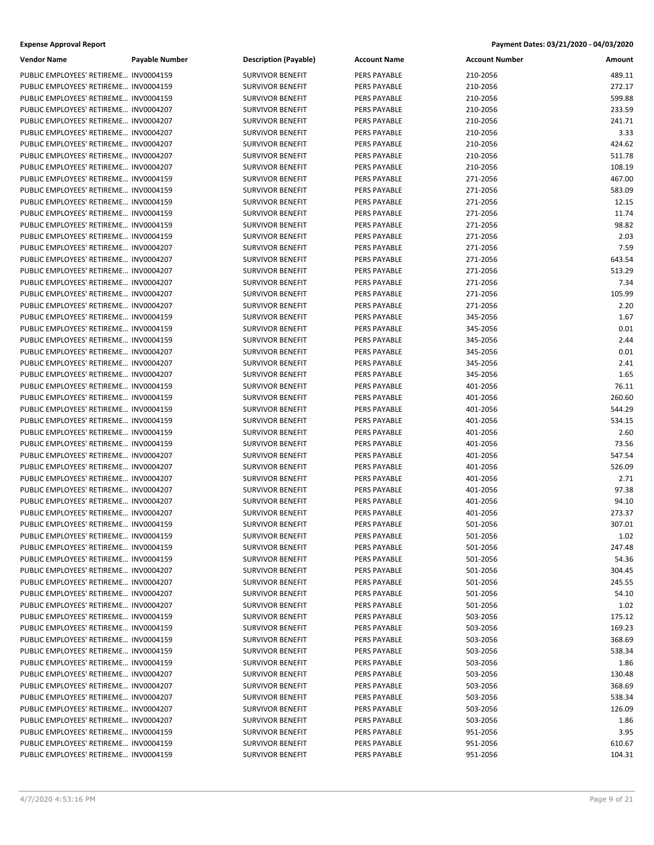| <b>Expense Approval Report</b> | Payment Dates: 03/21/2020 - 04/03/2020 |
|--------------------------------|----------------------------------------|
|--------------------------------|----------------------------------------|

| <b>Vendor Name</b>                    | Payable Number | <b>Description (Payable)</b> | <b>Account Name</b> | <b>Account Number</b> | Amount          |
|---------------------------------------|----------------|------------------------------|---------------------|-----------------------|-----------------|
| PUBLIC EMPLOYEES' RETIREME INV0004159 |                | <b>SURVIVOR BENEFIT</b>      | <b>PERS PAYABLE</b> | 210-2056              | 489.11          |
| PUBLIC EMPLOYEES' RETIREME INV0004159 |                | <b>SURVIVOR BENEFIT</b>      | PERS PAYABLE        | 210-2056              | 272.17          |
| PUBLIC EMPLOYEES' RETIREME INV0004159 |                | <b>SURVIVOR BENEFIT</b>      | PERS PAYABLE        | 210-2056              | 599.88          |
| PUBLIC EMPLOYEES' RETIREME INV0004207 |                | <b>SURVIVOR BENEFIT</b>      | PERS PAYABLE        | 210-2056              | 233.59          |
| PUBLIC EMPLOYEES' RETIREME INV0004207 |                | <b>SURVIVOR BENEFIT</b>      | PERS PAYABLE        | 210-2056              | 241.71          |
| PUBLIC EMPLOYEES' RETIREME INV0004207 |                | <b>SURVIVOR BENEFIT</b>      | PERS PAYABLE        | 210-2056              | 3.33            |
| PUBLIC EMPLOYEES' RETIREME INV0004207 |                | <b>SURVIVOR BENEFIT</b>      | PERS PAYABLE        | 210-2056              | 424.62          |
| PUBLIC EMPLOYEES' RETIREME INV0004207 |                | <b>SURVIVOR BENEFIT</b>      | PERS PAYABLE        | 210-2056              | 511.78          |
| PUBLIC EMPLOYEES' RETIREME INV0004207 |                | <b>SURVIVOR BENEFIT</b>      | PERS PAYABLE        | 210-2056              | 108.19          |
| PUBLIC EMPLOYEES' RETIREME INV0004159 |                | <b>SURVIVOR BENEFIT</b>      | PERS PAYABLE        | 271-2056              | 467.00          |
| PUBLIC EMPLOYEES' RETIREME INV0004159 |                | <b>SURVIVOR BENEFIT</b>      | PERS PAYABLE        | 271-2056              | 583.09          |
| PUBLIC EMPLOYEES' RETIREME INV0004159 |                | <b>SURVIVOR BENEFIT</b>      | PERS PAYABLE        | 271-2056              | 12.15           |
| PUBLIC EMPLOYEES' RETIREME INV0004159 |                | <b>SURVIVOR BENEFIT</b>      | PERS PAYABLE        | 271-2056              | 11.74           |
| PUBLIC EMPLOYEES' RETIREME INV0004159 |                | <b>SURVIVOR BENEFIT</b>      | PERS PAYABLE        | 271-2056              | 98.82           |
| PUBLIC EMPLOYEES' RETIREME INV0004159 |                | <b>SURVIVOR BENEFIT</b>      | PERS PAYABLE        | 271-2056              | 2.03            |
| PUBLIC EMPLOYEES' RETIREME INV0004207 |                | <b>SURVIVOR BENEFIT</b>      | PERS PAYABLE        | 271-2056              | 7.59            |
| PUBLIC EMPLOYEES' RETIREME INV0004207 |                | <b>SURVIVOR BENEFIT</b>      | <b>PERS PAYABLE</b> | 271-2056              | 643.54          |
| PUBLIC EMPLOYEES' RETIREME INV0004207 |                | <b>SURVIVOR BENEFIT</b>      | PERS PAYABLE        | 271-2056              | 513.29          |
| PUBLIC EMPLOYEES' RETIREME INV0004207 |                | <b>SURVIVOR BENEFIT</b>      | PERS PAYABLE        | 271-2056              | 7.34            |
| PUBLIC EMPLOYEES' RETIREME INV0004207 |                | <b>SURVIVOR BENEFIT</b>      | PERS PAYABLE        | 271-2056              | 105.99          |
| PUBLIC EMPLOYEES' RETIREME INV0004207 |                | <b>SURVIVOR BENEFIT</b>      | PERS PAYABLE        | 271-2056              | 2.20            |
| PUBLIC EMPLOYEES' RETIREME INV0004159 |                | <b>SURVIVOR BENEFIT</b>      | PERS PAYABLE        | 345-2056              | 1.67            |
| PUBLIC EMPLOYEES' RETIREME INV0004159 |                | <b>SURVIVOR BENEFIT</b>      | PERS PAYABLE        | 345-2056              | 0.01            |
| PUBLIC EMPLOYEES' RETIREME INV0004159 |                | <b>SURVIVOR BENEFIT</b>      | PERS PAYABLE        | 345-2056              | 2.44            |
| PUBLIC EMPLOYEES' RETIREME INV0004207 |                | <b>SURVIVOR BENEFIT</b>      | PERS PAYABLE        | 345-2056              | 0.01            |
| PUBLIC EMPLOYEES' RETIREME INV0004207 |                | <b>SURVIVOR BENEFIT</b>      | PERS PAYABLE        | 345-2056              | 2.41            |
| PUBLIC EMPLOYEES' RETIREME INV0004207 |                | <b>SURVIVOR BENEFIT</b>      | <b>PERS PAYABLE</b> | 345-2056              | 1.65            |
| PUBLIC EMPLOYEES' RETIREME INV0004159 |                | <b>SURVIVOR BENEFIT</b>      | PERS PAYABLE        | 401-2056              | 76.11           |
| PUBLIC EMPLOYEES' RETIREME INV0004159 |                | <b>SURVIVOR BENEFIT</b>      | PERS PAYABLE        | 401-2056              | 260.60          |
| PUBLIC EMPLOYEES' RETIREME INV0004159 |                | <b>SURVIVOR BENEFIT</b>      | PERS PAYABLE        | 401-2056              | 544.29          |
| PUBLIC EMPLOYEES' RETIREME INV0004159 |                | <b>SURVIVOR BENEFIT</b>      | PERS PAYABLE        | 401-2056              | 534.15          |
| PUBLIC EMPLOYEES' RETIREME INV0004159 |                | <b>SURVIVOR BENEFIT</b>      | <b>PERS PAYABLE</b> | 401-2056              | 2.60            |
| PUBLIC EMPLOYEES' RETIREME INV0004159 |                | <b>SURVIVOR BENEFIT</b>      | PERS PAYABLE        | 401-2056              |                 |
| PUBLIC EMPLOYEES' RETIREME INV0004207 |                | <b>SURVIVOR BENEFIT</b>      | PERS PAYABLE        | 401-2056              | 73.56<br>547.54 |
| PUBLIC EMPLOYEES' RETIREME INV0004207 |                | <b>SURVIVOR BENEFIT</b>      | PERS PAYABLE        | 401-2056              | 526.09          |
| PUBLIC EMPLOYEES' RETIREME INV0004207 |                | <b>SURVIVOR BENEFIT</b>      | PERS PAYABLE        | 401-2056              | 2.71            |
| PUBLIC EMPLOYEES' RETIREME INV0004207 |                |                              |                     |                       | 97.38           |
| PUBLIC EMPLOYEES' RETIREME INV0004207 |                | <b>SURVIVOR BENEFIT</b>      | PERS PAYABLE        | 401-2056<br>401-2056  |                 |
|                                       |                | <b>SURVIVOR BENEFIT</b>      | PERS PAYABLE        |                       | 94.10           |
| PUBLIC EMPLOYEES' RETIREME INV0004207 |                | <b>SURVIVOR BENEFIT</b>      | PERS PAYABLE        | 401-2056              | 273.37          |
| PUBLIC EMPLOYEES' RETIREME INV0004159 |                | <b>SURVIVOR BENEFIT</b>      | PERS PAYABLE        | 501-2056<br>501-2056  | 307.01          |
| PUBLIC EMPLOYEES' RETIREME INV0004159 |                | <b>SURVIVOR BENEFIT</b>      | PERS PAYABLE        |                       | 1.02            |
| PUBLIC EMPLOYEES' RETIREME INV0004159 |                | <b>SURVIVOR BENEFIT</b>      | PERS PAYABLE        | 501-2056              | 247.48          |
| PUBLIC EMPLOYEES' RETIREME INV0004159 |                | <b>SURVIVOR BENEFIT</b>      | PERS PAYABLE        | 501-2056              | 54.36           |
| PUBLIC EMPLOYEES' RETIREME INV0004207 |                | <b>SURVIVOR BENEFIT</b>      | PERS PAYABLE        | 501-2056              | 304.45          |
| PUBLIC EMPLOYEES' RETIREME INV0004207 |                | <b>SURVIVOR BENEFIT</b>      | <b>PERS PAYABLE</b> | 501-2056              | 245.55          |
| PUBLIC EMPLOYEES' RETIREME INV0004207 |                | <b>SURVIVOR BENEFIT</b>      | PERS PAYABLE        | 501-2056              | 54.10           |
| PUBLIC EMPLOYEES' RETIREME INV0004207 |                | <b>SURVIVOR BENEFIT</b>      | PERS PAYABLE        | 501-2056              | 1.02            |
| PUBLIC EMPLOYEES' RETIREME INV0004159 |                | <b>SURVIVOR BENEFIT</b>      | PERS PAYABLE        | 503-2056              | 175.12          |
| PUBLIC EMPLOYEES' RETIREME INV0004159 |                | <b>SURVIVOR BENEFIT</b>      | PERS PAYABLE        | 503-2056              | 169.23          |
| PUBLIC EMPLOYEES' RETIREME INV0004159 |                | <b>SURVIVOR BENEFIT</b>      | PERS PAYABLE        | 503-2056              | 368.69          |
| PUBLIC EMPLOYEES' RETIREME INV0004159 |                | <b>SURVIVOR BENEFIT</b>      | PERS PAYABLE        | 503-2056              | 538.34          |
| PUBLIC EMPLOYEES' RETIREME INV0004159 |                | <b>SURVIVOR BENEFIT</b>      | PERS PAYABLE        | 503-2056              | 1.86            |
| PUBLIC EMPLOYEES' RETIREME INV0004207 |                | <b>SURVIVOR BENEFIT</b>      | PERS PAYABLE        | 503-2056              | 130.48          |
| PUBLIC EMPLOYEES' RETIREME INV0004207 |                | <b>SURVIVOR BENEFIT</b>      | PERS PAYABLE        | 503-2056              | 368.69          |
| PUBLIC EMPLOYEES' RETIREME INV0004207 |                | <b>SURVIVOR BENEFIT</b>      | <b>PERS PAYABLE</b> | 503-2056              | 538.34          |
| PUBLIC EMPLOYEES' RETIREME INV0004207 |                | <b>SURVIVOR BENEFIT</b>      | <b>PERS PAYABLE</b> | 503-2056              | 126.09          |
| PUBLIC EMPLOYEES' RETIREME INV0004207 |                | <b>SURVIVOR BENEFIT</b>      | PERS PAYABLE        | 503-2056              | 1.86            |
| PUBLIC EMPLOYEES' RETIREME INV0004159 |                | <b>SURVIVOR BENEFIT</b>      | PERS PAYABLE        | 951-2056              | 3.95            |
| PUBLIC EMPLOYEES' RETIREME INV0004159 |                | <b>SURVIVOR BENEFIT</b>      | PERS PAYABLE        | 951-2056              | 610.67          |
| PUBLIC EMPLOYEES' RETIREME INV0004159 |                | <b>SURVIVOR BENEFIT</b>      | PERS PAYABLE        | 951-2056              | 104.31          |
|                                       |                |                              |                     |                       |                 |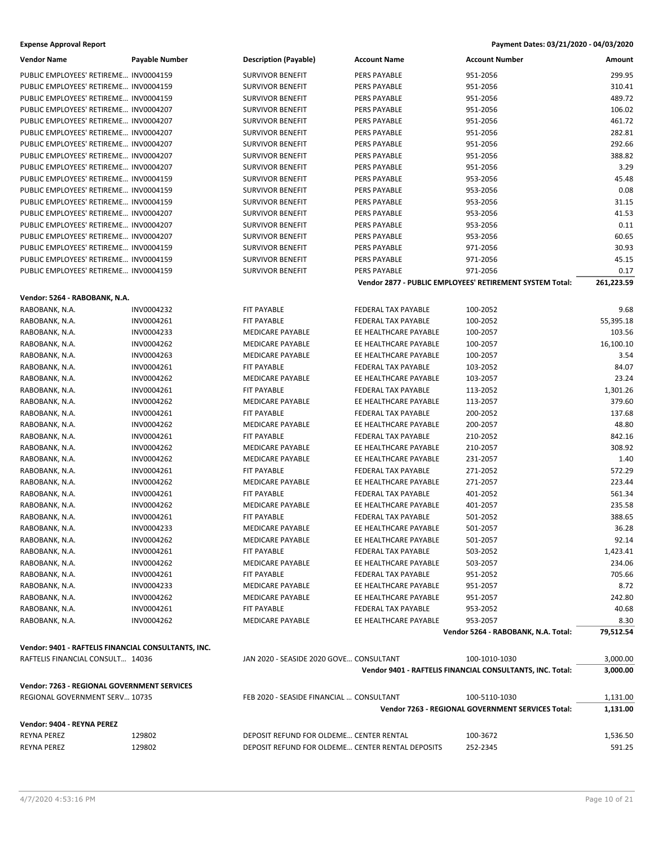| <b>Expense Approval Report</b> | Payment Dates: 03/21/2020 - 04/03/2020 |
|--------------------------------|----------------------------------------|
|--------------------------------|----------------------------------------|

| <b>Vendor Name</b>                                  | <b>Payable Number</b> | <b>Description (Payable)</b>                     | <b>Account Name</b>   | <b>Account Number</b>                                     | Amount     |
|-----------------------------------------------------|-----------------------|--------------------------------------------------|-----------------------|-----------------------------------------------------------|------------|
| PUBLIC EMPLOYEES' RETIREME INV0004159               |                       | <b>SURVIVOR BENEFIT</b>                          | PERS PAYABLE          | 951-2056                                                  | 299.95     |
| PUBLIC EMPLOYEES' RETIREME INV0004159               |                       | <b>SURVIVOR BENEFIT</b>                          | PERS PAYABLE          | 951-2056                                                  | 310.41     |
| PUBLIC EMPLOYEES' RETIREME INV0004159               |                       | <b>SURVIVOR BENEFIT</b>                          | PERS PAYABLE          | 951-2056                                                  | 489.72     |
| PUBLIC EMPLOYEES' RETIREME INV0004207               |                       | <b>SURVIVOR BENEFIT</b>                          | PERS PAYABLE          | 951-2056                                                  | 106.02     |
| PUBLIC EMPLOYEES' RETIREME INV0004207               |                       | <b>SURVIVOR BENEFIT</b>                          | PERS PAYABLE          | 951-2056                                                  | 461.72     |
| PUBLIC EMPLOYEES' RETIREME INV0004207               |                       | <b>SURVIVOR BENEFIT</b>                          | PERS PAYABLE          | 951-2056                                                  | 282.81     |
| PUBLIC EMPLOYEES' RETIREME INV0004207               |                       | <b>SURVIVOR BENEFIT</b>                          | PERS PAYABLE          | 951-2056                                                  | 292.66     |
| PUBLIC EMPLOYEES' RETIREME INV0004207               |                       | <b>SURVIVOR BENEFIT</b>                          | PERS PAYABLE          | 951-2056                                                  | 388.82     |
| PUBLIC EMPLOYEES' RETIREME INV0004207               |                       | <b>SURVIVOR BENEFIT</b>                          | PERS PAYABLE          | 951-2056                                                  | 3.29       |
| PUBLIC EMPLOYEES' RETIREME INV0004159               |                       | <b>SURVIVOR BENEFIT</b>                          | PERS PAYABLE          | 953-2056                                                  | 45.48      |
| PUBLIC EMPLOYEES' RETIREME INV0004159               |                       | <b>SURVIVOR BENEFIT</b>                          | PERS PAYABLE          | 953-2056                                                  | 0.08       |
| PUBLIC EMPLOYEES' RETIREME INV0004159               |                       | <b>SURVIVOR BENEFIT</b>                          | PERS PAYABLE          | 953-2056                                                  | 31.15      |
| PUBLIC EMPLOYEES' RETIREME INV0004207               |                       | <b>SURVIVOR BENEFIT</b>                          | PERS PAYABLE          | 953-2056                                                  | 41.53      |
| PUBLIC EMPLOYEES' RETIREME INV0004207               |                       | <b>SURVIVOR BENEFIT</b>                          | PERS PAYABLE          | 953-2056                                                  | 0.11       |
| PUBLIC EMPLOYEES' RETIREME INV0004207               |                       | <b>SURVIVOR BENEFIT</b>                          | PERS PAYABLE          | 953-2056                                                  | 60.65      |
| PUBLIC EMPLOYEES' RETIREME INV0004159               |                       | <b>SURVIVOR BENEFIT</b>                          | PERS PAYABLE          | 971-2056                                                  | 30.93      |
| PUBLIC EMPLOYEES' RETIREME INV0004159               |                       | <b>SURVIVOR BENEFIT</b>                          | PERS PAYABLE          | 971-2056                                                  | 45.15      |
| PUBLIC EMPLOYEES' RETIREME INV0004159               |                       | <b>SURVIVOR BENEFIT</b>                          | PERS PAYABLE          | 971-2056                                                  | 0.17       |
|                                                     |                       |                                                  |                       | Vendor 2877 - PUBLIC EMPLOYEES' RETIREMENT SYSTEM Total:  | 261,223.59 |
|                                                     |                       |                                                  |                       |                                                           |            |
| Vendor: 5264 - RABOBANK, N.A.                       |                       |                                                  |                       |                                                           |            |
| RABOBANK, N.A.                                      | INV0004232            | FIT PAYABLE                                      | FEDERAL TAX PAYABLE   | 100-2052                                                  | 9.68       |
| RABOBANK, N.A.                                      | INV0004261            | <b>FIT PAYABLE</b>                               | FEDERAL TAX PAYABLE   | 100-2052                                                  | 55,395.18  |
| RABOBANK, N.A.                                      | INV0004233            | <b>MEDICARE PAYABLE</b>                          | EE HEALTHCARE PAYABLE | 100-2057                                                  | 103.56     |
| RABOBANK, N.A.                                      | INV0004262            | MEDICARE PAYABLE                                 | EE HEALTHCARE PAYABLE | 100-2057                                                  | 16,100.10  |
| RABOBANK, N.A.                                      | INV0004263            | <b>MEDICARE PAYABLE</b>                          | EE HEALTHCARE PAYABLE | 100-2057                                                  | 3.54       |
| RABOBANK, N.A.                                      | INV0004261            | FIT PAYABLE                                      | FEDERAL TAX PAYABLE   | 103-2052                                                  | 84.07      |
| RABOBANK, N.A.                                      | INV0004262            | MEDICARE PAYABLE                                 | EE HEALTHCARE PAYABLE | 103-2057                                                  | 23.24      |
| RABOBANK, N.A.                                      | INV0004261            | FIT PAYABLE                                      | FEDERAL TAX PAYABLE   | 113-2052                                                  | 1,301.26   |
| RABOBANK, N.A.                                      | INV0004262            | MEDICARE PAYABLE                                 | EE HEALTHCARE PAYABLE | 113-2057                                                  | 379.60     |
| RABOBANK, N.A.                                      | INV0004261            | <b>FIT PAYABLE</b>                               | FEDERAL TAX PAYABLE   | 200-2052                                                  | 137.68     |
| RABOBANK, N.A.                                      | INV0004262            | MEDICARE PAYABLE                                 | EE HEALTHCARE PAYABLE | 200-2057                                                  | 48.80      |
| RABOBANK, N.A.                                      | INV0004261            | FIT PAYABLE                                      | FEDERAL TAX PAYABLE   | 210-2052                                                  | 842.16     |
| RABOBANK, N.A.                                      | INV0004262            | <b>MEDICARE PAYABLE</b>                          | EE HEALTHCARE PAYABLE | 210-2057                                                  | 308.92     |
| RABOBANK, N.A.                                      | INV0004262            | MEDICARE PAYABLE                                 | EE HEALTHCARE PAYABLE | 231-2057                                                  | 1.40       |
| RABOBANK, N.A.                                      | INV0004261            | FIT PAYABLE                                      | FEDERAL TAX PAYABLE   | 271-2052                                                  | 572.29     |
| RABOBANK, N.A.                                      | INV0004262            | MEDICARE PAYABLE                                 | EE HEALTHCARE PAYABLE | 271-2057                                                  | 223.44     |
| RABOBANK, N.A.                                      | INV0004261            | FIT PAYABLE                                      | FEDERAL TAX PAYABLE   | 401-2052                                                  | 561.34     |
| RABOBANK, N.A.                                      | INV0004262            | <b>MEDICARE PAYABLE</b>                          | EE HEALTHCARE PAYABLE | 401-2057                                                  | 235.58     |
| RABOBANK, N.A.                                      | INV0004261            | FIT PAYABLE                                      | FEDERAL TAX PAYABLE   | 501-2052                                                  | 388.65     |
| RABOBANK, N.A.                                      | INV0004233            | <b>MEDICARE PAYABLE</b>                          | EE HEALTHCARE PAYABLE | 501-2057                                                  | 36.28      |
| RABOBANK, N.A.                                      | INV0004262            | MEDICARE PAYABLE                                 | EE HEALTHCARE PAYABLE | 501-2057                                                  | 92.14      |
| RABOBANK, N.A.                                      | INV0004261            | FIT PAYABLE                                      | FEDERAL TAX PAYABLE   | 503-2052                                                  | 1,423.41   |
| RABOBANK, N.A.                                      | INV0004262            | MEDICARE PAYABLE                                 | EE HEALTHCARE PAYABLE | 503-2057                                                  | 234.06     |
| RABOBANK, N.A.                                      | INV0004261            | FIT PAYABLE                                      | FEDERAL TAX PAYABLE   | 951-2052                                                  | 705.66     |
| RABOBANK, N.A.                                      | INV0004233            | MEDICARE PAYABLE                                 | EE HEALTHCARE PAYABLE | 951-2057                                                  | 8.72       |
| RABOBANK, N.A.                                      | INV0004262            | MEDICARE PAYABLE                                 | EE HEALTHCARE PAYABLE | 951-2057                                                  | 242.80     |
| RABOBANK, N.A.                                      | INV0004261            | FIT PAYABLE                                      | FEDERAL TAX PAYABLE   | 953-2052                                                  | 40.68      |
| RABOBANK, N.A.                                      | INV0004262            | <b>MEDICARE PAYABLE</b>                          | EE HEALTHCARE PAYABLE | 953-2057                                                  | 8.30       |
|                                                     |                       |                                                  |                       | Vendor 5264 - RABOBANK, N.A. Total:                       | 79,512.54  |
| Vendor: 9401 - RAFTELIS FINANCIAL CONSULTANTS, INC. |                       |                                                  |                       |                                                           |            |
| RAFTELIS FINANCIAL CONSULT 14036                    |                       | JAN 2020 - SEASIDE 2020 GOVE CONSULTANT          |                       | 100-1010-1030                                             | 3,000.00   |
|                                                     |                       |                                                  |                       | Vendor 9401 - RAFTELIS FINANCIAL CONSULTANTS, INC. Total: | 3,000.00   |
| Vendor: 7263 - REGIONAL GOVERNMENT SERVICES         |                       |                                                  |                       |                                                           |            |
| REGIONAL GOVERNMENT SERV 10735                      |                       | FEB 2020 - SEASIDE FINANCIAL  CONSULTANT         |                       | 100-5110-1030                                             | 1,131.00   |
|                                                     |                       |                                                  |                       | Vendor 7263 - REGIONAL GOVERNMENT SERVICES Total:         | 1,131.00   |
|                                                     |                       |                                                  |                       |                                                           |            |
| Vendor: 9404 - REYNA PEREZ                          |                       |                                                  |                       |                                                           |            |
| REYNA PEREZ                                         | 129802                | DEPOSIT REFUND FOR OLDEME CENTER RENTAL          |                       | 100-3672                                                  | 1,536.50   |
| REYNA PEREZ                                         | 129802                | DEPOSIT REFUND FOR OLDEME CENTER RENTAL DEPOSITS |                       | 252-2345                                                  | 591.25     |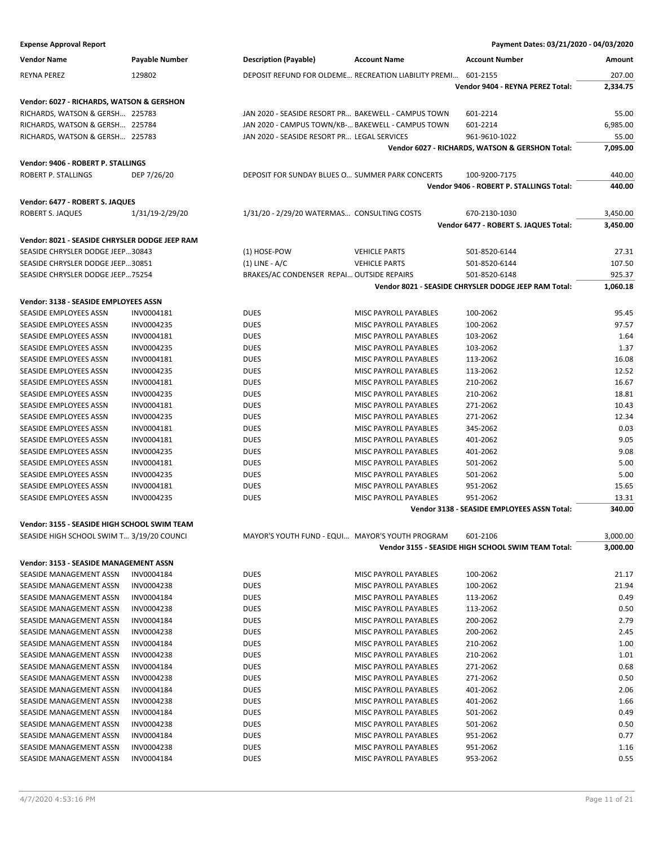| <b>Vendor Name</b>                             | Payable Number  | <b>Description (Payable)</b>                        | <b>Account Name</b>                                  | <b>Account Number</b>                                | Amount   |
|------------------------------------------------|-----------------|-----------------------------------------------------|------------------------------------------------------|------------------------------------------------------|----------|
| <b>REYNA PEREZ</b>                             | 129802          |                                                     | DEPOSIT REFUND FOR OLDEME RECREATION LIABILITY PREMI | 601-2155                                             | 207.00   |
|                                                |                 |                                                     |                                                      | Vendor 9404 - REYNA PEREZ Total:                     | 2,334.75 |
| Vendor: 6027 - RICHARDS, WATSON & GERSHON      |                 |                                                     |                                                      |                                                      |          |
| RICHARDS, WATSON & GERSH 225783                |                 | JAN 2020 - SEASIDE RESORT PR BAKEWELL - CAMPUS TOWN |                                                      | 601-2214                                             | 55.00    |
| RICHARDS, WATSON & GERSH 225784                |                 | JAN 2020 - CAMPUS TOWN/KB- BAKEWELL - CAMPUS TOWN   |                                                      | 601-2214                                             | 6,985.00 |
|                                                |                 | JAN 2020 - SEASIDE RESORT PR LEGAL SERVICES         |                                                      | 961-9610-1022                                        | 55.00    |
| RICHARDS, WATSON & GERSH 225783                |                 |                                                     |                                                      |                                                      | 7,095.00 |
|                                                |                 |                                                     |                                                      | Vendor 6027 - RICHARDS, WATSON & GERSHON Total:      |          |
| Vendor: 9406 - ROBERT P. STALLINGS             |                 |                                                     |                                                      |                                                      |          |
| <b>ROBERT P. STALLINGS</b>                     | DEP 7/26/20     | DEPOSIT FOR SUNDAY BLUES O SUMMER PARK CONCERTS     |                                                      | 100-9200-7175                                        | 440.00   |
|                                                |                 |                                                     |                                                      | Vendor 9406 - ROBERT P. STALLINGS Total:             | 440.00   |
| Vendor: 6477 - ROBERT S. JAQUES                |                 |                                                     |                                                      |                                                      |          |
| ROBERT S. JAQUES                               | 1/31/19-2/29/20 | 1/31/20 - 2/29/20 WATERMAS CONSULTING COSTS         |                                                      | 670-2130-1030                                        | 3,450.00 |
|                                                |                 |                                                     |                                                      | Vendor 6477 - ROBERT S. JAQUES Total:                | 3,450.00 |
| Vendor: 8021 - SEASIDE CHRYSLER DODGE JEEP RAM |                 |                                                     |                                                      |                                                      |          |
| SEASIDE CHRYSLER DODGE JEEP30843               |                 | (1) HOSE-POW                                        | <b>VEHICLE PARTS</b>                                 | 501-8520-6144                                        | 27.31    |
| SEASIDE CHRYSLER DODGE JEEP30851               |                 | $(1)$ LINE - A/C                                    | <b>VEHICLE PARTS</b>                                 | 501-8520-6144                                        | 107.50   |
| SEASIDE CHRYSLER DODGE JEEP75254               |                 | BRAKES/AC CONDENSER REPAI OUTSIDE REPAIRS           |                                                      | 501-8520-6148                                        | 925.37   |
|                                                |                 |                                                     |                                                      | Vendor 8021 - SEASIDE CHRYSLER DODGE JEEP RAM Total: | 1,060.18 |
|                                                |                 |                                                     |                                                      |                                                      |          |
| Vendor: 3138 - SEASIDE EMPLOYEES ASSN          |                 |                                                     |                                                      |                                                      |          |
| SEASIDE EMPLOYEES ASSN                         | INV0004181      | <b>DUES</b>                                         | MISC PAYROLL PAYABLES                                | 100-2062                                             | 95.45    |
| SEASIDE EMPLOYEES ASSN                         | INV0004235      | <b>DUES</b>                                         | MISC PAYROLL PAYABLES                                | 100-2062                                             | 97.57    |
| SEASIDE EMPLOYEES ASSN                         | INV0004181      | <b>DUES</b>                                         | MISC PAYROLL PAYABLES                                | 103-2062                                             | 1.64     |
| SEASIDE EMPLOYEES ASSN                         | INV0004235      | <b>DUES</b>                                         | MISC PAYROLL PAYABLES                                | 103-2062                                             | 1.37     |
| SEASIDE EMPLOYEES ASSN                         | INV0004181      | <b>DUES</b>                                         | MISC PAYROLL PAYABLES                                | 113-2062                                             | 16.08    |
| SEASIDE EMPLOYEES ASSN                         | INV0004235      | <b>DUES</b>                                         | MISC PAYROLL PAYABLES                                | 113-2062                                             | 12.52    |
| SEASIDE EMPLOYEES ASSN                         | INV0004181      | <b>DUES</b>                                         | MISC PAYROLL PAYABLES                                | 210-2062                                             | 16.67    |
| SEASIDE EMPLOYEES ASSN                         | INV0004235      | <b>DUES</b>                                         | MISC PAYROLL PAYABLES                                | 210-2062                                             | 18.81    |
| SEASIDE EMPLOYEES ASSN                         | INV0004181      | <b>DUES</b>                                         | MISC PAYROLL PAYABLES                                | 271-2062                                             | 10.43    |
| SEASIDE EMPLOYEES ASSN                         | INV0004235      | <b>DUES</b>                                         | MISC PAYROLL PAYABLES                                | 271-2062                                             | 12.34    |
| SEASIDE EMPLOYEES ASSN                         | INV0004181      | <b>DUES</b>                                         | MISC PAYROLL PAYABLES                                | 345-2062                                             | 0.03     |
| SEASIDE EMPLOYEES ASSN                         | INV0004181      | <b>DUES</b>                                         | MISC PAYROLL PAYABLES                                | 401-2062                                             | 9.05     |
| SEASIDE EMPLOYEES ASSN                         | INV0004235      | <b>DUES</b>                                         | MISC PAYROLL PAYABLES                                | 401-2062                                             | 9.08     |
| SEASIDE EMPLOYEES ASSN                         | INV0004181      | <b>DUES</b>                                         | MISC PAYROLL PAYABLES                                | 501-2062                                             | 5.00     |
| SEASIDE EMPLOYEES ASSN                         | INV0004235      | <b>DUES</b>                                         | MISC PAYROLL PAYABLES                                | 501-2062                                             | 5.00     |
| SEASIDE EMPLOYEES ASSN                         | INV0004181      | <b>DUES</b>                                         | MISC PAYROLL PAYABLES                                | 951-2062                                             | 15.65    |
| SEASIDE EMPLOYEES ASSN                         | INV0004235      | <b>DUES</b>                                         | MISC PAYROLL PAYABLES                                | 951-2062                                             | 13.31    |
|                                                |                 |                                                     |                                                      | Vendor 3138 - SEASIDE EMPLOYEES ASSN Total:          | 340.00   |
| Vendor: 3155 - SEASIDE HIGH SCHOOL SWIM TEAM   |                 |                                                     |                                                      |                                                      |          |
| SEASIDE HIGH SCHOOL SWIM T 3/19/20 COUNCI      |                 | MAYOR'S YOUTH FUND - EQUI MAYOR'S YOUTH PROGRAM     |                                                      | 601-2106                                             | 3,000.00 |
|                                                |                 |                                                     |                                                      | Vendor 3155 - SEASIDE HIGH SCHOOL SWIM TEAM Total:   | 3,000.00 |
| Vendor: 3153 - SEASIDE MANAGEMENT ASSN         |                 |                                                     |                                                      |                                                      |          |
| SEASIDE MANAGEMENT ASSN                        | INV0004184      | <b>DUES</b>                                         | MISC PAYROLL PAYABLES                                | 100-2062                                             | 21.17    |
| SEASIDE MANAGEMENT ASSN                        | INV0004238      | <b>DUES</b>                                         | MISC PAYROLL PAYABLES                                | 100-2062                                             | 21.94    |
| SEASIDE MANAGEMENT ASSN                        | INV0004184      | <b>DUES</b>                                         | MISC PAYROLL PAYABLES                                | 113-2062                                             | 0.49     |
| SEASIDE MANAGEMENT ASSN                        | INV0004238      | <b>DUES</b>                                         | MISC PAYROLL PAYABLES                                | 113-2062                                             | 0.50     |
| SEASIDE MANAGEMENT ASSN                        | INV0004184      | <b>DUES</b>                                         | MISC PAYROLL PAYABLES                                | 200-2062                                             | 2.79     |
| SEASIDE MANAGEMENT ASSN                        | INV0004238      | <b>DUES</b>                                         | MISC PAYROLL PAYABLES                                | 200-2062                                             | 2.45     |
| SEASIDE MANAGEMENT ASSN                        | INV0004184      | <b>DUES</b>                                         | MISC PAYROLL PAYABLES                                | 210-2062                                             | 1.00     |
| SEASIDE MANAGEMENT ASSN                        | INV0004238      | <b>DUES</b>                                         | MISC PAYROLL PAYABLES                                | 210-2062                                             | 1.01     |
| SEASIDE MANAGEMENT ASSN                        | INV0004184      | <b>DUES</b>                                         | MISC PAYROLL PAYABLES                                | 271-2062                                             | 0.68     |
| SEASIDE MANAGEMENT ASSN                        | INV0004238      | <b>DUES</b>                                         | MISC PAYROLL PAYABLES                                | 271-2062                                             | 0.50     |
| SEASIDE MANAGEMENT ASSN                        | INV0004184      | <b>DUES</b>                                         | MISC PAYROLL PAYABLES                                | 401-2062                                             | 2.06     |
| SEASIDE MANAGEMENT ASSN                        | INV0004238      | <b>DUES</b>                                         | MISC PAYROLL PAYABLES                                | 401-2062                                             | 1.66     |
| SEASIDE MANAGEMENT ASSN                        | INV0004184      | <b>DUES</b>                                         | MISC PAYROLL PAYABLES                                | 501-2062                                             | 0.49     |
| SEASIDE MANAGEMENT ASSN                        | INV0004238      | <b>DUES</b>                                         | MISC PAYROLL PAYABLES                                | 501-2062                                             | 0.50     |
| SEASIDE MANAGEMENT ASSN                        | INV0004184      | <b>DUES</b>                                         | MISC PAYROLL PAYABLES                                | 951-2062                                             | 0.77     |
| SEASIDE MANAGEMENT ASSN                        | INV0004238      | <b>DUES</b>                                         | MISC PAYROLL PAYABLES                                | 951-2062                                             | 1.16     |
| SEASIDE MANAGEMENT ASSN                        | INV0004184      | <b>DUES</b>                                         | MISC PAYROLL PAYABLES                                | 953-2062                                             | 0.55     |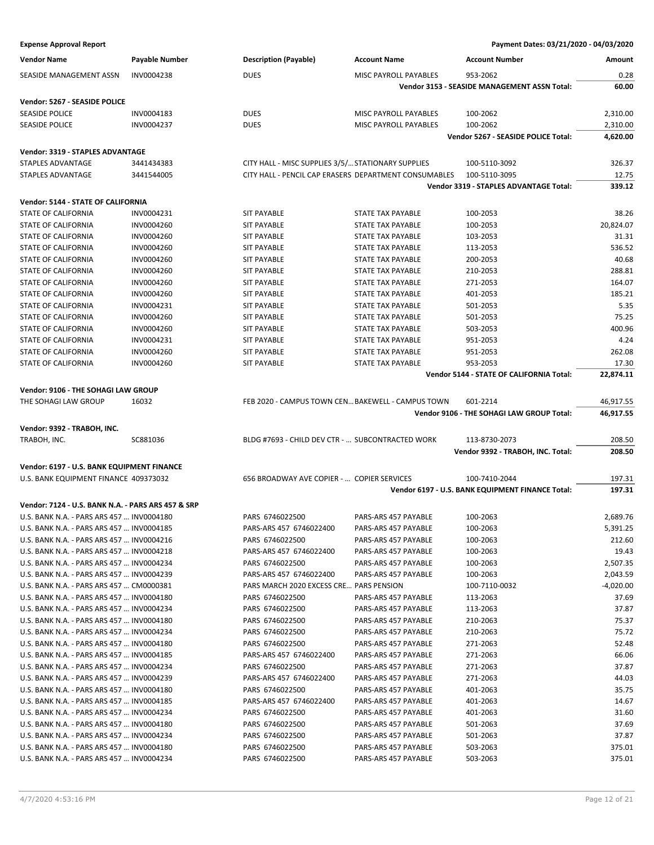| <b>Vendor Name</b>                                                                  | Payable Number | <b>Description (Payable)</b>                          | <b>Account Name</b>          | <b>Account Number</b>                            | Amount    |
|-------------------------------------------------------------------------------------|----------------|-------------------------------------------------------|------------------------------|--------------------------------------------------|-----------|
| SEASIDE MANAGEMENT ASSN                                                             | INV0004238     | <b>DUES</b>                                           | MISC PAYROLL PAYABLES        | 953-2062                                         | 0.28      |
|                                                                                     |                |                                                       |                              | Vendor 3153 - SEASIDE MANAGEMENT ASSN Total:     | 60.00     |
| Vendor: 5267 - SEASIDE POLICE                                                       |                |                                                       |                              |                                                  |           |
| <b>SEASIDE POLICE</b>                                                               | INV0004183     | <b>DUES</b>                                           | <b>MISC PAYROLL PAYABLES</b> | 100-2062                                         | 2,310.00  |
| SEASIDE POLICE                                                                      | INV0004237     | <b>DUES</b>                                           | MISC PAYROLL PAYABLES        | 100-2062                                         | 2,310.00  |
|                                                                                     |                |                                                       |                              | Vendor 5267 - SEASIDE POLICE Total:              | 4,620.00  |
|                                                                                     |                |                                                       |                              |                                                  |           |
| Vendor: 3319 - STAPLES ADVANTAGE                                                    |                |                                                       |                              |                                                  |           |
| STAPLES ADVANTAGE                                                                   | 3441434383     | CITY HALL - MISC SUPPLIES 3/5/ STATIONARY SUPPLIES    |                              | 100-5110-3092                                    | 326.37    |
| <b>STAPLES ADVANTAGE</b>                                                            | 3441544005     | CITY HALL - PENCIL CAP ERASERS DEPARTMENT CONSUMABLES |                              | 100-5110-3095                                    | 12.75     |
|                                                                                     |                |                                                       |                              | Vendor 3319 - STAPLES ADVANTAGE Total:           | 339.12    |
| Vendor: 5144 - STATE OF CALIFORNIA                                                  |                |                                                       |                              |                                                  |           |
| STATE OF CALIFORNIA                                                                 | INV0004231     | <b>SIT PAYABLE</b>                                    | STATE TAX PAYABLE            | 100-2053                                         | 38.26     |
| STATE OF CALIFORNIA                                                                 | INV0004260     | <b>SIT PAYABLE</b>                                    | <b>STATE TAX PAYABLE</b>     | 100-2053                                         | 20,824.07 |
| STATE OF CALIFORNIA                                                                 | INV0004260     | <b>SIT PAYABLE</b>                                    | <b>STATE TAX PAYABLE</b>     | 103-2053                                         | 31.31     |
| STATE OF CALIFORNIA                                                                 | INV0004260     | <b>SIT PAYABLE</b>                                    | STATE TAX PAYABLE            | 113-2053                                         | 536.52    |
| STATE OF CALIFORNIA                                                                 | INV0004260     | <b>SIT PAYABLE</b>                                    | STATE TAX PAYABLE            | 200-2053                                         | 40.68     |
| <b>STATE OF CALIFORNIA</b>                                                          | INV0004260     | <b>SIT PAYABLE</b>                                    | STATE TAX PAYABLE            | 210-2053                                         | 288.81    |
| STATE OF CALIFORNIA                                                                 | INV0004260     | <b>SIT PAYABLE</b>                                    | <b>STATE TAX PAYABLE</b>     | 271-2053                                         | 164.07    |
| STATE OF CALIFORNIA                                                                 | INV0004260     | <b>SIT PAYABLE</b>                                    | STATE TAX PAYABLE            | 401-2053                                         | 185.21    |
| STATE OF CALIFORNIA                                                                 | INV0004231     | <b>SIT PAYABLE</b>                                    | <b>STATE TAX PAYABLE</b>     | 501-2053                                         | 5.35      |
| STATE OF CALIFORNIA                                                                 | INV0004260     | <b>SIT PAYABLE</b>                                    | <b>STATE TAX PAYABLE</b>     | 501-2053                                         | 75.25     |
| STATE OF CALIFORNIA                                                                 | INV0004260     | <b>SIT PAYABLE</b>                                    | STATE TAX PAYABLE            | 503-2053                                         | 400.96    |
| <b>STATE OF CALIFORNIA</b>                                                          | INV0004231     | <b>SIT PAYABLE</b>                                    | <b>STATE TAX PAYABLE</b>     | 951-2053                                         | 4.24      |
| STATE OF CALIFORNIA                                                                 | INV0004260     | <b>SIT PAYABLE</b>                                    | STATE TAX PAYABLE            | 951-2053                                         | 262.08    |
| STATE OF CALIFORNIA                                                                 | INV0004260     | <b>SIT PAYABLE</b>                                    | STATE TAX PAYABLE            | 953-2053                                         | 17.30     |
|                                                                                     |                |                                                       |                              | Vendor 5144 - STATE OF CALIFORNIA Total:         | 22,874.11 |
| Vendor: 9106 - THE SOHAGI LAW GROUP                                                 |                |                                                       |                              |                                                  |           |
| THE SOHAGI LAW GROUP                                                                | 16032          | FEB 2020 - CAMPUS TOWN CEN BAKEWELL - CAMPUS TOWN     |                              | 601-2214                                         | 46,917.55 |
|                                                                                     |                |                                                       |                              | Vendor 9106 - THE SOHAGI LAW GROUP Total:        | 46,917.55 |
| Vendor: 9392 - TRABOH, INC.                                                         |                |                                                       |                              |                                                  |           |
| TRABOH, INC.                                                                        | SC881036       | BLDG #7693 - CHILD DEV CTR -  SUBCONTRACTED WORK      |                              | 113-8730-2073                                    | 208.50    |
|                                                                                     |                |                                                       |                              | Vendor 9392 - TRABOH, INC. Total:                | 208.50    |
|                                                                                     |                |                                                       |                              |                                                  |           |
| Vendor: 6197 - U.S. BANK EQUIPMENT FINANCE<br>U.S. BANK EQUIPMENT FINANCE 409373032 |                | 656 BROADWAY AVE COPIER -  COPIER SERVICES            |                              | 100-7410-2044                                    | 197.31    |
|                                                                                     |                |                                                       |                              | Vendor 6197 - U.S. BANK EQUIPMENT FINANCE Total: | 197.31    |
|                                                                                     |                |                                                       |                              |                                                  |           |
| Vendor: 7124 - U.S. BANK N.A. - PARS ARS 457 & SRP                                  |                |                                                       |                              |                                                  |           |
| U.S. BANK N.A. - PARS ARS 457  INV0004180                                           |                | PARS 6746022500                                       | PARS-ARS 457 PAYABLE         | 100-2063                                         | 2,689.76  |
| U.S. BANK N.A. - PARS ARS 457  INV0004185                                           |                | PARS-ARS 457 6746022400                               | PARS-ARS 457 PAYABLE         | 100-2063                                         | 5,391.25  |
| U.S. BANK N.A. - PARS ARS 457  INV0004216                                           |                | PARS 6746022500                                       | PARS-ARS 457 PAYABLE         | 100-2063                                         | 212.60    |
| U.S. BANK N.A. - PARS ARS 457  INV0004218                                           |                | PARS-ARS 457 6746022400                               | PARS-ARS 457 PAYABLE         | 100-2063                                         | 19.43     |
| U.S. BANK N.A. - PARS ARS 457  INV0004234                                           |                | PARS 6746022500                                       | PARS-ARS 457 PAYABLE         | 100-2063                                         | 2,507.35  |
| U.S. BANK N.A. - PARS ARS 457  INV0004239                                           |                | PARS-ARS 457 6746022400                               | PARS-ARS 457 PAYABLE         | 100-2063                                         | 2,043.59  |
| U.S. BANK N.A. - PARS ARS 457  CM0000381                                            |                | PARS MARCH 2020 EXCESS CRE PARS PENSION               |                              | 100-7110-0032                                    | -4,020.00 |
| U.S. BANK N.A. - PARS ARS 457  INV0004180                                           |                | PARS 6746022500                                       | PARS-ARS 457 PAYABLE         | 113-2063                                         | 37.69     |
| U.S. BANK N.A. - PARS ARS 457  INV0004234                                           |                | PARS 6746022500                                       | PARS-ARS 457 PAYABLE         | 113-2063                                         | 37.87     |
| U.S. BANK N.A. - PARS ARS 457  INV0004180                                           |                | PARS 6746022500                                       | PARS-ARS 457 PAYABLE         | 210-2063                                         | 75.37     |
| U.S. BANK N.A. - PARS ARS 457  INV0004234                                           |                | PARS 6746022500                                       | PARS-ARS 457 PAYABLE         | 210-2063                                         | 75.72     |
| U.S. BANK N.A. - PARS ARS 457  INV0004180                                           |                | PARS 6746022500                                       | PARS-ARS 457 PAYABLE         | 271-2063                                         | 52.48     |
| U.S. BANK N.A. - PARS ARS 457  INV0004185                                           |                | PARS-ARS 457 6746022400                               | PARS-ARS 457 PAYABLE         | 271-2063                                         | 66.06     |
| U.S. BANK N.A. - PARS ARS 457  INV0004234                                           |                | PARS 6746022500                                       | PARS-ARS 457 PAYABLE         | 271-2063                                         | 37.87     |
| U.S. BANK N.A. - PARS ARS 457  INV0004239                                           |                | PARS-ARS 457 6746022400                               | PARS-ARS 457 PAYABLE         | 271-2063                                         | 44.03     |
| U.S. BANK N.A. - PARS ARS 457  INV0004180                                           |                | PARS 6746022500                                       | PARS-ARS 457 PAYABLE         | 401-2063                                         | 35.75     |
| U.S. BANK N.A. - PARS ARS 457  INV0004185                                           |                | PARS-ARS 457 6746022400                               | PARS-ARS 457 PAYABLE         | 401-2063                                         | 14.67     |
| U.S. BANK N.A. - PARS ARS 457  INV0004234                                           |                | PARS 6746022500                                       | PARS-ARS 457 PAYABLE         | 401-2063                                         | 31.60     |
| U.S. BANK N.A. - PARS ARS 457  INV0004180                                           |                | PARS 6746022500                                       | PARS-ARS 457 PAYABLE         | 501-2063                                         | 37.69     |
| U.S. BANK N.A. - PARS ARS 457  INV0004234                                           |                | PARS 6746022500                                       | PARS-ARS 457 PAYABLE         | 501-2063                                         | 37.87     |
| U.S. BANK N.A. - PARS ARS 457  INV0004180                                           |                | PARS 6746022500                                       | PARS-ARS 457 PAYABLE         | 503-2063                                         | 375.01    |
| U.S. BANK N.A. - PARS ARS 457  INV0004234                                           |                | PARS 6746022500                                       | PARS-ARS 457 PAYABLE         | 503-2063                                         | 375.01    |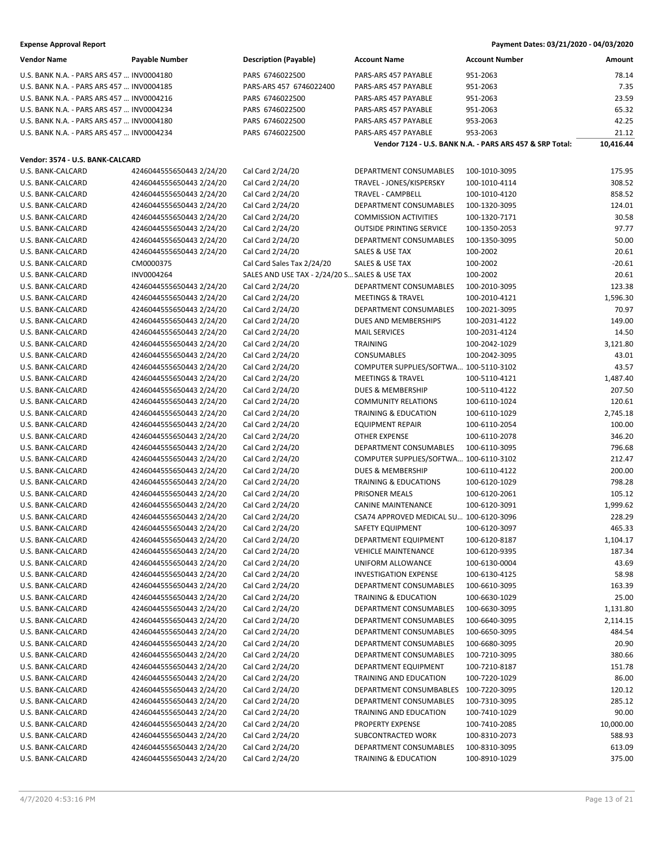| <b>Vendor Name</b>                        | <b>Payable Number</b>                                | <b>Description (Payable)</b>                  | <b>Account Name</b>                     | <b>Account Number</b>                                    | Amount           |
|-------------------------------------------|------------------------------------------------------|-----------------------------------------------|-----------------------------------------|----------------------------------------------------------|------------------|
| U.S. BANK N.A. - PARS ARS 457  INV0004180 |                                                      | PARS 6746022500                               | PARS-ARS 457 PAYABLE                    | 951-2063                                                 | 78.14            |
| U.S. BANK N.A. - PARS ARS 457  INV0004185 |                                                      | PARS-ARS 457 6746022400                       | PARS-ARS 457 PAYABLE                    | 951-2063                                                 | 7.35             |
| U.S. BANK N.A. - PARS ARS 457  INV0004216 |                                                      | PARS 6746022500                               | PARS-ARS 457 PAYABLE                    | 951-2063                                                 | 23.59            |
| U.S. BANK N.A. - PARS ARS 457  INV0004234 |                                                      | PARS 6746022500                               | PARS-ARS 457 PAYABLE                    | 951-2063                                                 | 65.32            |
| U.S. BANK N.A. - PARS ARS 457  INV0004180 |                                                      | PARS 6746022500                               | PARS-ARS 457 PAYABLE                    | 953-2063                                                 | 42.25            |
| U.S. BANK N.A. - PARS ARS 457  INV0004234 |                                                      | PARS 6746022500                               | PARS-ARS 457 PAYABLE                    | 953-2063                                                 | 21.12            |
|                                           |                                                      |                                               |                                         | Vendor 7124 - U.S. BANK N.A. - PARS ARS 457 & SRP Total: | 10,416.44        |
|                                           |                                                      |                                               |                                         |                                                          |                  |
| Vendor: 3574 - U.S. BANK-CALCARD          |                                                      | Cal Card 2/24/20                              | DEPARTMENT CONSUMABLES                  |                                                          |                  |
| U.S. BANK-CALCARD                         | 4246044555650443 2/24/20                             |                                               | TRAVEL - JONES/KISPERSKY                | 100-1010-3095<br>100-1010-4114                           | 175.95<br>308.52 |
| U.S. BANK-CALCARD                         | 4246044555650443 2/24/20                             | Cal Card 2/24/20<br>Cal Card 2/24/20          | TRAVEL - CAMPBELL                       |                                                          |                  |
| U.S. BANK-CALCARD<br>U.S. BANK-CALCARD    | 4246044555650443 2/24/20                             |                                               | DEPARTMENT CONSUMABLES                  | 100-1010-4120<br>100-1320-3095                           | 858.52           |
| U.S. BANK-CALCARD                         | 4246044555650443 2/24/20<br>4246044555650443 2/24/20 | Cal Card 2/24/20<br>Cal Card 2/24/20          | <b>COMMISSION ACTIVITIES</b>            | 100-1320-7171                                            | 124.01<br>30.58  |
| U.S. BANK-CALCARD                         | 4246044555650443 2/24/20                             | Cal Card 2/24/20                              | <b>OUTSIDE PRINTING SERVICE</b>         | 100-1350-2053                                            | 97.77            |
| U.S. BANK-CALCARD                         | 4246044555650443 2/24/20                             | Cal Card 2/24/20                              | DEPARTMENT CONSUMABLES                  | 100-1350-3095                                            | 50.00            |
| U.S. BANK-CALCARD                         | 4246044555650443 2/24/20                             | Cal Card 2/24/20                              | SALES & USE TAX                         | 100-2002                                                 | 20.61            |
| U.S. BANK-CALCARD                         | CM0000375                                            | Cal Card Sales Tax 2/24/20                    | SALES & USE TAX                         | 100-2002                                                 | $-20.61$         |
| U.S. BANK-CALCARD                         | INV0004264                                           | SALES AND USE TAX - 2/24/20 S SALES & USE TAX |                                         | 100-2002                                                 | 20.61            |
| U.S. BANK-CALCARD                         | 4246044555650443 2/24/20                             | Cal Card 2/24/20                              | DEPARTMENT CONSUMABLES                  | 100-2010-3095                                            | 123.38           |
| U.S. BANK-CALCARD                         | 4246044555650443 2/24/20                             | Cal Card 2/24/20                              | <b>MEETINGS &amp; TRAVEL</b>            | 100-2010-4121                                            | 1,596.30         |
| U.S. BANK-CALCARD                         | 4246044555650443 2/24/20                             | Cal Card 2/24/20                              | <b>DEPARTMENT CONSUMABLES</b>           | 100-2021-3095                                            | 70.97            |
| U.S. BANK-CALCARD                         | 4246044555650443 2/24/20                             | Cal Card 2/24/20                              | <b>DUES AND MEMBERSHIPS</b>             | 100-2031-4122                                            | 149.00           |
| U.S. BANK-CALCARD                         | 4246044555650443 2/24/20                             | Cal Card 2/24/20                              | <b>MAIL SERVICES</b>                    | 100-2031-4124                                            | 14.50            |
| U.S. BANK-CALCARD                         | 4246044555650443 2/24/20                             | Cal Card 2/24/20                              | <b>TRAINING</b>                         | 100-2042-1029                                            | 3,121.80         |
| U.S. BANK-CALCARD                         | 4246044555650443 2/24/20                             | Cal Card 2/24/20                              | CONSUMABLES                             | 100-2042-3095                                            | 43.01            |
| U.S. BANK-CALCARD                         | 4246044555650443 2/24/20                             | Cal Card 2/24/20                              | COMPUTER SUPPLIES/SOFTWA 100-5110-3102  |                                                          | 43.57            |
| U.S. BANK-CALCARD                         | 4246044555650443 2/24/20                             | Cal Card 2/24/20                              | <b>MEETINGS &amp; TRAVEL</b>            | 100-5110-4121                                            | 1,487.40         |
| U.S. BANK-CALCARD                         | 4246044555650443 2/24/20                             | Cal Card 2/24/20                              | <b>DUES &amp; MEMBERSHIP</b>            | 100-5110-4122                                            | 207.50           |
| U.S. BANK-CALCARD                         | 4246044555650443 2/24/20                             | Cal Card 2/24/20                              | <b>COMMUNITY RELATIONS</b>              | 100-6110-1024                                            | 120.61           |
| U.S. BANK-CALCARD                         | 4246044555650443 2/24/20                             | Cal Card 2/24/20                              | <b>TRAINING &amp; EDUCATION</b>         | 100-6110-1029                                            | 2,745.18         |
| U.S. BANK-CALCARD                         | 4246044555650443 2/24/20                             | Cal Card 2/24/20                              | <b>EQUIPMENT REPAIR</b>                 | 100-6110-2054                                            | 100.00           |
| U.S. BANK-CALCARD                         | 4246044555650443 2/24/20                             | Cal Card 2/24/20                              | <b>OTHER EXPENSE</b>                    | 100-6110-2078                                            | 346.20           |
| U.S. BANK-CALCARD                         | 4246044555650443 2/24/20                             | Cal Card 2/24/20                              | DEPARTMENT CONSUMABLES                  | 100-6110-3095                                            | 796.68           |
| U.S. BANK-CALCARD                         | 4246044555650443 2/24/20                             | Cal Card 2/24/20                              | COMPUTER SUPPLIES/SOFTWA 100-6110-3102  |                                                          | 212.47           |
| U.S. BANK-CALCARD                         | 4246044555650443 2/24/20                             | Cal Card 2/24/20                              | <b>DUES &amp; MEMBERSHIP</b>            | 100-6110-4122                                            | 200.00           |
| U.S. BANK-CALCARD                         | 4246044555650443 2/24/20                             | Cal Card 2/24/20                              | <b>TRAINING &amp; EDUCATIONS</b>        | 100-6120-1029                                            | 798.28           |
| U.S. BANK-CALCARD                         | 4246044555650443 2/24/20                             | Cal Card 2/24/20                              | <b>PRISONER MEALS</b>                   | 100-6120-2061                                            | 105.12           |
| U.S. BANK-CALCARD                         | 4246044555650443 2/24/20                             | Cal Card 2/24/20                              | <b>CANINE MAINTENANCE</b>               | 100-6120-3091                                            | 1,999.62         |
| U.S. BANK-CALCARD                         | 4246044555650443 2/24/20                             | Cal Card 2/24/20                              | CSA74 APPROVED MEDICAL SU 100-6120-3096 |                                                          | 228.29           |
| U.S. BANK-CALCARD                         | 4246044555650443 2/24/20                             | Cal Card 2/24/20                              | SAFETY EQUIPMENT                        | 100-6120-3097                                            | 465.33           |
| U.S. BANK-CALCARD                         | 4246044555650443 2/24/20                             | Cal Card 2/24/20                              | DEPARTMENT EQUIPMENT                    | 100-6120-8187                                            | 1,104.17         |
| U.S. BANK-CALCARD                         | 4246044555650443 2/24/20                             | Cal Card 2/24/20                              | <b>VEHICLE MAINTENANCE</b>              | 100-6120-9395                                            | 187.34           |
| U.S. BANK-CALCARD                         | 4246044555650443 2/24/20                             | Cal Card 2/24/20                              | UNIFORM ALLOWANCE                       | 100-6130-0004                                            | 43.69            |
| U.S. BANK-CALCARD                         | 4246044555650443 2/24/20                             | Cal Card 2/24/20                              | <b>INVESTIGATION EXPENSE</b>            | 100-6130-4125                                            | 58.98            |
| U.S. BANK-CALCARD                         | 4246044555650443 2/24/20                             | Cal Card 2/24/20                              | DEPARTMENT CONSUMABLES                  | 100-6610-3095                                            | 163.39           |
| U.S. BANK-CALCARD                         | 4246044555650443 2/24/20                             | Cal Card 2/24/20                              | TRAINING & EDUCATION                    | 100-6630-1029                                            | 25.00            |
| U.S. BANK-CALCARD                         | 4246044555650443 2/24/20                             | Cal Card 2/24/20                              | DEPARTMENT CONSUMABLES                  | 100-6630-3095                                            | 1,131.80         |
| U.S. BANK-CALCARD                         | 4246044555650443 2/24/20                             | Cal Card 2/24/20                              | DEPARTMENT CONSUMABLES                  | 100-6640-3095                                            | 2,114.15         |
| U.S. BANK-CALCARD                         | 4246044555650443 2/24/20                             | Cal Card 2/24/20                              | DEPARTMENT CONSUMABLES                  | 100-6650-3095                                            | 484.54           |
| U.S. BANK-CALCARD                         | 4246044555650443 2/24/20                             | Cal Card 2/24/20                              | DEPARTMENT CONSUMABLES                  | 100-6680-3095                                            | 20.90            |
| U.S. BANK-CALCARD                         | 4246044555650443 2/24/20                             | Cal Card 2/24/20                              | DEPARTMENT CONSUMABLES                  | 100-7210-3095                                            | 380.66           |
| U.S. BANK-CALCARD                         | 4246044555650443 2/24/20                             | Cal Card 2/24/20                              | DEPARTMENT EQUIPMENT                    | 100-7210-8187                                            | 151.78           |
| U.S. BANK-CALCARD                         | 4246044555650443 2/24/20                             | Cal Card 2/24/20                              | TRAINING AND EDUCATION                  | 100-7220-1029                                            | 86.00            |
| U.S. BANK-CALCARD                         | 4246044555650443 2/24/20                             | Cal Card 2/24/20                              | DEPARTMENT CONSUMBABLES                 | 100-7220-3095                                            | 120.12           |
| U.S. BANK-CALCARD                         | 4246044555650443 2/24/20                             | Cal Card 2/24/20                              | DEPARTMENT CONSUMABLES                  | 100-7310-3095                                            | 285.12           |
| U.S. BANK-CALCARD                         | 4246044555650443 2/24/20                             | Cal Card 2/24/20                              | TRAINING AND EDUCATION                  | 100-7410-1029                                            | 90.00            |
| U.S. BANK-CALCARD                         | 4246044555650443 2/24/20                             | Cal Card 2/24/20                              | PROPERTY EXPENSE                        | 100-7410-2085                                            | 10,000.00        |
| U.S. BANK-CALCARD                         | 4246044555650443 2/24/20                             | Cal Card 2/24/20                              | SUBCONTRACTED WORK                      | 100-8310-2073                                            | 588.93           |
| U.S. BANK-CALCARD                         | 4246044555650443 2/24/20                             | Cal Card 2/24/20                              | DEPARTMENT CONSUMABLES                  | 100-8310-3095                                            | 613.09           |
| U.S. BANK-CALCARD                         | 4246044555650443 2/24/20                             | Cal Card 2/24/20                              | <b>TRAINING &amp; EDUCATION</b>         | 100-8910-1029                                            | 375.00           |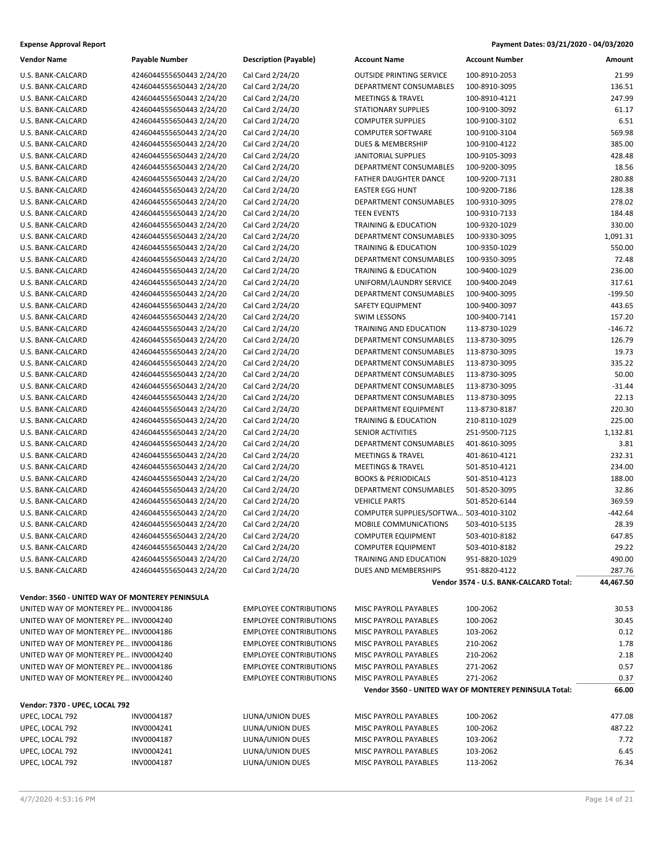| <b>Expense Approval Report</b> | Payment Dates: 03/21/2020 - 04/03/2020 |
|--------------------------------|----------------------------------------|
|--------------------------------|----------------------------------------|

| <b>Vendor Name</b>                              | <b>Payable Number</b>    | <b>Description (Payable)</b>  | <b>Account Name</b>                    | <b>Account Number</b>                                 | Amount    |
|-------------------------------------------------|--------------------------|-------------------------------|----------------------------------------|-------------------------------------------------------|-----------|
| U.S. BANK-CALCARD                               | 4246044555650443 2/24/20 | Cal Card 2/24/20              | <b>OUTSIDE PRINTING SERVICE</b>        | 100-8910-2053                                         | 21.99     |
| U.S. BANK-CALCARD                               | 4246044555650443 2/24/20 | Cal Card 2/24/20              | DEPARTMENT CONSUMABLES                 | 100-8910-3095                                         | 136.51    |
| U.S. BANK-CALCARD                               | 4246044555650443 2/24/20 | Cal Card 2/24/20              | <b>MEETINGS &amp; TRAVEL</b>           | 100-8910-4121                                         | 247.99    |
| U.S. BANK-CALCARD                               | 4246044555650443 2/24/20 | Cal Card 2/24/20              | <b>STATIONARY SUPPLIES</b>             | 100-9100-3092                                         | 61.17     |
| U.S. BANK-CALCARD                               | 4246044555650443 2/24/20 | Cal Card 2/24/20              | <b>COMPUTER SUPPLIES</b>               | 100-9100-3102                                         | 6.51      |
| U.S. BANK-CALCARD                               | 4246044555650443 2/24/20 | Cal Card 2/24/20              | <b>COMPUTER SOFTWARE</b>               | 100-9100-3104                                         | 569.98    |
| U.S. BANK-CALCARD                               | 4246044555650443 2/24/20 | Cal Card 2/24/20              | DUES & MEMBERSHIP                      | 100-9100-4122                                         | 385.00    |
| U.S. BANK-CALCARD                               | 4246044555650443 2/24/20 | Cal Card 2/24/20              | <b>JANITORIAL SUPPLIES</b>             | 100-9105-3093                                         | 428.48    |
| U.S. BANK-CALCARD                               | 4246044555650443 2/24/20 | Cal Card 2/24/20              | DEPARTMENT CONSUMABLES                 | 100-9200-3095                                         | 18.56     |
| U.S. BANK-CALCARD                               | 4246044555650443 2/24/20 | Cal Card 2/24/20              | FATHER DAUGHTER DANCE                  | 100-9200-7131                                         | 280.88    |
| U.S. BANK-CALCARD                               | 4246044555650443 2/24/20 | Cal Card 2/24/20              | <b>EASTER EGG HUNT</b>                 | 100-9200-7186                                         | 128.38    |
| U.S. BANK-CALCARD                               | 4246044555650443 2/24/20 | Cal Card 2/24/20              | DEPARTMENT CONSUMABLES                 | 100-9310-3095                                         | 278.02    |
| U.S. BANK-CALCARD                               | 4246044555650443 2/24/20 | Cal Card 2/24/20              | <b>TEEN EVENTS</b>                     | 100-9310-7133                                         | 184.48    |
| U.S. BANK-CALCARD                               | 4246044555650443 2/24/20 | Cal Card 2/24/20              | <b>TRAINING &amp; EDUCATION</b>        | 100-9320-1029                                         | 330.00    |
| U.S. BANK-CALCARD                               | 4246044555650443 2/24/20 | Cal Card 2/24/20              | DEPARTMENT CONSUMABLES                 | 100-9330-3095                                         | 1,091.31  |
| U.S. BANK-CALCARD                               | 4246044555650443 2/24/20 | Cal Card 2/24/20              | <b>TRAINING &amp; EDUCATION</b>        | 100-9350-1029                                         | 550.00    |
| U.S. BANK-CALCARD                               | 4246044555650443 2/24/20 | Cal Card 2/24/20              | DEPARTMENT CONSUMABLES                 | 100-9350-3095                                         | 72.48     |
| U.S. BANK-CALCARD                               | 4246044555650443 2/24/20 | Cal Card 2/24/20              | <b>TRAINING &amp; EDUCATION</b>        | 100-9400-1029                                         | 236.00    |
| U.S. BANK-CALCARD                               | 4246044555650443 2/24/20 | Cal Card 2/24/20              | UNIFORM/LAUNDRY SERVICE                | 100-9400-2049                                         | 317.61    |
| U.S. BANK-CALCARD                               | 4246044555650443 2/24/20 | Cal Card 2/24/20              | DEPARTMENT CONSUMABLES                 | 100-9400-3095                                         | $-199.50$ |
| U.S. BANK-CALCARD                               | 4246044555650443 2/24/20 | Cal Card 2/24/20              | <b>SAFETY EQUIPMENT</b>                | 100-9400-3097                                         | 443.65    |
| U.S. BANK-CALCARD                               | 4246044555650443 2/24/20 | Cal Card 2/24/20              | <b>SWIM LESSONS</b>                    | 100-9400-7141                                         | 157.20    |
| U.S. BANK-CALCARD                               | 4246044555650443 2/24/20 | Cal Card 2/24/20              | TRAINING AND EDUCATION                 | 113-8730-1029                                         | $-146.72$ |
| U.S. BANK-CALCARD                               | 4246044555650443 2/24/20 | Cal Card 2/24/20              | DEPARTMENT CONSUMABLES                 | 113-8730-3095                                         | 126.79    |
| U.S. BANK-CALCARD                               | 4246044555650443 2/24/20 | Cal Card 2/24/20              | DEPARTMENT CONSUMABLES                 | 113-8730-3095                                         | 19.73     |
| U.S. BANK-CALCARD                               | 4246044555650443 2/24/20 | Cal Card 2/24/20              | DEPARTMENT CONSUMABLES                 | 113-8730-3095                                         | 335.22    |
| U.S. BANK-CALCARD                               | 4246044555650443 2/24/20 | Cal Card 2/24/20              | DEPARTMENT CONSUMABLES                 | 113-8730-3095                                         | 50.00     |
| U.S. BANK-CALCARD                               | 4246044555650443 2/24/20 | Cal Card 2/24/20              | DEPARTMENT CONSUMABLES                 | 113-8730-3095                                         | $-31.44$  |
| U.S. BANK-CALCARD                               | 4246044555650443 2/24/20 | Cal Card 2/24/20              | DEPARTMENT CONSUMABLES                 | 113-8730-3095                                         | 22.13     |
| U.S. BANK-CALCARD                               | 4246044555650443 2/24/20 | Cal Card 2/24/20              | DEPARTMENT EQUIPMENT                   | 113-8730-8187                                         | 220.30    |
| U.S. BANK-CALCARD                               | 4246044555650443 2/24/20 | Cal Card 2/24/20              | <b>TRAINING &amp; EDUCATION</b>        | 210-8110-1029                                         | 225.00    |
| U.S. BANK-CALCARD                               | 4246044555650443 2/24/20 | Cal Card 2/24/20              | SENIOR ACTIVITIES                      | 251-9500-7125                                         | 1,132.81  |
| U.S. BANK-CALCARD                               | 4246044555650443 2/24/20 | Cal Card 2/24/20              | DEPARTMENT CONSUMABLES                 | 401-8610-3095                                         | 3.81      |
| U.S. BANK-CALCARD                               | 4246044555650443 2/24/20 | Cal Card 2/24/20              | <b>MEETINGS &amp; TRAVEL</b>           | 401-8610-4121                                         | 232.31    |
| U.S. BANK-CALCARD                               | 4246044555650443 2/24/20 | Cal Card 2/24/20              | <b>MEETINGS &amp; TRAVEL</b>           | 501-8510-4121                                         | 234.00    |
| U.S. BANK-CALCARD                               | 4246044555650443 2/24/20 | Cal Card 2/24/20              | <b>BOOKS &amp; PERIODICALS</b>         | 501-8510-4123                                         | 188.00    |
| U.S. BANK-CALCARD                               | 4246044555650443 2/24/20 | Cal Card 2/24/20              | DEPARTMENT CONSUMABLES                 | 501-8520-3095                                         | 32.86     |
| U.S. BANK-CALCARD                               | 4246044555650443 2/24/20 | Cal Card 2/24/20              | <b>VEHICLE PARTS</b>                   | 501-8520-6144                                         | 369.59    |
| U.S. BANK-CALCARD                               | 4246044555650443 2/24/20 | Cal Card 2/24/20              | COMPUTER SUPPLIES/SOFTWA 503-4010-3102 |                                                       | $-442.64$ |
| U.S. BANK-CALCARD                               | 4246044555650443 2/24/20 | Cal Card 2/24/20              | MOBILE COMMUNICATIONS                  | 503-4010-5135                                         | 28.39     |
| U.S. BANK-CALCARD                               | 4246044555650443 2/24/20 | Cal Card 2/24/20              | <b>COMPUTER EQUIPMENT</b>              | 503-4010-8182                                         | 647.85    |
| U.S. BANK-CALCARD                               | 4246044555650443 2/24/20 | Cal Card 2/24/20              | <b>COMPUTER EQUIPMENT</b>              | 503-4010-8182                                         | 29.22     |
| U.S. BANK-CALCARD                               | 4246044555650443 2/24/20 | Cal Card 2/24/20              | TRAINING AND EDUCATION                 | 951-8820-1029                                         | 490.00    |
| U.S. BANK-CALCARD                               | 4246044555650443 2/24/20 | Cal Card 2/24/20              | DUES AND MEMBERSHIPS                   | 951-8820-4122                                         | 287.76    |
|                                                 |                          |                               |                                        | Vendor 3574 - U.S. BANK-CALCARD Total:                | 44,467.50 |
| Vendor: 3560 - UNITED WAY OF MONTEREY PENINSULA |                          |                               |                                        |                                                       |           |
| UNITED WAY OF MONTEREY PE INV0004186            |                          | <b>EMPLOYEE CONTRIBUTIONS</b> | MISC PAYROLL PAYABLES                  | 100-2062                                              | 30.53     |
| UNITED WAY OF MONTEREY PE INV0004240            |                          | <b>EMPLOYEE CONTRIBUTIONS</b> | MISC PAYROLL PAYABLES                  | 100-2062                                              | 30.45     |
| UNITED WAY OF MONTEREY PE INV0004186            |                          | <b>EMPLOYEE CONTRIBUTIONS</b> | MISC PAYROLL PAYABLES                  | 103-2062                                              | 0.12      |
| UNITED WAY OF MONTEREY PE INV0004186            |                          | <b>EMPLOYEE CONTRIBUTIONS</b> | MISC PAYROLL PAYABLES                  | 210-2062                                              | 1.78      |
| UNITED WAY OF MONTEREY PE INV0004240            |                          | <b>EMPLOYEE CONTRIBUTIONS</b> | MISC PAYROLL PAYABLES                  | 210-2062                                              | 2.18      |
| UNITED WAY OF MONTEREY PE INV0004186            |                          | <b>EMPLOYEE CONTRIBUTIONS</b> | MISC PAYROLL PAYABLES                  | 271-2062                                              | 0.57      |
| UNITED WAY OF MONTEREY PE INV0004240            |                          | <b>EMPLOYEE CONTRIBUTIONS</b> | MISC PAYROLL PAYABLES                  | 271-2062                                              | 0.37      |
|                                                 |                          |                               |                                        | Vendor 3560 - UNITED WAY OF MONTEREY PENINSULA Total: | 66.00     |
| Vendor: 7370 - UPEC, LOCAL 792                  |                          |                               |                                        |                                                       |           |
| UPEC, LOCAL 792                                 | INV0004187               | LIUNA/UNION DUES              | MISC PAYROLL PAYABLES                  | 100-2062                                              | 477.08    |
| UPEC, LOCAL 792                                 | INV0004241               | LIUNA/UNION DUES              | MISC PAYROLL PAYABLES                  | 100-2062                                              | 487.22    |
| UPEC, LOCAL 792                                 | INV0004187               | LIUNA/UNION DUES              | MISC PAYROLL PAYABLES                  | 103-2062                                              | 7.72      |
| UPEC, LOCAL 792                                 | INV0004241               | LIUNA/UNION DUES              | MISC PAYROLL PAYABLES                  | 103-2062                                              | 6.45      |
| UPEC, LOCAL 792                                 | INV0004187               | LIUNA/UNION DUES              | MISC PAYROLL PAYABLES                  | 113-2062                                              | 76.34     |
|                                                 |                          |                               |                                        |                                                       |           |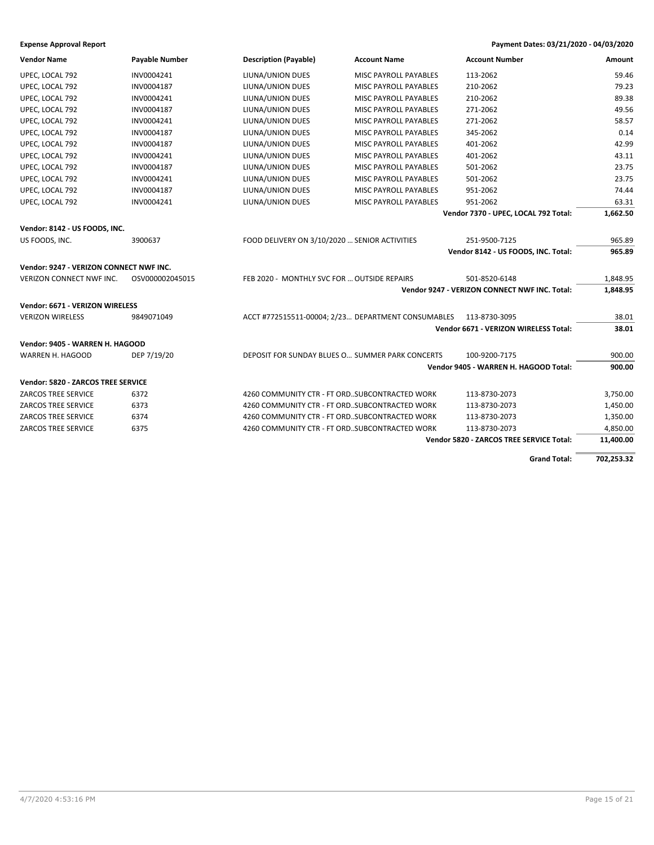| <b>Vendor Name</b>                      | <b>Payable Number</b> | <b>Description (Payable)</b>                       | <b>Account Name</b>          | <b>Account Number</b>                         | Amount     |
|-----------------------------------------|-----------------------|----------------------------------------------------|------------------------------|-----------------------------------------------|------------|
| UPEC, LOCAL 792                         | INV0004241            | LIUNA/UNION DUES                                   | MISC PAYROLL PAYABLES        | 113-2062                                      | 59.46      |
| UPEC, LOCAL 792                         | INV0004187            | LIUNA/UNION DUES                                   | MISC PAYROLL PAYABLES        | 210-2062                                      | 79.23      |
| UPEC, LOCAL 792                         | INV0004241            | LIUNA/UNION DUES                                   | MISC PAYROLL PAYABLES        | 210-2062                                      | 89.38      |
| UPEC, LOCAL 792                         | INV0004187            | LIUNA/UNION DUES                                   | MISC PAYROLL PAYABLES        | 271-2062                                      | 49.56      |
| UPEC, LOCAL 792                         | INV0004241            | LIUNA/UNION DUES                                   | MISC PAYROLL PAYABLES        | 271-2062                                      | 58.57      |
| UPEC, LOCAL 792                         | INV0004187            | LIUNA/UNION DUES                                   | MISC PAYROLL PAYABLES        | 345-2062                                      | 0.14       |
| UPEC, LOCAL 792                         | INV0004187            | LIUNA/UNION DUES                                   | MISC PAYROLL PAYABLES        | 401-2062                                      | 42.99      |
| UPEC, LOCAL 792                         | INV0004241            | LIUNA/UNION DUES                                   | <b>MISC PAYROLL PAYABLES</b> | 401-2062                                      | 43.11      |
| UPEC, LOCAL 792                         | INV0004187            | LIUNA/UNION DUES                                   | MISC PAYROLL PAYABLES        | 501-2062                                      | 23.75      |
| UPEC, LOCAL 792                         | INV0004241            | LIUNA/UNION DUES                                   | <b>MISC PAYROLL PAYABLES</b> | 501-2062                                      | 23.75      |
| UPEC, LOCAL 792                         | INV0004187            | LIUNA/UNION DUES                                   | MISC PAYROLL PAYABLES        | 951-2062                                      | 74.44      |
| UPEC, LOCAL 792                         | INV0004241            | LIUNA/UNION DUES                                   | MISC PAYROLL PAYABLES        | 951-2062                                      | 63.31      |
|                                         |                       |                                                    |                              | Vendor 7370 - UPEC, LOCAL 792 Total:          | 1,662.50   |
| Vendor: 8142 - US FOODS, INC.           |                       |                                                    |                              |                                               |            |
| US FOODS, INC.                          | 3900637               | FOOD DELIVERY ON 3/10/2020  SENIOR ACTIVITIES      |                              | 251-9500-7125                                 | 965.89     |
|                                         |                       |                                                    |                              | Vendor 8142 - US FOODS, INC. Total:           | 965.89     |
| Vendor: 9247 - VERIZON CONNECT NWF INC. |                       |                                                    |                              |                                               |            |
| VERIZON CONNECT NWF INC.                | OSV000002045015       | FEB 2020 - MONTHLY SVC FOR  OUTSIDE REPAIRS        |                              | 501-8520-6148                                 | 1,848.95   |
|                                         |                       |                                                    |                              | Vendor 9247 - VERIZON CONNECT NWF INC. Total: | 1,848.95   |
| Vendor: 6671 - VERIZON WIRELESS         |                       |                                                    |                              |                                               |            |
| <b>VERIZON WIRELESS</b>                 | 9849071049            | ACCT #772515511-00004; 2/23 DEPARTMENT CONSUMABLES |                              | 113-8730-3095                                 | 38.01      |
|                                         |                       |                                                    |                              | Vendor 6671 - VERIZON WIRELESS Total:         | 38.01      |
|                                         |                       |                                                    |                              |                                               |            |
| Vendor: 9405 - WARREN H. HAGOOD         |                       |                                                    |                              |                                               |            |
| WARREN H. HAGOOD                        | DEP 7/19/20           | DEPOSIT FOR SUNDAY BLUES O SUMMER PARK CONCERTS    |                              | 100-9200-7175                                 | 900.00     |
|                                         |                       |                                                    |                              | Vendor 9405 - WARREN H. HAGOOD Total:         | 900.00     |
| Vendor: 5820 - ZARCOS TREE SERVICE      |                       |                                                    |                              |                                               |            |
| <b>ZARCOS TREE SERVICE</b>              | 6372                  | 4260 COMMUNITY CTR - FT ORDSUBCONTRACTED WORK      |                              | 113-8730-2073                                 | 3,750.00   |
| <b>ZARCOS TREE SERVICE</b>              | 6373                  | 4260 COMMUNITY CTR - FT ORDSUBCONTRACTED WORK      |                              | 113-8730-2073                                 | 1,450.00   |
| <b>ZARCOS TREE SERVICE</b>              | 6374                  | 4260 COMMUNITY CTR - FT ORDSUBCONTRACTED WORK      |                              | 113-8730-2073                                 | 1,350.00   |
| <b>ZARCOS TREE SERVICE</b>              | 6375                  | 4260 COMMUNITY CTR - FT ORDSUBCONTRACTED WORK      |                              | 113-8730-2073                                 | 4,850.00   |
|                                         |                       |                                                    |                              | Vendor 5820 - ZARCOS TREE SERVICE Total:      | 11,400.00  |
|                                         |                       |                                                    |                              | <b>Grand Total:</b>                           | 702,253.32 |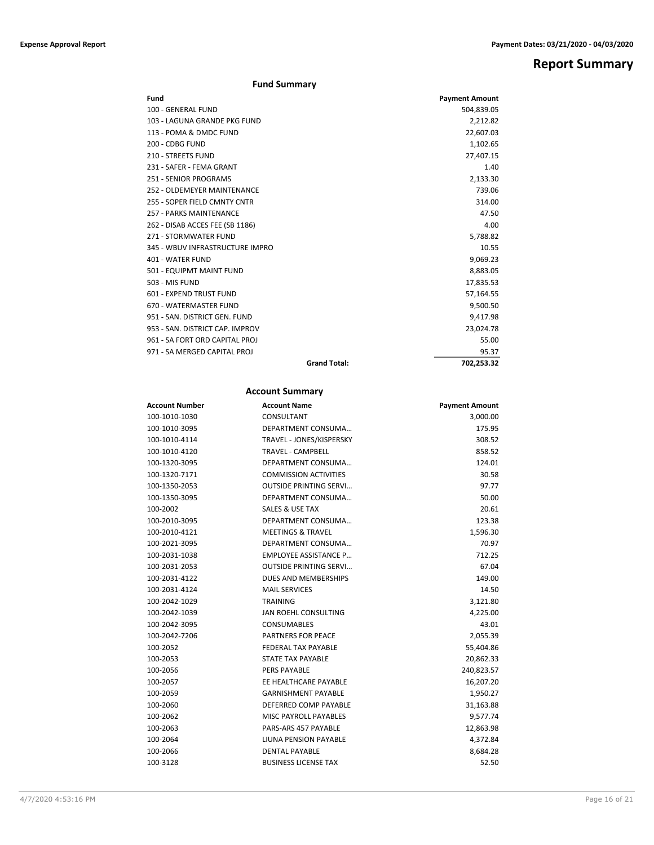# **Report Summary**

# **Fund Summary**

| Fund                            |                     | <b>Payment Amount</b> |
|---------------------------------|---------------------|-----------------------|
| 100 - GENERAL FUND              |                     | 504,839.05            |
| 103 - LAGUNA GRANDE PKG FUND    |                     | 2,212.82              |
| 113 - POMA & DMDC FUND          |                     | 22,607.03             |
| 200 - CDBG FUND                 |                     | 1,102.65              |
| <b>210 - STREETS FUND</b>       |                     | 27,407.15             |
| 231 - SAFER - FEMA GRANT        |                     | 1.40                  |
| 251 - SENIOR PROGRAMS           |                     | 2,133.30              |
| 252 - OLDEMEYER MAINTENANCE     |                     | 739.06                |
| 255 - SOPER FIELD CMNTY CNTR    |                     | 314.00                |
| <b>257 - PARKS MAINTENANCE</b>  |                     | 47.50                 |
| 262 - DISAB ACCES FEE (SB 1186) |                     | 4.00                  |
| 271 - STORMWATER FUND           |                     | 5,788.82              |
| 345 - WBUV INFRASTRUCTURE IMPRO |                     | 10.55                 |
| 401 - WATER FUND                |                     | 9,069.23              |
| 501 - EQUIPMT MAINT FUND        |                     | 8,883.05              |
| 503 - MIS FUND                  |                     | 17,835.53             |
| 601 - EXPEND TRUST FUND         |                     | 57,164.55             |
| 670 - WATERMASTER FUND          |                     | 9,500.50              |
| 951 - SAN, DISTRICT GEN, FUND   |                     | 9,417.98              |
| 953 - SAN, DISTRICT CAP, IMPROV |                     | 23,024.78             |
| 961 - SA FORT ORD CAPITAL PROJ  |                     | 55.00                 |
| 971 - SA MERGED CAPITAL PROJ    |                     | 95.37                 |
|                                 | <b>Grand Total:</b> | 702,253.32            |

# **Account Summary**

| <b>Account Number</b> | <b>Account Name</b>           | <b>Payment Amount</b> |
|-----------------------|-------------------------------|-----------------------|
| 100-1010-1030         | CONSULTANT                    | 3,000.00              |
| 100-1010-3095         | DEPARTMENT CONSUMA            | 175.95                |
| 100-1010-4114         | TRAVEL - JONES/KISPERSKY      | 308.52                |
| 100-1010-4120         | <b>TRAVEL - CAMPBELL</b>      | 858.52                |
| 100-1320-3095         | DEPARTMENT CONSUMA            | 124.01                |
| 100-1320-7171         | <b>COMMISSION ACTIVITIES</b>  | 30.58                 |
| 100-1350-2053         | <b>OUTSIDE PRINTING SERVI</b> | 97.77                 |
| 100-1350-3095         | DEPARTMENT CONSUMA            | 50.00                 |
| 100-2002              | <b>SALES &amp; USE TAX</b>    | 20.61                 |
| 100-2010-3095         | DEPARTMENT CONSUMA            | 123.38                |
| 100-2010-4121         | <b>MEETINGS &amp; TRAVEL</b>  | 1,596.30              |
| 100-2021-3095         | DEPARTMENT CONSUMA            | 70.97                 |
| 100-2031-1038         | <b>EMPLOYEE ASSISTANCE P</b>  | 712.25                |
| 100-2031-2053         | <b>OUTSIDE PRINTING SERVI</b> | 67.04                 |
| 100-2031-4122         | DUES AND MEMBERSHIPS          | 149.00                |
| 100-2031-4124         | <b>MAIL SERVICES</b>          | 14.50                 |
| 100-2042-1029         | TRAINING                      | 3,121.80              |
| 100-2042-1039         | JAN ROEHL CONSULTING          | 4,225.00              |
| 100-2042-3095         | <b>CONSUMABLES</b>            | 43.01                 |
| 100-2042-7206         | <b>PARTNERS FOR PEACE</b>     | 2,055.39              |
| 100-2052              | <b>FEDERAL TAX PAYABLE</b>    | 55,404.86             |
| 100-2053              | <b>STATE TAX PAYABLE</b>      | 20,862.33             |
| 100-2056              | <b>PERS PAYABLE</b>           | 240,823.57            |
| 100-2057              | EE HEALTHCARE PAYABLE         | 16,207.20             |
| 100-2059              | <b>GARNISHMENT PAYABLE</b>    | 1,950.27              |
| 100-2060              | DEFERRED COMP PAYABLE         | 31,163.88             |
| 100-2062              | <b>MISC PAYROLL PAYABLES</b>  | 9,577.74              |
| 100-2063              | PARS-ARS 457 PAYABLE          | 12,863.98             |
| 100-2064              | LIUNA PENSION PAYABLE         | 4,372.84              |
| 100-2066              | <b>DENTAL PAYABLE</b>         | 8,684.28              |
| 100-3128              | <b>BUSINESS LICENSE TAX</b>   | 52.50                 |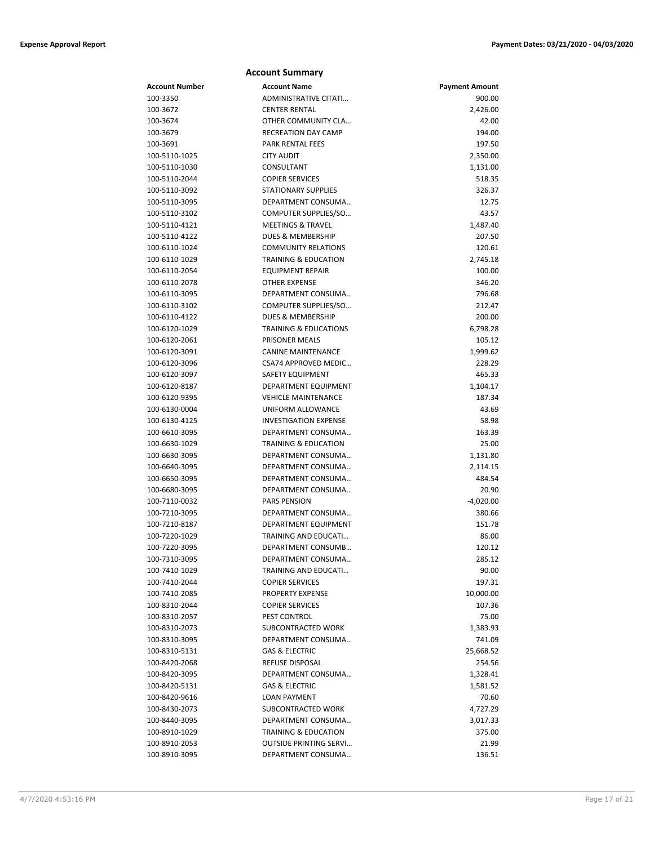|                | <b>Account Summary</b>           |                       |
|----------------|----------------------------------|-----------------------|
| Account Number | <b>Account Name</b>              | <b>Payment Amount</b> |
| 100-3350       | <b>ADMINISTRATIVE CITATI</b>     | 900.00                |
| 100-3672       | <b>CENTER RENTAL</b>             | 2,426.00              |
| 100-3674       | OTHER COMMUNITY CLA              | 42.00                 |
| 100-3679       | <b>RECREATION DAY CAMP</b>       | 194.00                |
| 100-3691       | PARK RENTAL FEES                 | 197.50                |
| 100-5110-1025  | <b>CITY AUDIT</b>                | 2,350.00              |
| 100-5110-1030  | CONSULTANT                       | 1,131.00              |
| 100-5110-2044  | <b>COPIER SERVICES</b>           | 518.35                |
| 100-5110-3092  | <b>STATIONARY SUPPLIES</b>       | 326.37                |
| 100-5110-3095  | DEPARTMENT CONSUMA               | 12.75                 |
| 100-5110-3102  | COMPUTER SUPPLIES/SO             | 43.57                 |
| 100-5110-4121  | <b>MEETINGS &amp; TRAVEL</b>     | 1,487.40              |
| 100-5110-4122  | <b>DUES &amp; MEMBERSHIP</b>     | 207.50                |
| 100-6110-1024  | <b>COMMUNITY RELATIONS</b>       | 120.61                |
| 100-6110-1029  | <b>TRAINING &amp; EDUCATION</b>  | 2,745.18              |
| 100-6110-2054  | <b>EQUIPMENT REPAIR</b>          | 100.00                |
| 100-6110-2078  | <b>OTHER EXPENSE</b>             | 346.20                |
| 100-6110-3095  | DEPARTMENT CONSUMA               | 796.68                |
| 100-6110-3102  | COMPUTER SUPPLIES/SO             | 212.47                |
| 100-6110-4122  | <b>DUES &amp; MEMBERSHIP</b>     | 200.00                |
| 100-6120-1029  | <b>TRAINING &amp; EDUCATIONS</b> | 6,798.28              |
| 100-6120-2061  | <b>PRISONER MEALS</b>            | 105.12                |
| 100-6120-3091  | <b>CANINE MAINTENANCE</b>        | 1,999.62              |
| 100-6120-3096  | CSA74 APPROVED MEDIC             | 228.29                |
| 100-6120-3097  | <b>SAFETY EQUIPMENT</b>          | 465.33                |
| 100-6120-8187  | DEPARTMENT EQUIPMENT             | 1,104.17              |
| 100-6120-9395  | <b>VEHICLE MAINTENANCE</b>       | 187.34                |
| 100-6130-0004  | UNIFORM ALLOWANCE                | 43.69                 |
| 100-6130-4125  | <b>INVESTIGATION EXPENSE</b>     | 58.98                 |
| 100-6610-3095  | DEPARTMENT CONSUMA               | 163.39                |
| 100-6630-1029  | <b>TRAINING &amp; EDUCATION</b>  | 25.00                 |
| 100-6630-3095  | DEPARTMENT CONSUMA               | 1,131.80              |
| 100-6640-3095  | DEPARTMENT CONSUMA               | 2,114.15              |
| 100-6650-3095  | DEPARTMENT CONSUMA               | 484.54                |
| 100-6680-3095  | DEPARTMENT CONSUMA               | 20.90                 |
| 100-7110-0032  | <b>PARS PENSION</b>              | $-4,020.00$           |
| 100-7210-3095  | DEPARTMENT CONSUMA               | 380.66                |
| 100-7210-8187  | DEPARTMENT EQUIPMENT             | 151.78                |
| 100-7220-1029  | <b>TRAINING AND EDUCATI</b>      | 86.00                 |
| 100-7220-3095  | DEPARTMENT CONSUMB               | 120.12                |
| 100-7310-3095  | DEPARTMENT CONSUMA               | 285.12                |
| 100-7410-1029  | TRAINING AND EDUCATI             | 90.00                 |
| 100-7410-2044  | <b>COPIER SERVICES</b>           | 197.31                |
| 100-7410-2085  | PROPERTY EXPENSE                 | 10,000.00             |
| 100-8310-2044  | <b>COPIER SERVICES</b>           | 107.36                |
| 100-8310-2057  | PEST CONTROL                     | 75.00                 |
| 100-8310-2073  | SUBCONTRACTED WORK               | 1,383.93              |
| 100-8310-3095  | DEPARTMENT CONSUMA               | 741.09                |
| 100-8310-5131  | <b>GAS &amp; ELECTRIC</b>        | 25,668.52             |
| 100-8420-2068  | REFUSE DISPOSAL                  | 254.56                |
| 100-8420-3095  | DEPARTMENT CONSUMA               | 1,328.41              |
| 100-8420-5131  | <b>GAS &amp; ELECTRIC</b>        | 1,581.52              |
| 100-8420-9616  | <b>LOAN PAYMENT</b>              | 70.60                 |
| 100-8430-2073  | SUBCONTRACTED WORK               | 4,727.29              |
| 100-8440-3095  | DEPARTMENT CONSUMA               | 3,017.33              |
| 100-8910-1029  | TRAINING & EDUCATION             | 375.00                |
| 100-8910-2053  | <b>OUTSIDE PRINTING SERVI</b>    | 21.99                 |
| 100-8910-3095  | DEPARTMENT CONSUMA               | 136.51                |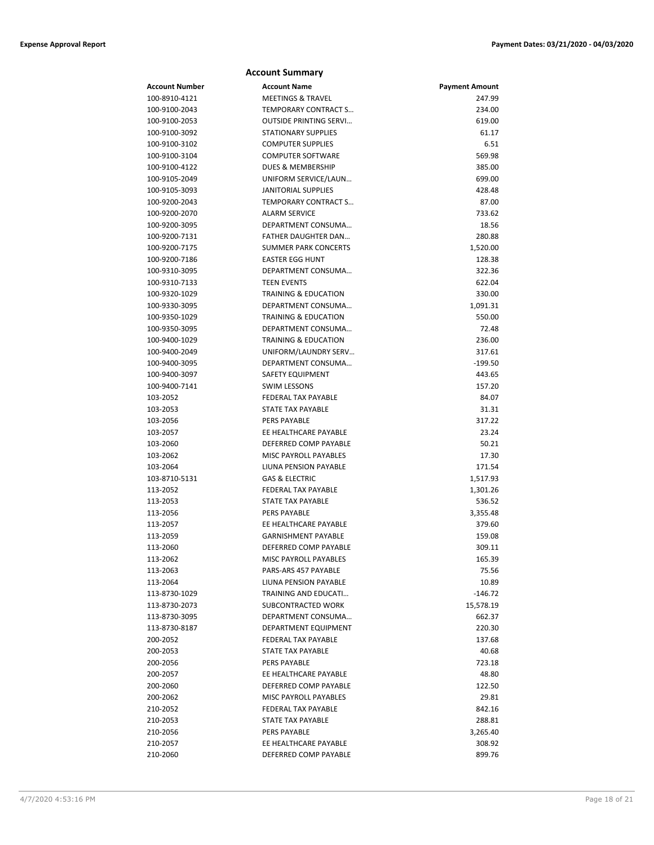## **Account Number Account Name Payment Amount** 100-8910-4121 MEETINGS & TRAVEL 247.99 100-9100-2043 TEMPORARY CONTRACT S… 234.00 100-9100-2053 OUTSIDE PRINTING SERVI… 619.00 100-9100-3092 STATIONARY SUPPLIES 61.17 100-9100-3102 COMPUTER SUPPLIES 6.51 100-9100-3104 COMPUTER SOFTWARE 569.98 100-9100-4122 DUES & MEMBERSHIP 385.00 100-9105-2049 UNIFORM SERVICE/LAUN… 699.00 100-9105-3093 JANITORIAL SUPPLIES 428.48 100-9200-2043 TEMPORARY CONTRACT S… 87.00 100-9200-2070 ALARM SERVICE 733.62 100-9200-3095 DEPARTMENT CONSUMA… 18.56 100-9200-7131 FATHER DAUGHTER DAN… 280.88 100-9200-7175 SUMMER PARK CONCERTS 1,520.00 100-9200-7186 EASTER EGG HUNT 128.38 100-9310-3095 DEPARTMENT CONSUMA… 322.36 100-9310-7133 TEEN EVENTS 622.04 100-9320-1029 TRAINING & EDUCATION 330.00 100-9330-3095 DEPARTMENT CONSUMA... 1,0091.31 1,091.31 100-9350-1029 TRAINING & EDUCATION 550.00 100-9350-3095 DEPARTMENT CONSUMA… 72.48 100-9400-1029 TRAINING & EDUCATION 236.00 100-9400-2049 UNIFORM/LAUNDRY SERV… 317.61 100-9400-3095 DEPARTMENT CONSUMA... 199.50 100-9400-3097 SAFETY EQUIPMENT 443.65 100-9400-7141 SWIM LESSONS 157.20 103-2052 FEDERAL TAX PAYABLE 84.07 103-2053 STATE TAX PAYABLE 31.31 103-2056 PERS PAYABLE 317.22 103-2057 EE HEALTHCARE PAYARLE 23.24 103-2060 DEFERRED COMP PAYABLE 50.21 103-2062 MISC PAYROLL PAYABLES 17.30 103-2064 LIUNA PENSION PAYABLE 171.54 103-8710-5131 GAS & ELECTRIC 1,517.93 113-2052 FEDERAL TAX PAYABLE 1,301.26 113-2053 STATE TAX PAYABLE 536.52 113-2056 PERS PAYABLE 3,355.48 113-2057 EE HEALTHCARE PAYABLE 379.60 113-2059 GARNISHMENT PAYABLE 159.08 113-2060 DEFERRED COMP PAYABLE 309.11 113-2062 MISC PAYROLL PAYABLES 165.39 113-2063 PARS-ARS 457 PAYABLE 75.56 113-2064 LIUNA PENSION PAYABLE 10.89 113-8730-1029 TRAINING AND EDUCATI… 113-8730-2073 SUBCONTRACTED WORK 15,578.19 113-8730-3095 DEPARTMENT CONSUMA… 662.37 113-8730-8187 DEPARTMENT EQUIPMENT 220.30 200-2052 FEDERAL TAX PAYABLE 137.68 200-2053 STATE TAX PAYABLE 200-2053 40.68 200-2056 PERS PAYABLE 723.18 200-2057 EE HEALTHCARE PAYABLE 48.80 200-2060 DEFERRED COMP PAYABLE 122.50 200-2062 MISC PAYROLL PAYABLES 29.81 210-2052 FEDERAL TAX PAYABLE 842.16 210-2053 STATE TAX PAYABLE 288.81 210-2056 PERS PAYABLE 3,265.40 210-2057 EE HEALTHCARE PAYABLE 308.92

210-2060 DEFERRED COMP PAYABLE 899.76

**Account Summary**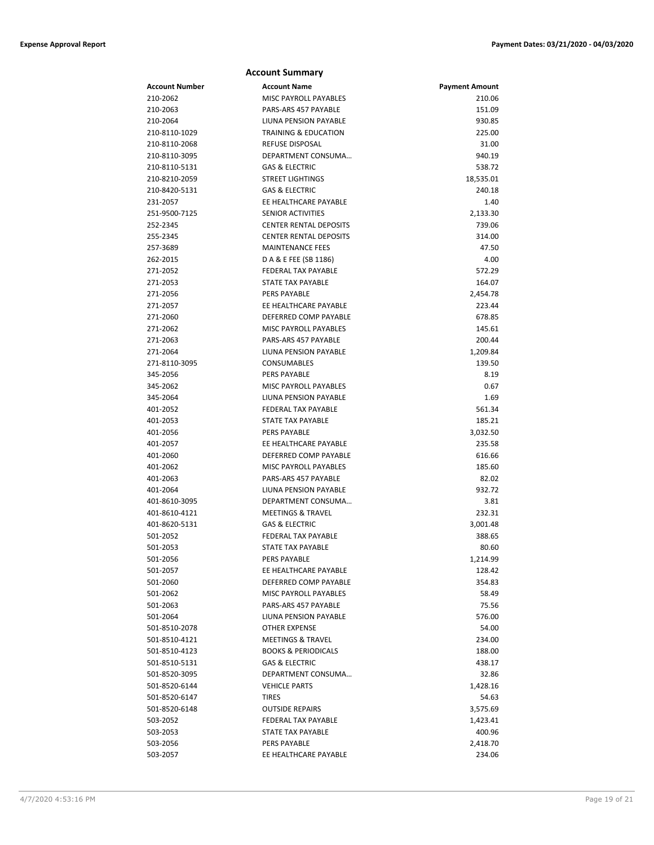|                      | <b>Account Summary</b>                       |                       |
|----------------------|----------------------------------------------|-----------------------|
| Account Number       | <b>Account Name</b>                          | <b>Payment Amount</b> |
| 210-2062             | MISC PAYROLL PAYABLES                        | 210.06                |
| 210-2063             | PARS-ARS 457 PAYABLE                         | 151.09                |
| 210-2064             | LIUNA PENSION PAYABLE                        | 930.85                |
| 210-8110-1029        | <b>TRAINING &amp; EDUCATION</b>              | 225.00                |
| 210-8110-2068        | <b>REFUSE DISPOSAL</b>                       | 31.00                 |
| 210-8110-3095        | DEPARTMENT CONSUMA                           | 940.19                |
| 210-8110-5131        | <b>GAS &amp; ELECTRIC</b>                    | 538.72                |
| 210-8210-2059        | <b>STREET LIGHTINGS</b>                      | 18,535.01             |
| 210-8420-5131        | <b>GAS &amp; ELECTRIC</b>                    | 240.18                |
| 231-2057             | EE HEALTHCARE PAYABLE                        | 1.40                  |
| 251-9500-7125        | <b>SENIOR ACTIVITIES</b>                     | 2,133.30              |
| 252-2345             | <b>CENTER RENTAL DEPOSITS</b>                | 739.06                |
| 255-2345             | <b>CENTER RENTAL DEPOSITS</b>                | 314.00                |
| 257-3689             | <b>MAINTENANCE FEES</b>                      | 47.50                 |
| 262-2015             | D A & E FEE (SB 1186)                        | 4.00                  |
| 271-2052             | <b>FEDERAL TAX PAYABLE</b>                   | 572.29                |
| 271-2053             | STATE TAX PAYABLE                            | 164.07                |
| 271-2056             | <b>PERS PAYABLE</b>                          | 2,454.78              |
| 271-2057             | EE HEALTHCARE PAYABLE                        | 223.44                |
| 271-2060             | DEFERRED COMP PAYABLE                        | 678.85                |
| 271-2062             | <b>MISC PAYROLL PAYABLES</b>                 | 145.61                |
| 271-2063             | PARS-ARS 457 PAYABLE                         | 200.44                |
| 271-2064             | LIUNA PENSION PAYABLE                        | 1,209.84              |
| 271-8110-3095        | <b>CONSUMABLES</b>                           | 139.50                |
| 345-2056             | <b>PERS PAYABLE</b>                          | 8.19                  |
| 345-2062             | MISC PAYROLL PAYABLES                        | 0.67                  |
| 345-2064             | LIUNA PENSION PAYABLE                        | 1.69                  |
| 401-2052             | FEDERAL TAX PAYABLE                          | 561.34<br>185.21      |
| 401-2053             | STATE TAX PAYABLE                            |                       |
| 401-2056<br>401-2057 | <b>PERS PAYABLE</b><br>EE HEALTHCARE PAYABLE | 3,032.50<br>235.58    |
| 401-2060             | DEFERRED COMP PAYABLE                        | 616.66                |
| 401-2062             | MISC PAYROLL PAYABLES                        | 185.60                |
| 401-2063             | PARS-ARS 457 PAYABLE                         | 82.02                 |
| 401-2064             | LIUNA PENSION PAYABLE                        | 932.72                |
| 401-8610-3095        | DEPARTMENT CONSUMA                           | 3.81                  |
| 401-8610-4121        | <b>MEETINGS &amp; TRAVEL</b>                 | 232.31                |
| 401-8620-5131        | <b>GAS &amp; ELECTRIC</b>                    | 3,001.48              |
| 501-2052             | FEDERAL TAX PAYABLE                          | 388.65                |
| 501-2053             | <b>STATE TAX PAYABLE</b>                     | 80.60                 |
| 501-2056             | PERS PAYABLE                                 | 1,214.99              |
| 501-2057             | EE HEALTHCARE PAYABLE                        | 128.42                |
| 501-2060             | DEFERRED COMP PAYABLE                        | 354.83                |
| 501-2062             | <b>MISC PAYROLL PAYABLES</b>                 | 58.49                 |
| 501-2063             | PARS-ARS 457 PAYABLE                         | 75.56                 |
| 501-2064             | LIUNA PENSION PAYABLE                        | 576.00                |
| 501-8510-2078        | OTHER EXPENSE                                | 54.00                 |
| 501-8510-4121        | <b>MEETINGS &amp; TRAVEL</b>                 | 234.00                |
| 501-8510-4123        | <b>BOOKS &amp; PERIODICALS</b>               | 188.00                |
| 501-8510-5131        | <b>GAS &amp; ELECTRIC</b>                    | 438.17                |
| 501-8520-3095        | DEPARTMENT CONSUMA                           | 32.86                 |
| 501-8520-6144        | <b>VEHICLE PARTS</b>                         | 1,428.16              |
| 501-8520-6147        | <b>TIRES</b>                                 | 54.63                 |
| 501-8520-6148        | <b>OUTSIDE REPAIRS</b>                       | 3,575.69              |
| 503-2052             | FEDERAL TAX PAYABLE                          | 1,423.41              |
| 503-2053             | STATE TAX PAYABLE                            | 400.96                |
| 503-2056             | PERS PAYABLE                                 | 2,418.70              |
| 503-2057             | EE HEALTHCARE PAYABLE                        | 234.06                |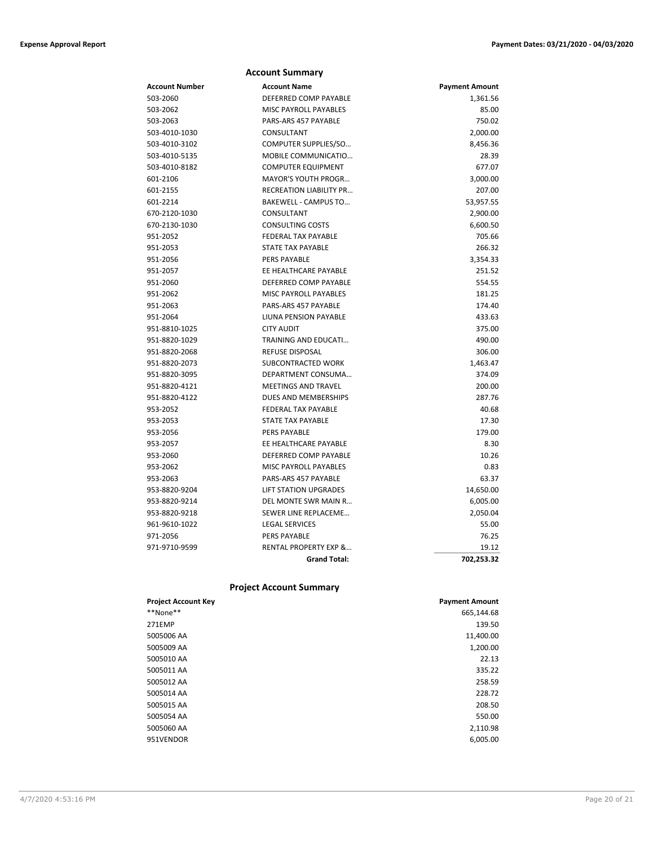|                | <b>Account Summary</b>           |                       |
|----------------|----------------------------------|-----------------------|
| Account Number | <b>Account Name</b>              | <b>Payment Amount</b> |
| 503-2060       | DEFERRED COMP PAYABLE            | 1,361.56              |
| 503-2062       | MISC PAYROLL PAYABLES            | 85.00                 |
| 503-2063       | PARS-ARS 457 PAYABLE             | 750.02                |
| 503-4010-1030  | CONSULTANT                       | 2,000.00              |
| 503-4010-3102  | COMPUTER SUPPLIES/SO             | 8,456.36              |
| 503-4010-5135  | MOBILE COMMUNICATIO              | 28.39                 |
| 503-4010-8182  | <b>COMPUTER EQUIPMENT</b>        | 677.07                |
| 601-2106       | <b>MAYOR'S YOUTH PROGR</b>       | 3,000.00              |
| 601-2155       | <b>RECREATION LIABILITY PR</b>   | 207.00                |
| 601-2214       | <b>BAKEWELL - CAMPUS TO</b>      | 53,957.55             |
| 670-2120-1030  | CONSULTANT                       | 2,900.00              |
| 670-2130-1030  | <b>CONSULTING COSTS</b>          | 6,600.50              |
| 951-2052       | <b>FEDERAL TAX PAYABLE</b>       | 705.66                |
| 951-2053       | <b>STATE TAX PAYABLE</b>         | 266.32                |
| 951-2056       | <b>PERS PAYABLE</b>              | 3,354.33              |
| 951-2057       | EE HEALTHCARE PAYABLE            | 251.52                |
| 951-2060       | DEFERRED COMP PAYABLE            | 554.55                |
| 951-2062       | MISC PAYROLL PAYABLES            | 181.25                |
| 951-2063       | PARS-ARS 457 PAYABLE             | 174.40                |
| 951-2064       | LIUNA PENSION PAYABLE            | 433.63                |
| 951-8810-1025  | <b>CITY AUDIT</b>                | 375.00                |
| 951-8820-1029  | TRAINING AND EDUCATI             | 490.00                |
| 951-8820-2068  | <b>REFUSE DISPOSAL</b>           | 306.00                |
| 951-8820-2073  | SUBCONTRACTED WORK               | 1,463.47              |
| 951-8820-3095  | DEPARTMENT CONSUMA               | 374.09                |
| 951-8820-4121  | MEETINGS AND TRAVEL              | 200.00                |
| 951-8820-4122  | DUES AND MEMBERSHIPS             | 287.76                |
| 953-2052       | <b>FEDERAL TAX PAYABLE</b>       | 40.68                 |
| 953-2053       | <b>STATE TAX PAYABLE</b>         | 17.30                 |
| 953-2056       | PERS PAYABLE                     | 179.00                |
| 953-2057       | EE HEALTHCARE PAYABLE            | 8.30                  |
| 953-2060       | DEFERRED COMP PAYABLE            | 10.26                 |
| 953-2062       | <b>MISC PAYROLL PAYABLES</b>     | 0.83                  |
| 953-2063       | PARS-ARS 457 PAYABLE             | 63.37                 |
| 953-8820-9204  | <b>LIFT STATION UPGRADES</b>     | 14,650.00             |
| 953-8820-9214  | DEL MONTE SWR MAIN R             | 6,005.00              |
| 953-8820-9218  | SEWER LINE REPLACEME             | 2,050.04              |
| 961-9610-1022  | <b>LEGAL SERVICES</b>            | 55.00                 |
| 971-2056       | PERS PAYABLE                     | 76.25                 |
| 971-9710-9599  | <b>RENTAL PROPERTY EXP &amp;</b> | 19.12                 |
|                | <b>Grand Total:</b>              | 702,253.32            |

# **Project Account Summary**

| <b>Project Account Key</b> | <b>Payment Amount</b> |
|----------------------------|-----------------------|
| **None**                   | 665,144.68            |
| 271EMP                     | 139.50                |
| 5005006 AA                 | 11,400.00             |
| 5005009 AA                 | 1,200.00              |
| 5005010 AA                 | 22.13                 |
| 5005011 AA                 | 335.22                |
| 5005012 AA                 | 258.59                |
| 5005014 AA                 | 228.72                |
| 5005015 AA                 | 208.50                |
| 5005054 AA                 | 550.00                |
| 5005060 AA                 | 2,110.98              |
| 951VENDOR                  | 6,005.00              |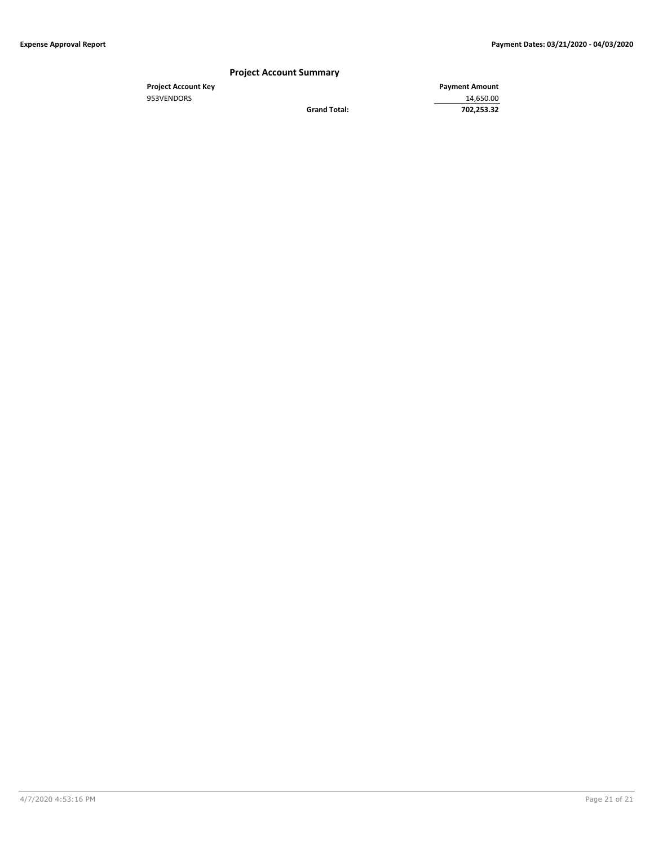# **Project Account Summary**

**Grand Total:** 

**Project Account Key Payment Amount**<br>
953VENDORS 14,650.00 953VENDORS 14,650.00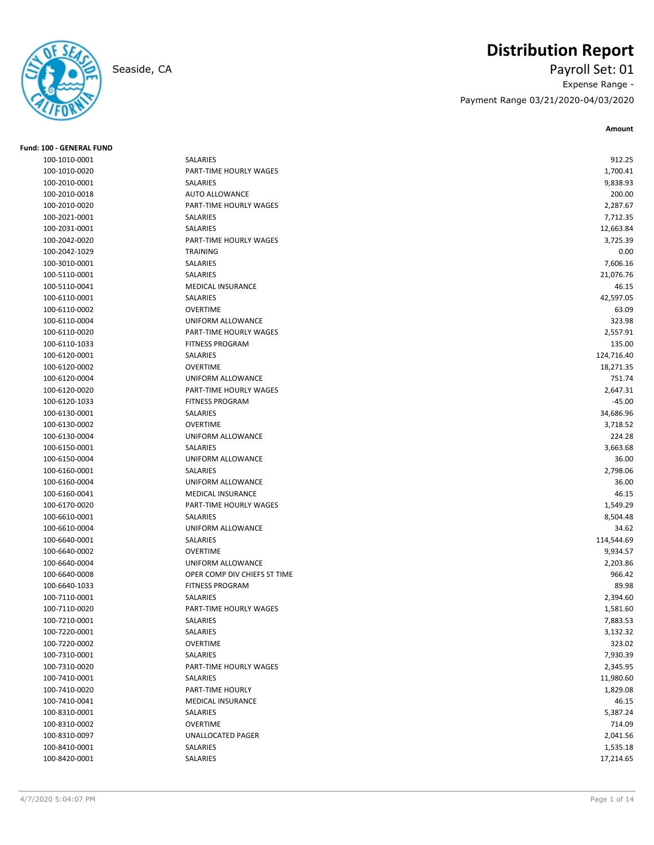

# **Distribution Report**

Seaside, CA Payroll Set: 01 Expense Range - Payment Range 03/21/2020-04/03/2020

**Amount**

| <b>Fund: 100 - GENERAL FUND</b> |                                    |                       |
|---------------------------------|------------------------------------|-----------------------|
| 100-1010-0001                   | SALARIES                           | 912.25                |
| 100-1010-0020                   | PART-TIME HOURLY WAGES             | 1,700.41              |
| 100-2010-0001                   | SALARIES                           | 9,838.93              |
| 100-2010-0018                   | <b>AUTO ALLOWANCE</b>              | 200.00                |
| 100-2010-0020                   | PART-TIME HOURLY WAGES             | 2,287.67              |
| 100-2021-0001                   | SALARIES                           | 7,712.35              |
| 100-2031-0001                   | SALARIES                           | 12,663.84             |
| 100-2042-0020                   | PART-TIME HOURLY WAGES             | 3,725.39              |
| 100-2042-1029                   | <b>TRAINING</b>                    | 0.00                  |
| 100-3010-0001                   | SALARIES                           | 7,606.16              |
| 100-5110-0001                   | SALARIES                           | 21,076.76             |
| 100-5110-0041                   | <b>MEDICAL INSURANCE</b>           | 46.15                 |
| 100-6110-0001                   | SALARIES                           | 42,597.05             |
| 100-6110-0002                   | <b>OVERTIME</b>                    | 63.09                 |
| 100-6110-0004                   | UNIFORM ALLOWANCE                  | 323.98                |
| 100-6110-0020                   | PART-TIME HOURLY WAGES             | 2,557.91              |
| 100-6110-1033                   | <b>FITNESS PROGRAM</b>             | 135.00                |
| 100-6120-0001                   | SALARIES                           | 124,716.40            |
| 100-6120-0002                   | <b>OVERTIME</b>                    | 18,271.35             |
| 100-6120-0004                   | UNIFORM ALLOWANCE                  | 751.74                |
| 100-6120-0020                   | PART-TIME HOURLY WAGES             | 2,647.31              |
| 100-6120-1033                   | <b>FITNESS PROGRAM</b>             | $-45.00$              |
| 100-6130-0001                   | SALARIES                           | 34,686.96             |
| 100-6130-0002                   | <b>OVERTIME</b>                    | 3,718.52              |
| 100-6130-0004                   | UNIFORM ALLOWANCE                  | 224.28                |
| 100-6150-0001                   | SALARIES                           | 3,663.68              |
| 100-6150-0004                   | UNIFORM ALLOWANCE                  | 36.00                 |
| 100-6160-0001                   | SALARIES                           | 2,798.06              |
| 100-6160-0004                   | UNIFORM ALLOWANCE                  | 36.00                 |
| 100-6160-0041                   | <b>MEDICAL INSURANCE</b>           | 46.15                 |
| 100-6170-0020                   | PART-TIME HOURLY WAGES             | 1,549.29              |
| 100-6610-0001                   | <b>SALARIES</b>                    | 8,504.48              |
| 100-6610-0004                   | UNIFORM ALLOWANCE                  | 34.62                 |
| 100-6640-0001                   | SALARIES                           | 114,544.69            |
| 100-6640-0002                   | <b>OVERTIME</b>                    | 9,934.57              |
| 100-6640-0004                   | UNIFORM ALLOWANCE                  | 2,203.86              |
| 100-6640-0008                   | OPER COMP DIV CHIEFS ST TIME       | 966.42                |
| 100-6640-1033                   | <b>FITNESS PROGRAM</b>             | 89.98                 |
| 100-7110-0001                   | SALARIES                           | 2,394.60              |
| 100-7110-0020                   | PART-TIME HOURLY WAGES             |                       |
| 100-7210-0001                   | SALARIES                           | 1,581.60              |
| 100-7220-0001                   | SALARIES                           | 7,883.53<br>3,132.32  |
| 100-7220-0002                   | OVERTIME                           |                       |
|                                 |                                    | 323.02                |
| 100-7310-0001                   | SALARIES<br>PART-TIME HOURLY WAGES | 7,930.39              |
| 100-7310-0020<br>100-7410-0001  |                                    | 2,345.95              |
|                                 | SALARIES                           | 11,980.60<br>1,829.08 |
| 100-7410-0020                   | PART-TIME HOURLY                   |                       |
| 100-7410-0041                   | <b>MEDICAL INSURANCE</b>           | 46.15                 |
| 100-8310-0001                   | SALARIES                           | 5,387.24              |
| 100-8310-0002                   | <b>OVERTIME</b>                    | 714.09                |
| 100-8310-0097                   | UNALLOCATED PAGER                  | 2,041.56              |
| 100-8410-0001                   | SALARIES                           | 1,535.18              |
| 100-8420-0001                   | SALARIES                           | 17,214.65             |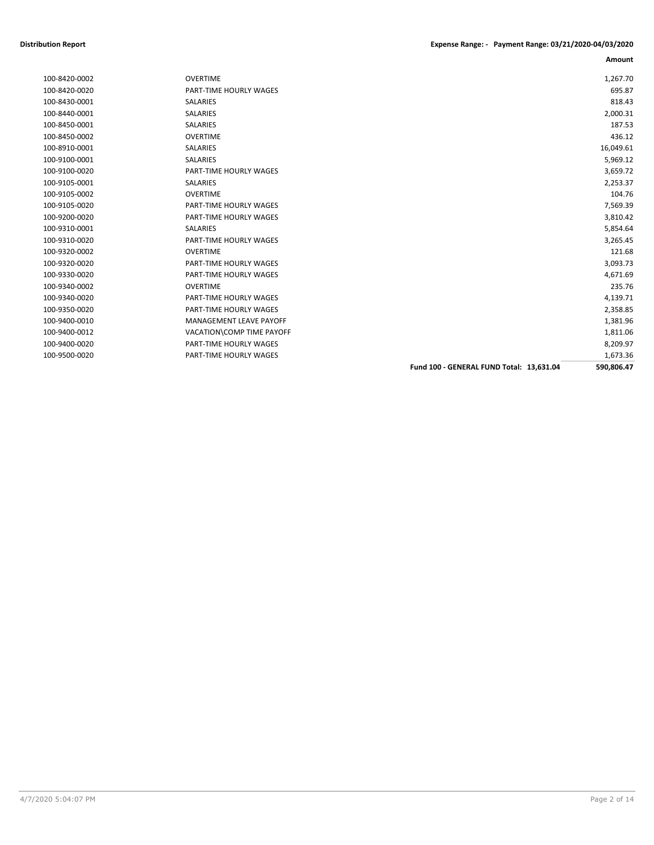|               |                                |                                          | Amount     |
|---------------|--------------------------------|------------------------------------------|------------|
| 100-8420-0002 | <b>OVERTIME</b>                |                                          | 1,267.70   |
| 100-8420-0020 | PART-TIME HOURLY WAGES         |                                          | 695.87     |
| 100-8430-0001 | <b>SALARIES</b>                |                                          | 818.43     |
| 100-8440-0001 | SALARIES                       |                                          | 2,000.31   |
| 100-8450-0001 | SALARIES                       |                                          | 187.53     |
| 100-8450-0002 | <b>OVERTIME</b>                |                                          | 436.12     |
| 100-8910-0001 | <b>SALARIES</b>                |                                          | 16,049.61  |
| 100-9100-0001 | <b>SALARIES</b>                |                                          | 5,969.12   |
| 100-9100-0020 | <b>PART-TIME HOURLY WAGES</b>  |                                          | 3,659.72   |
| 100-9105-0001 | <b>SALARIES</b>                |                                          | 2,253.37   |
| 100-9105-0002 | <b>OVERTIME</b>                |                                          | 104.76     |
| 100-9105-0020 | PART-TIME HOURLY WAGES         |                                          | 7,569.39   |
| 100-9200-0020 | PART-TIME HOURLY WAGES         |                                          | 3,810.42   |
| 100-9310-0001 | <b>SALARIES</b>                |                                          | 5,854.64   |
| 100-9310-0020 | PART-TIME HOURLY WAGES         |                                          | 3,265.45   |
| 100-9320-0002 | <b>OVERTIME</b>                |                                          | 121.68     |
| 100-9320-0020 | PART-TIME HOURLY WAGES         |                                          | 3,093.73   |
| 100-9330-0020 | PART-TIME HOURLY WAGES         |                                          | 4,671.69   |
| 100-9340-0002 | <b>OVERTIME</b>                |                                          | 235.76     |
| 100-9340-0020 | PART-TIME HOURLY WAGES         |                                          | 4,139.71   |
| 100-9350-0020 | PART-TIME HOURLY WAGES         |                                          | 2,358.85   |
| 100-9400-0010 | <b>MANAGEMENT LEAVE PAYOFF</b> |                                          | 1,381.96   |
| 100-9400-0012 | VACATION\COMP TIME PAYOFF      |                                          | 1,811.06   |
| 100-9400-0020 | PART-TIME HOURLY WAGES         |                                          | 8,209.97   |
| 100-9500-0020 | PART-TIME HOURLY WAGES         |                                          | 1,673.36   |
|               |                                | Fund 100 - GENERAL FUND Total: 13,631.04 | 590,806.47 |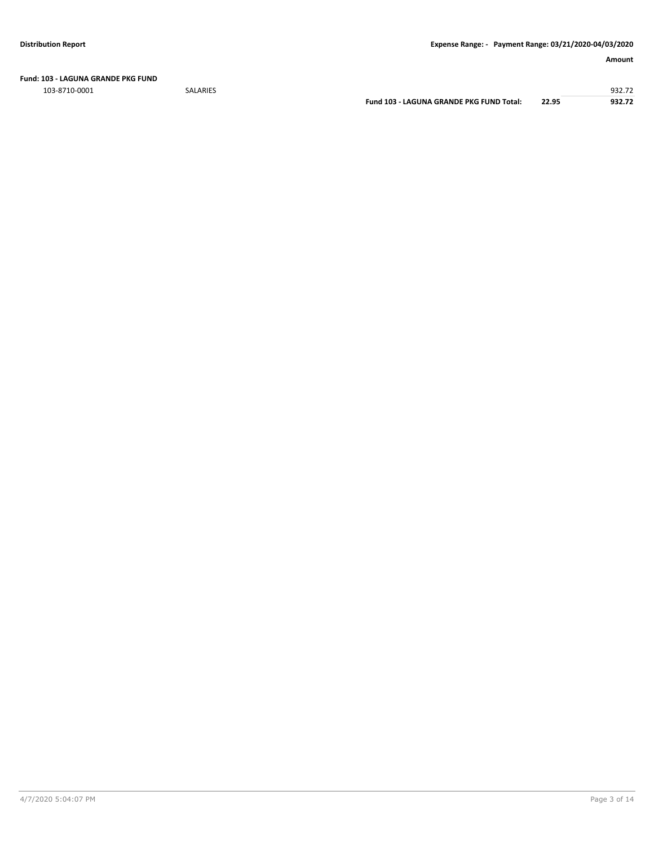**Fund: 103 - LAGUNA GRANDE PKG FUND**

103-8710-0001 SALARIES 932.72

**Fund 103 - LAGUNA GRANDE PKG FUND Total: 22.95 932.72**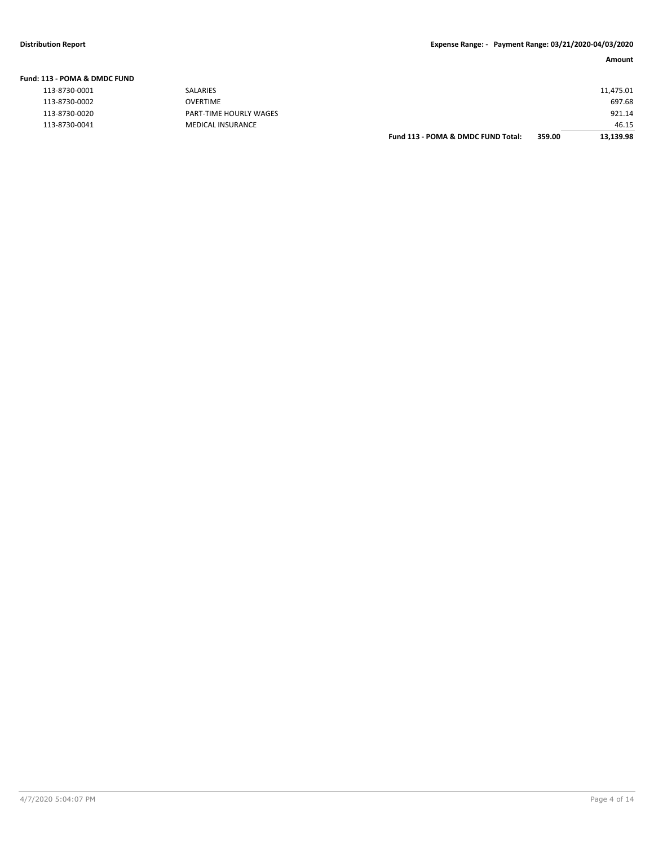**Fund: 113 - POMA & DMDC FUND**

## **Amount**

| L13 - POMA & DMDC FUND |                          |                                    |        |           |
|------------------------|--------------------------|------------------------------------|--------|-----------|
| 113-8730-0001          | SALARIES                 |                                    |        | 11,475.01 |
| 113-8730-0002          | <b>OVERTIME</b>          |                                    |        | 697.68    |
| 113-8730-0020          | PART-TIME HOURLY WAGES   |                                    |        | 921.14    |
| 113-8730-0041          | <b>MEDICAL INSURANCE</b> |                                    |        | 46.15     |
|                        |                          | Fund 113 - POMA & DMDC FUND Total: | 359.00 | 13,139.98 |
|                        |                          |                                    |        |           |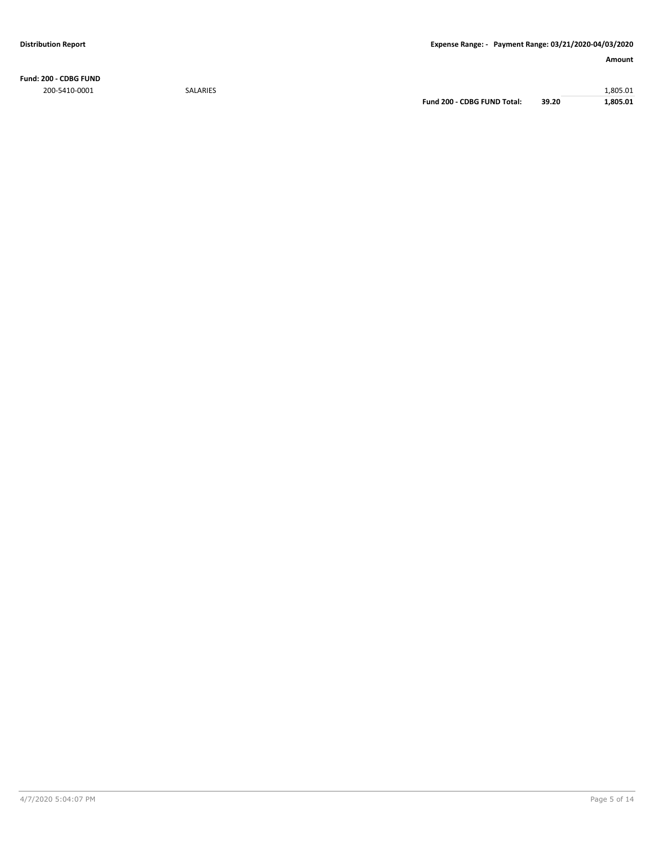**Fund: 200 - CDBG FUND** 200-5410-0001 SALARIES 1,805.01

**Fund 200 - CDBG FUND Total: 39.20 1,805.01**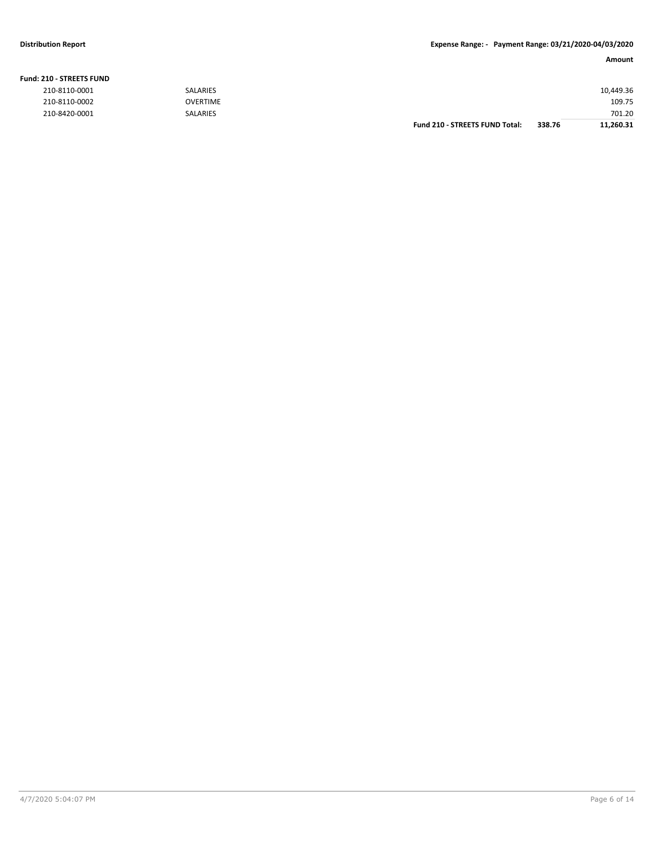# **Fund: 210 - STREETS FUND**

|               |                 | <b>Fund 210 - STREETS FUND Total:</b> | 338.76 | 11,260.31 |
|---------------|-----------------|---------------------------------------|--------|-----------|
| 210-8420-0001 | <b>SALARIES</b> |                                       |        | 701.20    |
| 210-8110-0002 | <b>OVERTIME</b> |                                       |        | 109.75    |
| 210-8110-0001 | <b>SALARIES</b> |                                       |        | 10,449.36 |
|               |                 |                                       |        |           |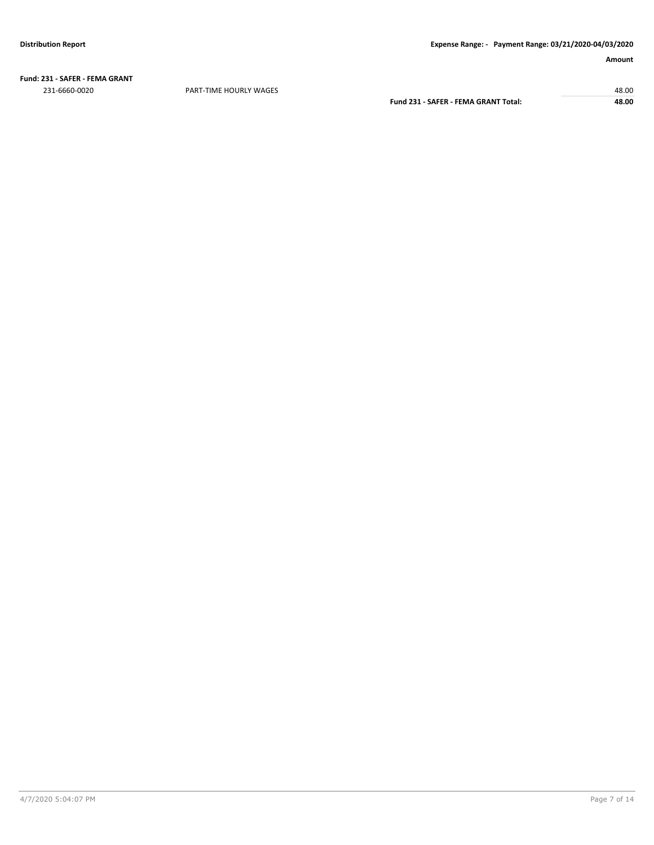**Fund: 231 - SAFER - FEMA GRANT** 231-6660-0020 PART-TIME HOURLY WAGES 48.00

**Fund 231 - SAFER - FEMA GRANT Total: 48.00**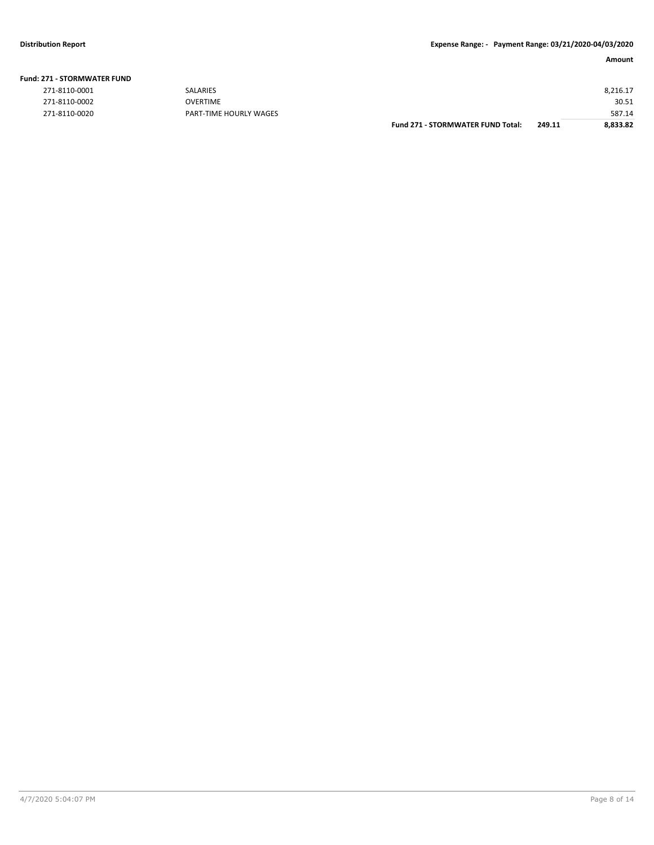| <b>Fund: 271 - STORMWATER FUND</b> |  |
|------------------------------------|--|
|------------------------------------|--|

| 271-8110-0001 | <b>SALARIES</b>        |                                          |        | 8,216.17 |
|---------------|------------------------|------------------------------------------|--------|----------|
| 271-8110-0002 | <b>OVERTIME</b>        |                                          |        | 30.51    |
| 271-8110-0020 | PART-TIME HOURLY WAGES |                                          |        | 587.14   |
|               |                        | <b>Fund 271 - STORMWATER FUND Total:</b> | 249.11 | 8,833.82 |
|               |                        |                                          |        |          |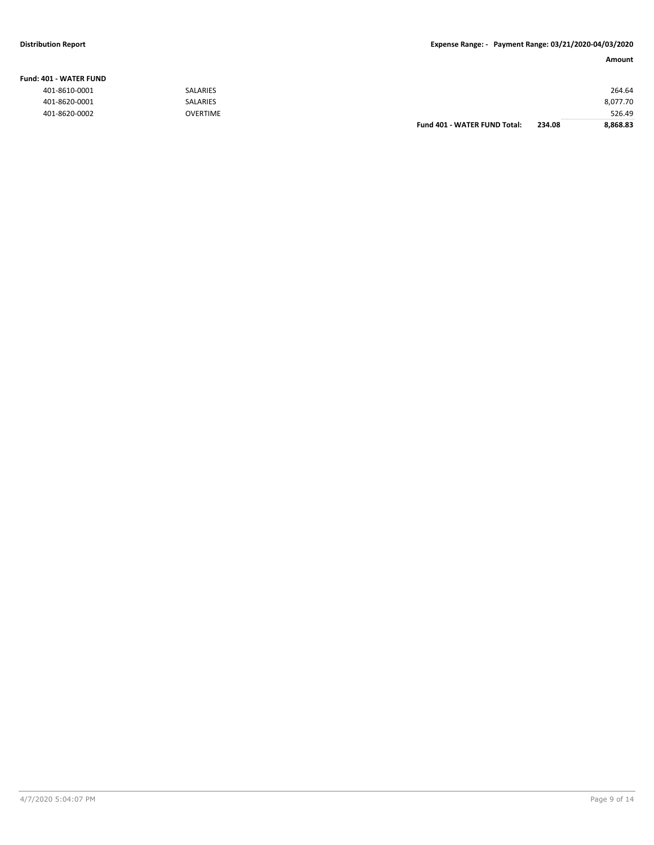## **Fund: 401 - WATER FUND**

**Amount**

| 401-8610-0001 | <b>SALARIES</b> |                              |        | 264.64   |
|---------------|-----------------|------------------------------|--------|----------|
| 401-8620-0001 | SALARIES        |                              |        | 8,077.70 |
| 401-8620-0002 | <b>OVERTIME</b> |                              |        | 526.49   |
|               |                 | Fund 401 - WATER FUND Total: | 234.08 | 8,868.83 |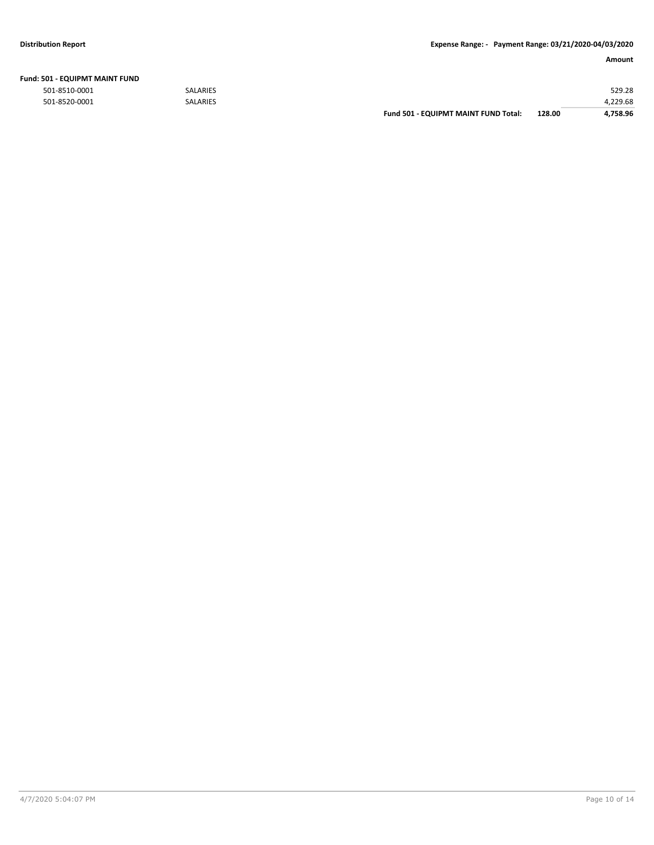| Fund: 501 - EQUIPMT MAINT FUND |  |
|--------------------------------|--|
|--------------------------------|--|

501-8510-0001 SALARIES 529.28

| 501-8520-0001 | SALARIES |                                             |        | 22222<br>-9.08 |
|---------------|----------|---------------------------------------------|--------|----------------|
|               |          | <b>Fund 501 - EQUIPMT MAINT FUND Total:</b> | 128.00 | .758.96        |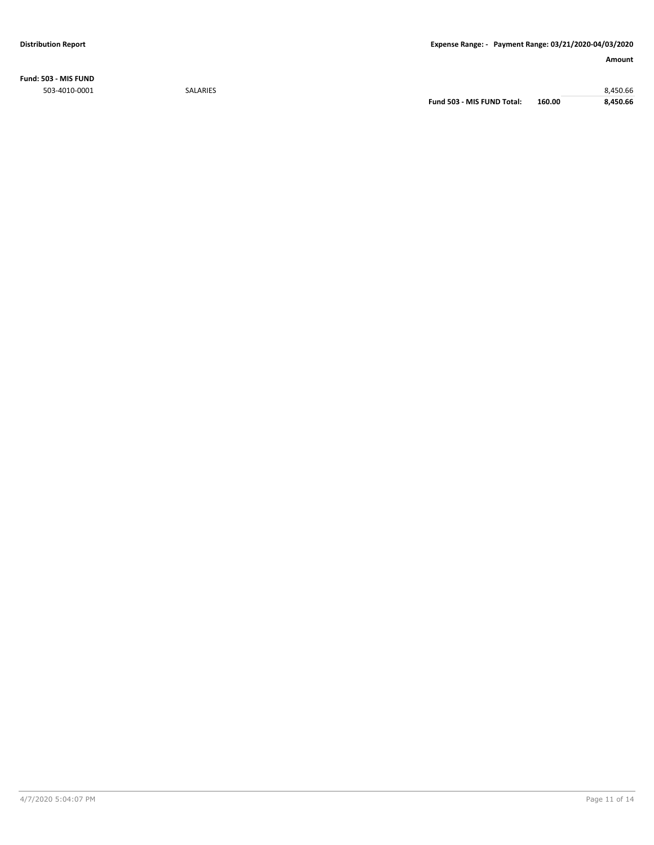**Fund: 503 - MIS FUND** 503-4010-0001 SALARIES 8,450.66

**Fund 503 - MIS FUND Total: 160.00 8,450.66**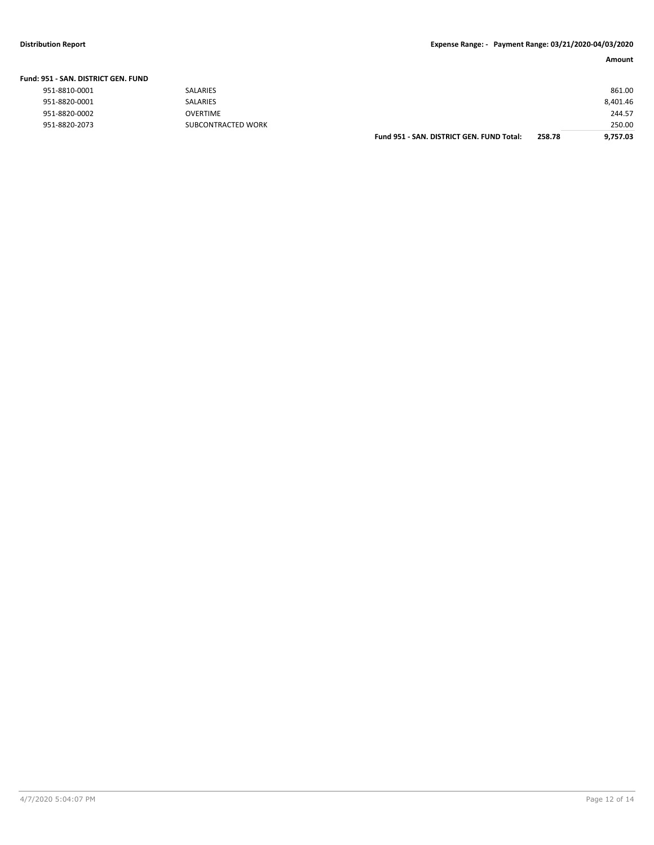| Fund: 951 - SAN. DISTRICT GEN. FUND |                    |                                           |        |          |
|-------------------------------------|--------------------|-------------------------------------------|--------|----------|
| 951-8810-0001                       | SALARIES           |                                           |        | 861.00   |
| 951-8820-0001                       | SALARIES           |                                           |        | 8,401.46 |
| 951-8820-0002                       | OVERTIME           |                                           |        | 244.57   |
| 951-8820-2073                       | SUBCONTRACTED WORK |                                           |        | 250.00   |
|                                     |                    | Fund 951 - SAN, DISTRICT GEN, FUND Total: | 258.78 | 9.757.03 |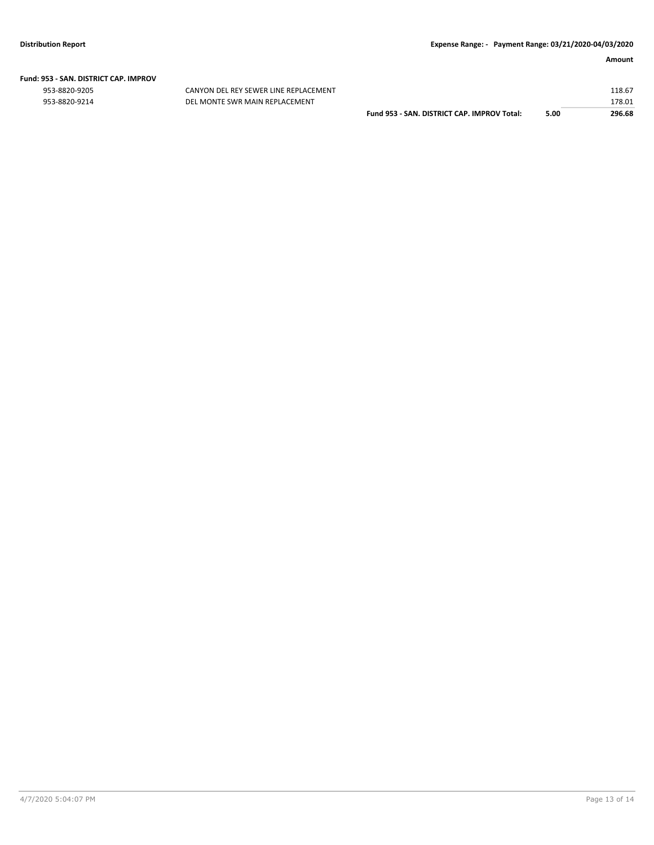# **Fund: 953 - SAN. DISTRICT CAP. IMPROV**

CANYON DEL REY SEWER LINE REPLACEMENT 953-8820-9214 DEL MONTE SWR MAIN REPLACEMENT

|                                             |      | 178.01 |
|---------------------------------------------|------|--------|
| Fund 953 - SAN, DISTRICT CAP, IMPROV Total: | 5.00 | 296.68 |